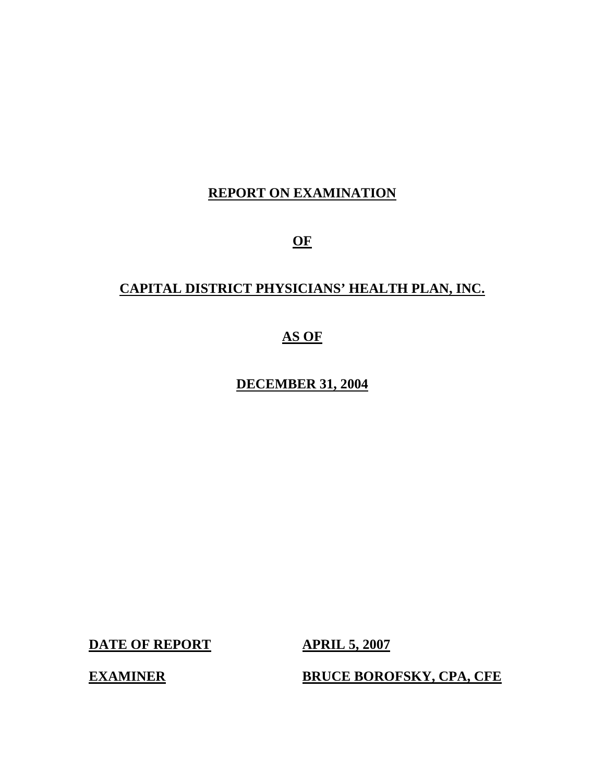# **REPORT ON EXAMINATION**

**OF** 

# **CAPITAL DISTRICT PHYSICIANS' HEALTH PLAN, INC.**

# **AS OF**

**DECEMBER 31, 2004** 

**DATE OF REPORT APRIL 5, 2007** 

**EXAMINER BRUCE BOROFSKY, CPA, CFE**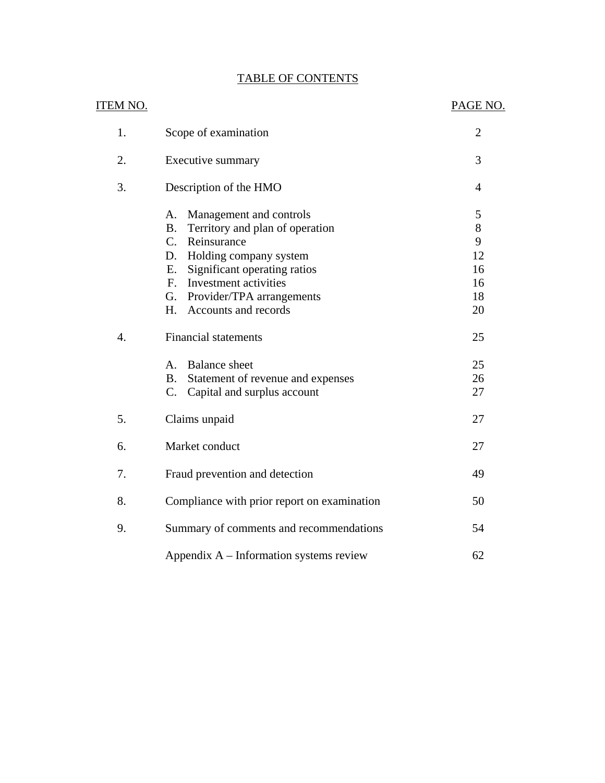| <b>TABLE OF CONTENTS</b> |
|--------------------------|
|--------------------------|

|                  | <b>TABLE OF CONTENTS</b>                                                                                                                                                                                                                                                                   |                                           |
|------------------|--------------------------------------------------------------------------------------------------------------------------------------------------------------------------------------------------------------------------------------------------------------------------------------------|-------------------------------------------|
| <u>ITEM NO.</u>  |                                                                                                                                                                                                                                                                                            | PAGE NO.                                  |
| 1.               | Scope of examination                                                                                                                                                                                                                                                                       | $\overline{2}$                            |
| 2.               | Executive summary                                                                                                                                                                                                                                                                          | 3                                         |
| 3.               | Description of the HMO                                                                                                                                                                                                                                                                     | $\overline{4}$                            |
|                  | Management and controls<br>A.<br>Territory and plan of operation<br><b>B.</b><br>$C_{\cdot}$<br>Reinsurance<br>D.<br>Holding company system<br>Significant operating ratios<br>Е.<br>Investment activities<br>$F_{\cdot}$<br>G.<br>Provider/TPA arrangements<br>H.<br>Accounts and records | 5<br>8<br>9<br>12<br>16<br>16<br>18<br>20 |
| $\overline{4}$ . | <b>Financial statements</b><br>A.<br><b>Balance</b> sheet<br>Statement of revenue and expenses<br><b>B.</b><br>$C_{\cdot}$<br>Capital and surplus account                                                                                                                                  | 25<br>25<br>26<br>27                      |
| 5.               | Claims unpaid                                                                                                                                                                                                                                                                              | 27                                        |
| 6.               | Market conduct                                                                                                                                                                                                                                                                             | 27                                        |
| 7.               | Fraud prevention and detection                                                                                                                                                                                                                                                             | 49                                        |
| 8.               | Compliance with prior report on examination                                                                                                                                                                                                                                                | 50                                        |
| 9.               | Summary of comments and recommendations                                                                                                                                                                                                                                                    | 54                                        |
|                  | Appendix A – Information systems review                                                                                                                                                                                                                                                    | 62                                        |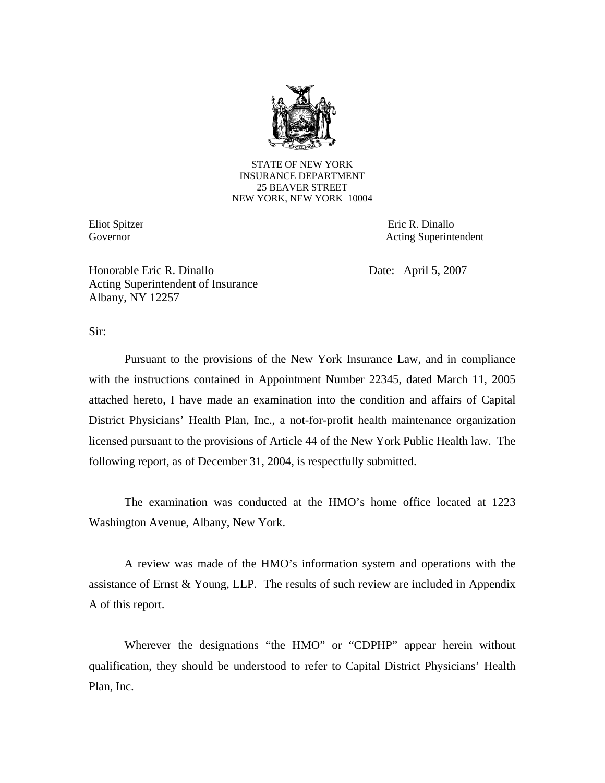

STATE OF NEW YORK INSURANCE DEPARTMENT 25 BEAVER STREET NEW YORK, NEW YORK 10004

Eliot Spitzer Governor

Eric R. Dinallo Acting Superintendent

Honorable Eric R. Dinallo Acting Superintendent of Insurance Albany, NY 12257

Date: April 5, 2007

Sir:

Pursuant to the provisions of the New York Insurance Law, and in compliance with the instructions contained in Appointment Number 22345, dated March 11, 2005 attached hereto, I have made an examination into the condition and affairs of Capital District Physicians' Health Plan, Inc., a not-for-profit health maintenance organization licensed pursuant to the provisions of Article 44 of the New York Public Health law. The following report, as of December 31, 2004, is respectfully submitted.

The examination was conducted at the HMO's home office located at 1223 Washington Avenue, Albany, New York.

A review was made of the HMO's information system and operations with the assistance of Ernst & Young, LLP. The results of such review are included in Appendix A of this report.

Wherever the designations "the HMO" or "CDPHP" appear herein without qualification, they should be understood to refer to Capital District Physicians' Health Plan, Inc.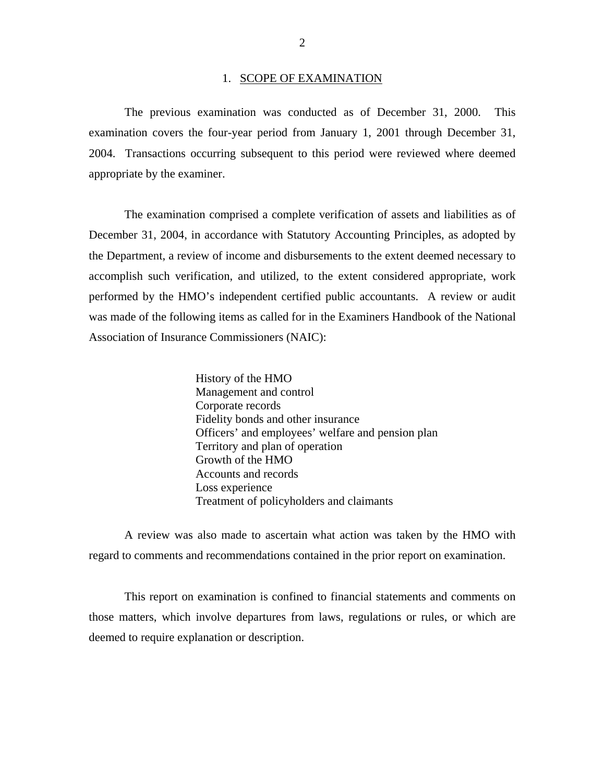#### 1. SCOPE OF EXAMINATION

The previous examination was conducted as of December 31, 2000. This examination covers the four-year period from January 1, 2001 through December 31, 2004. Transactions occurring subsequent to this period were reviewed where deemed appropriate by the examiner.

The examination comprised a complete verification of assets and liabilities as of December 31, 2004, in accordance with Statutory Accounting Principles, as adopted by the Department, a review of income and disbursements to the extent deemed necessary to accomplish such verification, and utilized, to the extent considered appropriate, work performed by the HMO's independent certified public accountants. A review or audit was made of the following items as called for in the Examiners Handbook of the National Association of Insurance Commissioners (NAIC):

> History of the HMO Management and control Corporate records Fidelity bonds and other insurance Officers' and employees' welfare and pension plan Territory and plan of operation Growth of the HMO Accounts and records Loss experience Treatment of policyholders and claimants

A review was also made to ascertain what action was taken by the HMO with regard to comments and recommendations contained in the prior report on examination.

This report on examination is confined to financial statements and comments on those matters, which involve departures from laws, regulations or rules, or which are deemed to require explanation or description.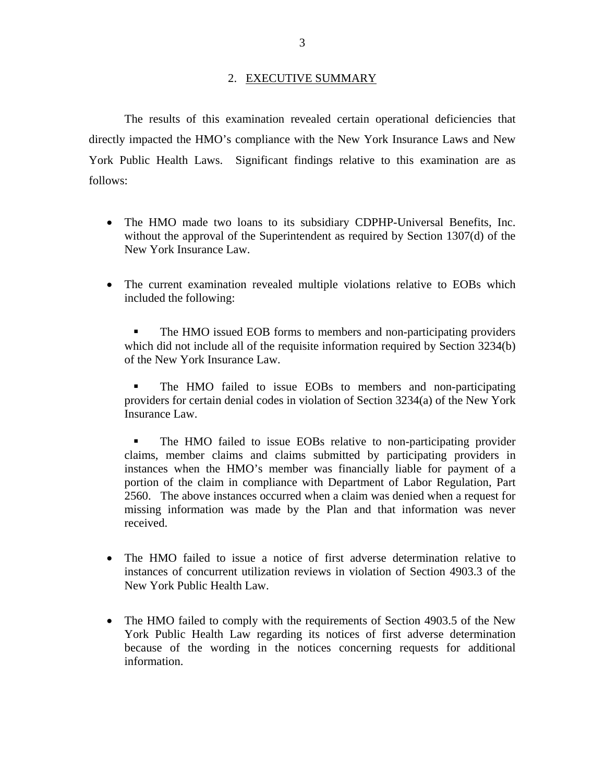#### 2. EXECUTIVE SUMMARY

The results of this examination revealed certain operational deficiencies that directly impacted the HMO's compliance with the New York Insurance Laws and New York Public Health Laws. Significant findings relative to this examination are as follows:

- The HMO made two loans to its subsidiary CDPHP-Universal Benefits, Inc. without the approval of the Superintendent as required by Section 1307(d) of the New York Insurance Law.
- The current examination revealed multiple violations relative to EOBs which included the following:

 The HMO issued EOB forms to members and non-participating providers which did not include all of the requisite information required by Section 3234(b) of the New York Insurance Law.

 The HMO failed to issue EOBs to members and non-participating providers for certain denial codes in violation of Section 3234(a) of the New York Insurance Law.

 The HMO failed to issue EOBs relative to non-participating provider claims, member claims and claims submitted by participating providers in instances when the HMO's member was financially liable for payment of a portion of the claim in compliance with Department of Labor Regulation, Part 2560. The above instances occurred when a claim was denied when a request for missing information was made by the Plan and that information was never received.

- The HMO failed to issue a notice of first adverse determination relative to instances of concurrent utilization reviews in violation of Section 4903.3 of the New York Public Health Law.
- The HMO failed to comply with the requirements of Section 4903.5 of the New York Public Health Law regarding its notices of first adverse determination because of the wording in the notices concerning requests for additional information.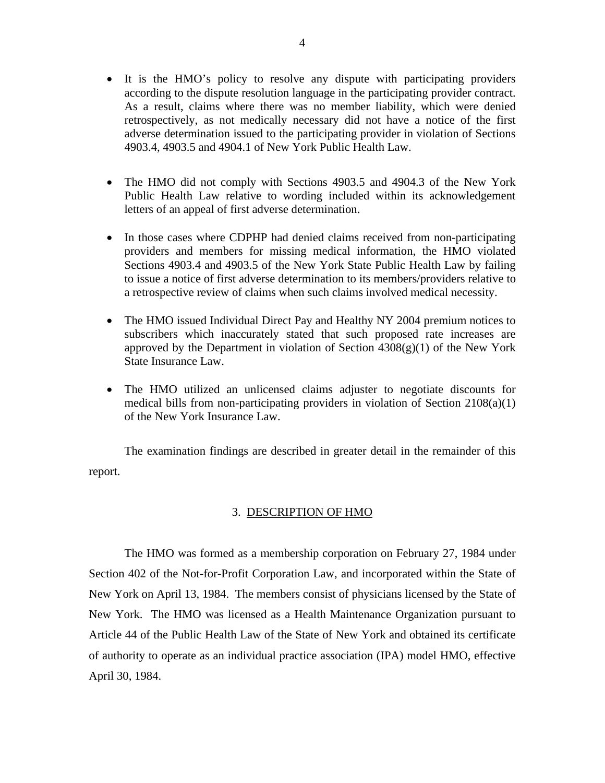- It is the HMO's policy to resolve any dispute with participating providers according to the dispute resolution language in the participating provider contract. As a result, claims where there was no member liability, which were denied retrospectively, as not medically necessary did not have a notice of the first adverse determination issued to the participating provider in violation of Sections 4903.4, 4903.5 and 4904.1 of New York Public Health Law.
- The HMO did not comply with Sections 4903.5 and 4904.3 of the New York Public Health Law relative to wording included within its acknowledgement letters of an appeal of first adverse determination.
- In those cases where CDPHP had denied claims received from non-participating providers and members for missing medical information, the HMO violated Sections 4903.4 and 4903.5 of the New York State Public Health Law by failing to issue a notice of first adverse determination to its members/providers relative to a retrospective review of claims when such claims involved medical necessity.
- The HMO issued Individual Direct Pay and Healthy NY 2004 premium notices to subscribers which inaccurately stated that such proposed rate increases are approved by the Department in violation of Section  $4308(g)(1)$  of the New York State Insurance Law.
- The HMO utilized an unlicensed claims adjuster to negotiate discounts for medical bills from non-participating providers in violation of Section 2108(a)(1) of the New York Insurance Law.

The examination findings are described in greater detail in the remainder of this report.

## 3. DESCRIPTION OF HMO

The HMO was formed as a membership corporation on February 27, 1984 under Section 402 of the Not-for-Profit Corporation Law, and incorporated within the State of New York on April 13, 1984. The members consist of physicians licensed by the State of New York. The HMO was licensed as a Health Maintenance Organization pursuant to Article 44 of the Public Health Law of the State of New York and obtained its certificate of authority to operate as an individual practice association (IPA) model HMO, effective April 30, 1984.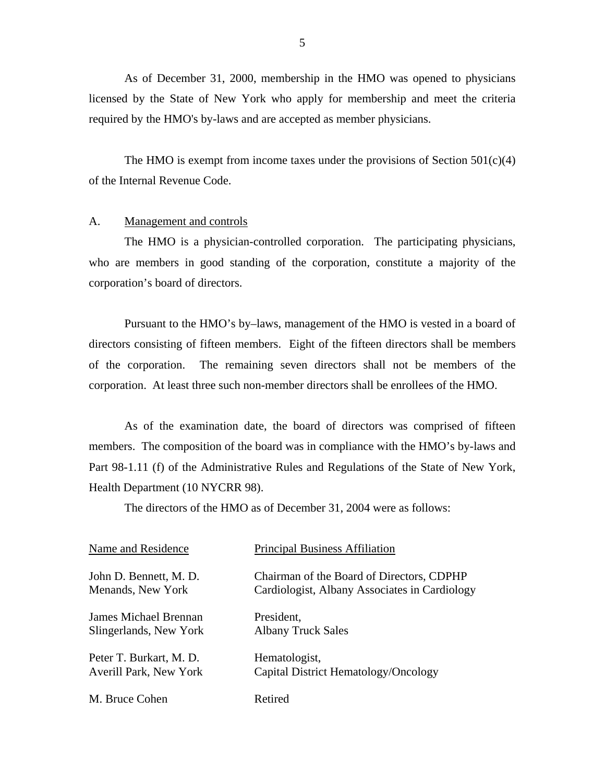<span id="page-6-0"></span>As of December 31, 2000, membership in the HMO was opened to physicians licensed by the State of New York who apply for membership and meet the criteria required by the HMO's by-laws and are accepted as member physicians.

The HMO is exempt from income taxes under the provisions of Section  $501(c)(4)$ of the Internal Revenue Code.

#### A. Management and controls

The HMO is a physician-controlled corporation. The participating physicians, who are members in good standing of the corporation, constitute a majority of the corporation's board of directors.

Pursuant to the HMO's by–laws, management of the HMO is vested in a board of directors consisting of fifteen members. Eight of the fifteen directors shall be members of the corporation. The remaining seven directors shall not be members of the corporation. At least three such non-member directors shall be enrollees of the HMO.

As of the examination date, the board of directors was comprised of fifteen members. The composition of the board was in compliance with the HMO's by-laws and Part 98-1.11 (f) of the Administrative Rules and Regulations of the State of New York, Health Department (10 NYCRR 98).

The directors of the HMO as of December 31, 2004 were as follows:

| Name and Residence           | <b>Principal Business Affiliation</b>         |
|------------------------------|-----------------------------------------------|
| John D. Bennett, M. D.       | Chairman of the Board of Directors, CDPHP     |
| Menands, New York            | Cardiologist, Albany Associates in Cardiology |
| <b>James Michael Brennan</b> | President,                                    |
| Slingerlands, New York       | <b>Albany Truck Sales</b>                     |
| Peter T. Burkart, M. D.      | Hematologist,                                 |
| Averill Park, New York       | Capital District Hematology/Oncology          |
| M. Bruce Cohen               | Retired                                       |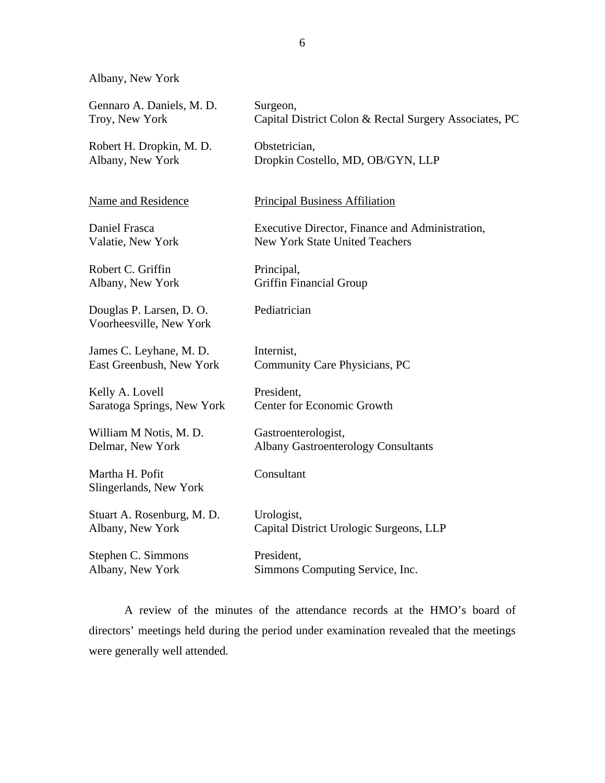Albany, New York

| Gennaro A. Daniels, M. D.                           | Surgeon,                                               |
|-----------------------------------------------------|--------------------------------------------------------|
| Troy, New York                                      | Capital District Colon & Rectal Surgery Associates, PC |
| Robert H. Dropkin, M. D.                            | Obstetrician,                                          |
| Albany, New York                                    | Dropkin Costello, MD, OB/GYN, LLP                      |
| Name and Residence                                  | <b>Principal Business Affiliation</b>                  |
| Daniel Frasca                                       | Executive Director, Finance and Administration,        |
| Valatie, New York                                   | New York State United Teachers                         |
| Robert C. Griffin                                   | Principal,                                             |
| Albany, New York                                    | <b>Griffin Financial Group</b>                         |
| Douglas P. Larsen, D. O.<br>Voorheesville, New York | Pediatrician                                           |
| James C. Leyhane, M. D.                             | Internist,                                             |
| East Greenbush, New York                            | Community Care Physicians, PC                          |
| Kelly A. Lovell                                     | President,                                             |
| Saratoga Springs, New York                          | <b>Center for Economic Growth</b>                      |
| William M Notis, M. D.                              | Gastroenterologist,                                    |
| Delmar, New York                                    | <b>Albany Gastroenterology Consultants</b>             |
| Martha H. Pofit<br>Slingerlands, New York           | Consultant                                             |
| Stuart A. Rosenburg, M. D.                          | Urologist,                                             |
| Albany, New York                                    | Capital District Urologic Surgeons, LLP                |
| Stephen C. Simmons                                  | President,                                             |
| Albany, New York                                    | Simmons Computing Service, Inc.                        |

A review of the minutes of the attendance records at the HMO's board of directors' meetings held during the period under examination revealed that the meetings were generally well attended.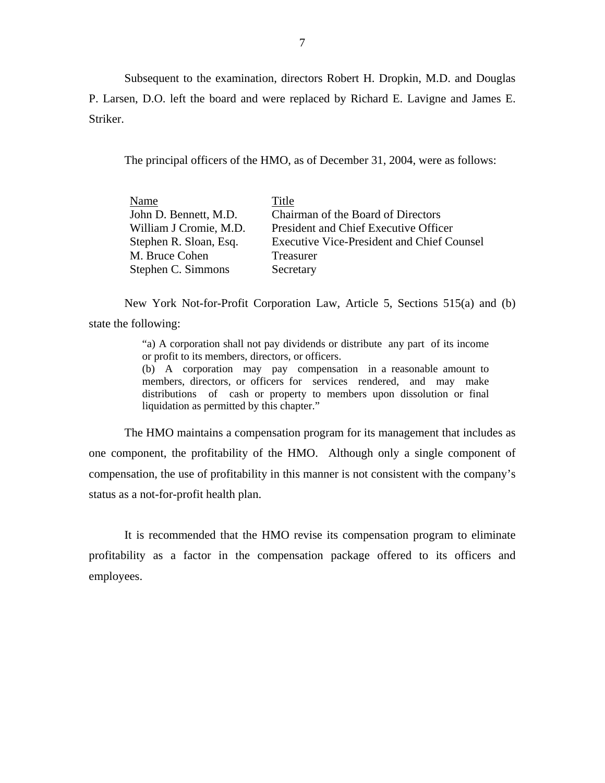Subsequent to the examination, directors Robert H. Dropkin, M.D. and Douglas P. Larsen, D.O. left the board and were replaced by Richard E. Lavigne and James E. Striker.

The principal officers of the HMO, as of December 31, 2004, were as follows:

| Name                   | Title                                             |
|------------------------|---------------------------------------------------|
| John D. Bennett, M.D.  | Chairman of the Board of Directors                |
| William J Cromie, M.D. | President and Chief Executive Officer             |
| Stephen R. Sloan, Esq. | <b>Executive Vice-President and Chief Counsel</b> |
| M. Bruce Cohen         | Treasurer                                         |
| Stephen C. Simmons     | Secretary                                         |

New York Not-for-Profit Corporation Law, Article 5, Sections 515(a) and (b) state the following:

> "a) A corporation shall not pay dividends or distribute any part of its income or profit to its members, directors, or officers.

> members, directors, or officers for services rendered, and may make (b) A corporation may pay compensation in a reasonable amount to distributions of cash or property to members upon dissolution or final liquidation as permitted by this chapter."

The HMO maintains a compensation program for its management that includes as one component, the profitability of the HMO. Although only a single component of compensation, the use of profitability in this manner is not consistent with the company's status as a not-for-profit health plan.

It is recommended that the HMO revise its compensation program to eliminate profitability as a factor in the compensation package offered to its officers and employees.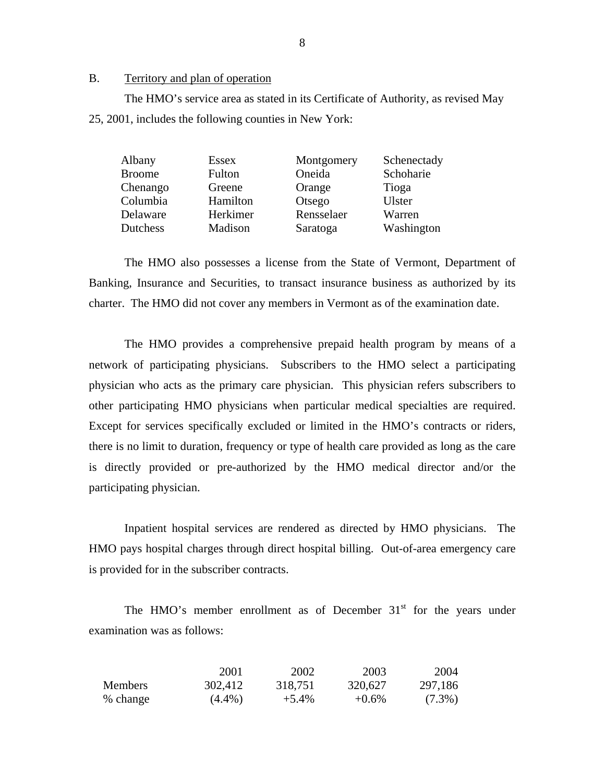### B. Territory and plan of operation

The HMO's service area as stated in its Certificate of Authority, as revised May 25, 2001, includes the following counties in New York:

| Essex    | Montgomery | Schenectady   |
|----------|------------|---------------|
| Fulton   | Oneida     | Schoharie     |
| Greene   | Orange     | Tioga         |
| Hamilton | Otsego     | <b>Ulster</b> |
| Herkimer | Rensselaer | Warren        |
| Madison  | Saratoga   | Washington    |
|          |            |               |

The HMO also possesses a license from the State of Vermont, Department of Banking, Insurance and Securities, to transact insurance business as authorized by its charter. The HMO did not cover any members in Vermont as of the examination date.

The HMO provides a comprehensive prepaid health program by means of a network of participating physicians. Subscribers to the HMO select a participating physician who acts as the primary care physician. This physician refers subscribers to other participating HMO physicians when particular medical specialties are required. Except for services specifically excluded or limited in the HMO's contracts or riders, there is no limit to duration, frequency or type of health care provided as long as the care is directly provided or pre-authorized by the HMO medical director and/or the participating physician.

Inpatient hospital services are rendered as directed by HMO physicians. The HMO pays hospital charges through direct hospital billing. Out-of-area emergency care is provided for in the subscriber contracts.

The HMO's member enrollment as of December  $31<sup>st</sup>$  for the years under examination was as follows:

|                | 2001      | 2002     | 2003     | 2004      |
|----------------|-----------|----------|----------|-----------|
| <b>Members</b> | 302,412   | 318,751  | 320,627  | 297,186   |
| % change       | $(4.4\%)$ | $+5.4\%$ | $+0.6\%$ | $(7.3\%)$ |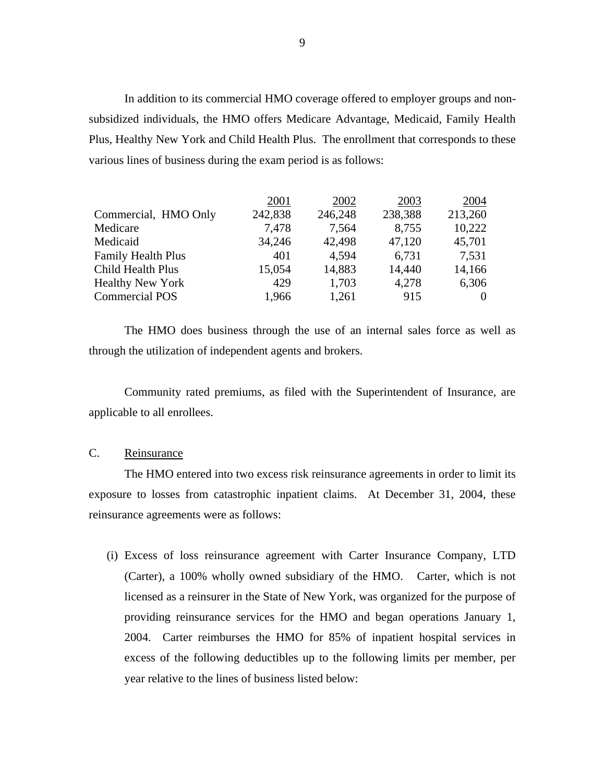<span id="page-10-0"></span>In addition to its commercial HMO coverage offered to employer groups and nonsubsidized individuals, the HMO offers Medicare Advantage, Medicaid, Family Health Plus, Healthy New York and Child Health Plus. The enrollment that corresponds to these various lines of business during the exam period is as follows:

|                           | 2001    | 2002    | 2003    | 2004    |
|---------------------------|---------|---------|---------|---------|
| Commercial, HMO Only      | 242,838 | 246,248 | 238,388 | 213,260 |
| Medicare                  | 7,478   | 7,564   | 8,755   | 10,222  |
| Medicaid                  | 34,246  | 42,498  | 47,120  | 45,701  |
| <b>Family Health Plus</b> | 401     | 4,594   | 6,731   | 7,531   |
| Child Health Plus         | 15,054  | 14,883  | 14,440  | 14,166  |
| <b>Healthy New York</b>   | 429     | 1,703   | 4,278   | 6,306   |
| <b>Commercial POS</b>     | 1,966   | 1,261   | 915     | 0       |

The HMO does business through the use of an internal sales force as well as through the utilization of independent agents and brokers.

Community rated premiums, as filed with the Superintendent of Insurance, are applicable to all enrollees.

## C. Reinsurance

The HMO entered into two excess risk reinsurance agreements in order to limit its exposure to losses from catastrophic inpatient claims. At December 31, 2004, these reinsurance agreements were as follows:

(i) Excess of loss reinsurance agreement with Carter Insurance Company, LTD (Carter), a 100% wholly owned subsidiary of the HMO. Carter, which is not licensed as a reinsurer in the State of New York, was organized for the purpose of providing reinsurance services for the HMO and began operations January 1, 2004. Carter reimburses the HMO for 85% of inpatient hospital services in excess of the following deductibles up to the following limits per member, per year relative to the lines of business listed below: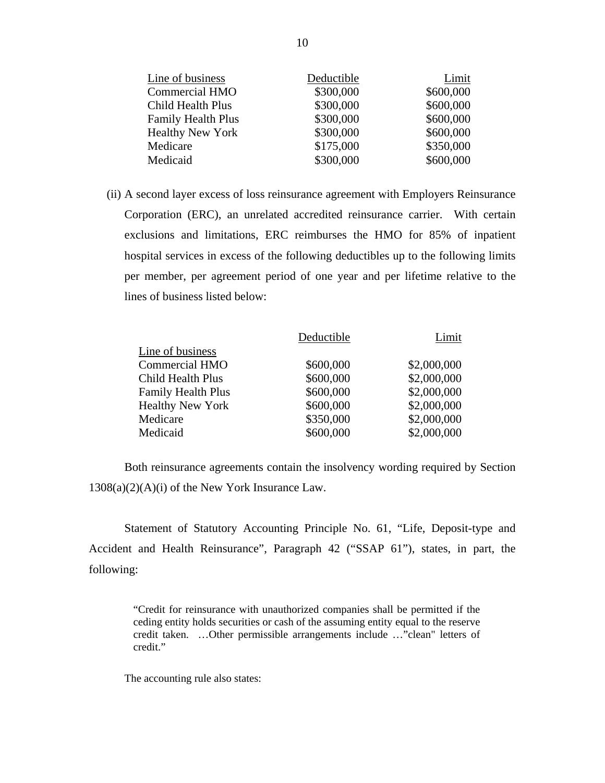| Line of business          | Deductible | Limit     |
|---------------------------|------------|-----------|
| <b>Commercial HMO</b>     | \$300,000  | \$600,000 |
| <b>Child Health Plus</b>  | \$300,000  | \$600,000 |
| <b>Family Health Plus</b> | \$300,000  | \$600,000 |
| <b>Healthy New York</b>   | \$300,000  | \$600,000 |
| Medicare                  | \$175,000  | \$350,000 |
| Medicaid                  | \$300,000  | \$600,000 |

(ii) A second layer excess of loss reinsurance agreement with Employers Reinsurance Corporation (ERC), an unrelated accredited reinsurance carrier. With certain exclusions and limitations, ERC reimburses the HMO for 85% of inpatient hospital services in excess of the following deductibles up to the following limits per member, per agreement period of one year and per lifetime relative to the lines of business listed below:

| Deductible | Limit       |
|------------|-------------|
|            |             |
| \$600,000  | \$2,000,000 |
| \$600,000  | \$2,000,000 |
| \$600,000  | \$2,000,000 |
| \$600,000  | \$2,000,000 |
| \$350,000  | \$2,000,000 |
| \$600,000  | \$2,000,000 |
|            |             |

Both reinsurance agreements contain the insolvency wording required by Section  $1308(a)(2)(A)(i)$  of the New York Insurance Law.

Statement of Statutory Accounting Principle No. 61, "Life, Deposit-type and Accident and Health Reinsurance", Paragraph 42 ("SSAP 61"), states, in part, the following:

> "Credit for reinsurance with unauthorized companies shall be permitted if the ceding entity holds securities or cash of the assuming entity equal to the reserve credit taken. …Other permissible arrangements include …"clean" letters of credit."

The accounting rule also states: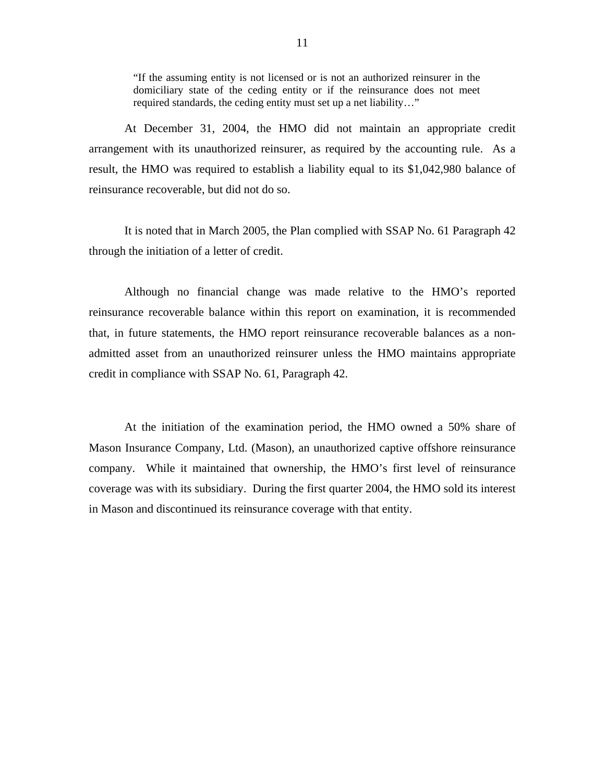"If the assuming entity is not licensed or is not an authorized reinsurer in the domiciliary state of the ceding entity or if the reinsurance does not meet required standards, the ceding entity must set up a net liability…"

At December 31, 2004, the HMO did not maintain an appropriate credit arrangement with its unauthorized reinsurer, as required by the accounting rule. As a result, the HMO was required to establish a liability equal to its \$1,042,980 balance of reinsurance recoverable, but did not do so.

It is noted that in March 2005, the Plan complied with SSAP No. 61 Paragraph 42 through the initiation of a letter of credit.

Although no financial change was made relative to the HMO's reported reinsurance recoverable balance within this report on examination, it is recommended that, in future statements, the HMO report reinsurance recoverable balances as a nonadmitted asset from an unauthorized reinsurer unless the HMO maintains appropriate credit in compliance with SSAP No. 61, Paragraph 42.

At the initiation of the examination period, the HMO owned a 50% share of Mason Insurance Company, Ltd. (Mason), an unauthorized captive offshore reinsurance company. While it maintained that ownership, the HMO's first level of reinsurance coverage was with its subsidiary. During the first quarter 2004, the HMO sold its interest in Mason and discontinued its reinsurance coverage with that entity.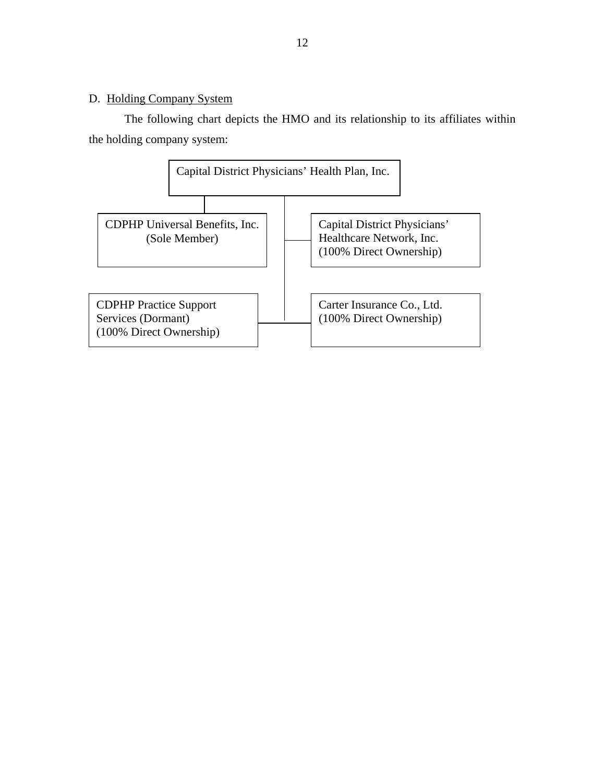# <span id="page-13-0"></span>D. Holding Company System

The following chart depicts the HMO and its relationship to its affiliates within the holding company system:

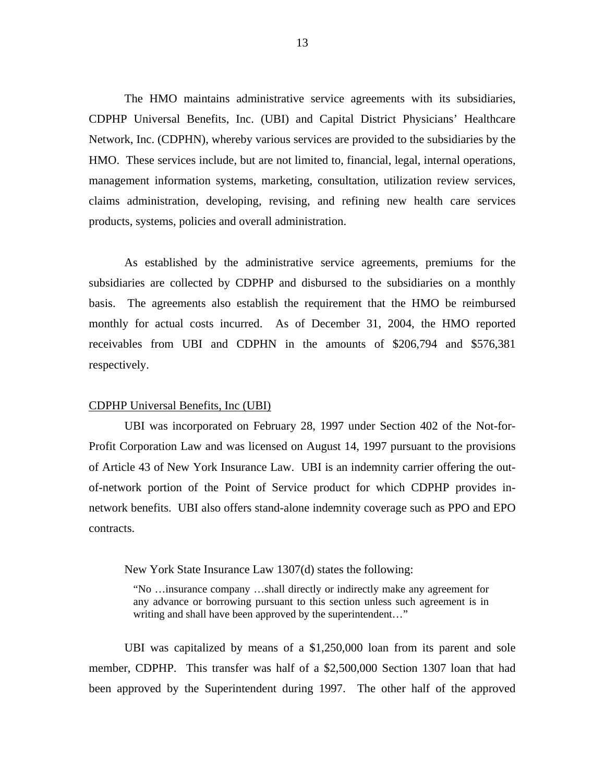The HMO maintains administrative service agreements with its subsidiaries, CDPHP Universal Benefits, Inc. (UBI) and Capital District Physicians' Healthcare Network, Inc. (CDPHN), whereby various services are provided to the subsidiaries by the HMO. These services include, but are not limited to, financial, legal, internal operations, management information systems, marketing, consultation, utilization review services, claims administration, developing, revising, and refining new health care services products, systems, policies and overall administration.

As established by the administrative service agreements, premiums for the subsidiaries are collected by CDPHP and disbursed to the subsidiaries on a monthly basis. The agreements also establish the requirement that the HMO be reimbursed monthly for actual costs incurred. As of December 31, 2004, the HMO reported receivables from UBI and CDPHN in the amounts of \$206,794 and \$576,381 respectively.

#### CDPHP Universal Benefits, Inc (UBI)

 of Article 43 of New York Insurance Law. UBI is an indemnity carrier offering the out-UBI was incorporated on February 28, 1997 under Section 402 of the Not-for-Profit Corporation Law and was licensed on August 14, 1997 pursuant to the provisions of-network portion of the Point of Service product for which CDPHP provides innetwork benefits. UBI also offers stand-alone indemnity coverage such as PPO and EPO contracts.

New York State Insurance Law 1307(d) states the following:

"No …insurance company …shall directly or indirectly make any agreement for any advance or borrowing pursuant to this section unless such agreement is in writing and shall have been approved by the superintendent…"

UBI was capitalized by means of a \$1,250,000 loan from its parent and sole member, CDPHP. This transfer was half of a \$2,500,000 Section 1307 loan that had been approved by the Superintendent during 1997. The other half of the approved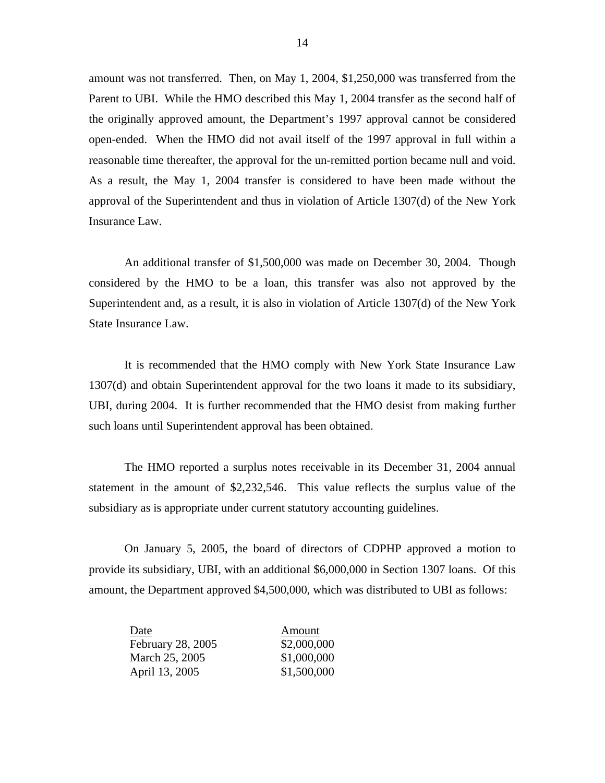amount was not transferred. Then, on May 1, 2004, \$1,250,000 was transferred from the Parent to UBI. While the HMO described this May 1, 2004 transfer as the second half of the originally approved amount, the Department's 1997 approval cannot be considered open-ended. When the HMO did not avail itself of the 1997 approval in full within a reasonable time thereafter, the approval for the un-remitted portion became null and void. As a result, the May 1, 2004 transfer is considered to have been made without the approval of the Superintendent and thus in violation of Article 1307(d) of the New York Insurance Law.

An additional transfer of \$1,500,000 was made on December 30, 2004. Though considered by the HMO to be a loan, this transfer was also not approved by the Superintendent and, as a result, it is also in violation of Article 1307(d) of the New York State Insurance Law.

It is recommended that the HMO comply with New York State Insurance Law 1307(d) and obtain Superintendent approval for the two loans it made to its subsidiary, UBI, during 2004. It is further recommended that the HMO desist from making further such loans until Superintendent approval has been obtained.

subsidiary as is appropriate under current statutory accounting guidelines. The HMO reported a surplus notes receivable in its December 31, 2004 annual statement in the amount of \$2,232,546. This value reflects the surplus value of the

On January 5, 2005, the board of directors of CDPHP approved a motion to provide its subsidiary, UBI, with an additional \$6,000,000 in Section 1307 loans. Of this amount, the Department approved \$4,500,000, which was distributed to UBI as follows:

| Date              | Amount      |
|-------------------|-------------|
| February 28, 2005 | \$2,000,000 |
| March 25, 2005    | \$1,000,000 |
| April 13, 2005    | \$1,500,000 |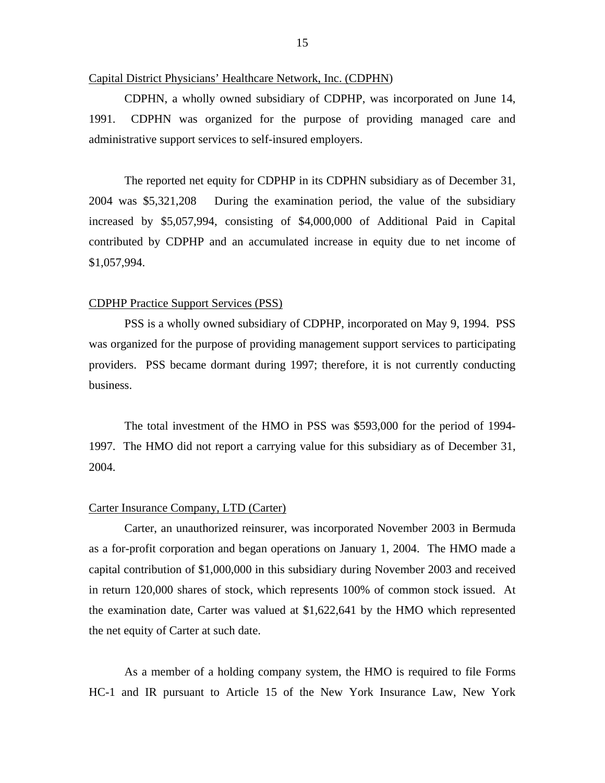#### Capital District Physicians' Healthcare Network, Inc. (CDPHN)

CDPHN, a wholly owned subsidiary of CDPHP, was incorporated on June 14, 1991. CDPHN was organized for the purpose of providing managed care and administrative support services to self-insured employers.

The reported net equity for CDPHP in its CDPHN subsidiary as of December 31, 2004 was \$5,321,208 During the examination period, the value of the subsidiary increased by \$5,057,994, consisting of \$4,000,000 of Additional Paid in Capital contributed by CDPHP and an accumulated increase in equity due to net income of \$1,057,994.

#### CDPHP Practice Support Services (PSS)

PSS is a wholly owned subsidiary of CDPHP, incorporated on May 9, 1994. PSS was organized for the purpose of providing management support services to participating providers. PSS became dormant during 1997; therefore, it is not currently conducting business.

The total investment of the HMO in PSS was \$593,000 for the period of 1994- 1997. The HMO did not report a carrying value for this subsidiary as of December 31, 2004.

#### Carter Insurance Company, LTD (Carter)

Carter, an unauthorized reinsurer, was incorporated November 2003 in Bermuda as a for-profit corporation and began operations on January 1, 2004. The HMO made a capital contribution of \$1,000,000 in this subsidiary during November 2003 and received in return 120,000 shares of stock, which represents 100% of common stock issued. At the examination date, Carter was valued at \$1,622,641 by the HMO which represented the net equity of Carter at such date.

As a member of a holding company system, the HMO is required to file Forms HC-1 and IR pursuant to Article 15 of the New York Insurance Law, New York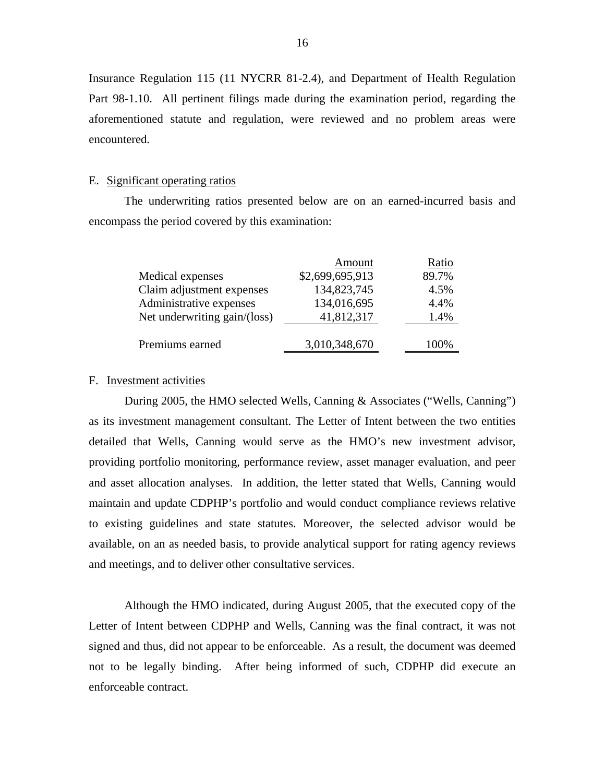Insurance Regulation 115 (11 NYCRR 81-2.4), and Department of Health Regulation Part 98-1.10. All pertinent filings made during the examination period, regarding the aforementioned statute and regulation, were reviewed and no problem areas were encountered.

#### E. Significant operating ratios

The underwriting ratios presented below are on an earned-incurred basis and encompass the period covered by this examination:

|                              | Amount          | Ratio |
|------------------------------|-----------------|-------|
| Medical expenses             | \$2,699,695,913 | 89.7% |
| Claim adjustment expenses    | 134,823,745     | 4.5%  |
| Administrative expenses      | 134,016,695     | 4.4%  |
| Net underwriting gain/(loss) | 41,812,317      | 1.4%  |
|                              |                 |       |
| Premiums earned              | 3,010,348,670   | 100%  |

### F. Investment activities

During 2005, the HMO selected Wells, Canning & Associates ("Wells, Canning") as its investment management consultant. The Letter of Intent between the two entities detailed that Wells, Canning would serve as the HMO's new investment advisor, providing portfolio monitoring, performance review, asset manager evaluation, and peer and asset allocation analyses. In addition, the letter stated that Wells, Canning would maintain and update CDPHP's portfolio and would conduct compliance reviews relative to existing guidelines and state statutes. Moreover, the selected advisor would be available, on an as needed basis, to provide analytical support for rating agency reviews and meetings, and to deliver other consultative services.

Although the HMO indicated, during August 2005, that the executed copy of the Letter of Intent between CDPHP and Wells, Canning was the final contract, it was not signed and thus, did not appear to be enforceable. As a result, the document was deemed not to be legally binding. After being informed of such, CDPHP did execute an enforceable contract.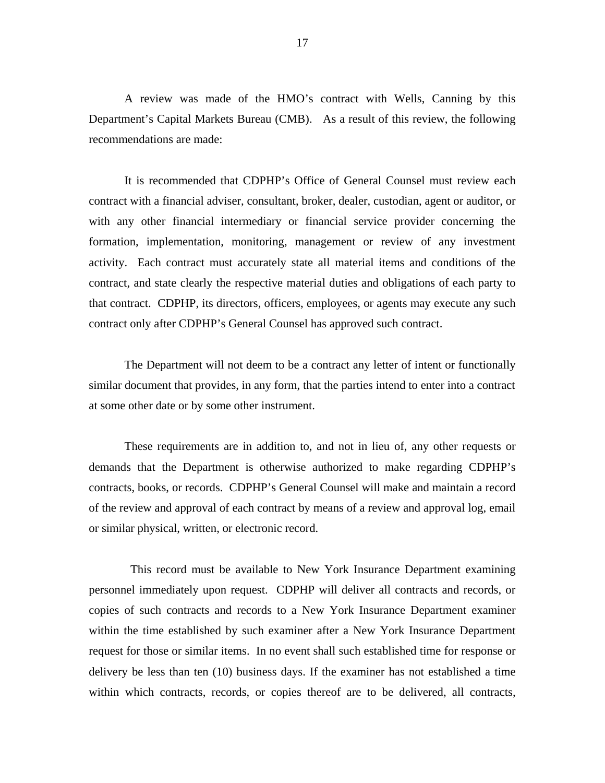A review was made of the HMO's contract with Wells, Canning by this Department's Capital Markets Bureau (CMB). As a result of this review, the following recommendations are made:

It is recommended that CDPHP's Office of General Counsel must review each contract with a financial adviser, consultant, broker, dealer, custodian, agent or auditor, or with any other financial intermediary or financial service provider concerning the formation, implementation, monitoring, management or review of any investment activity. Each contract must accurately state all material items and conditions of the contract, and state clearly the respective material duties and obligations of each party to that contract. CDPHP, its directors, officers, employees, or agents may execute any such contract only after CDPHP's General Counsel has approved such contract.

 similar document that provides, in any form, that the parties intend to enter into a contract at some other date or by some other instrument. The Department will not deem to be a contract any letter of intent or functionally

These requirements are in addition to, and not in lieu of, any other requests or demands that the Department is otherwise authorized to make regarding CDPHP's contracts, books, or records. CDPHP's General Counsel will make and maintain a record of the review and approval of each contract by means of a review and approval log, email or similar physical, written, or electronic record.

This record must be available to New York Insurance Department examining personnel immediately upon request. CDPHP will deliver all contracts and records, or copies of such contracts and records to a New York Insurance Department examiner within the time established by such examiner after a New York Insurance Department request for those or similar items. In no event shall such established time for response or delivery be less than ten (10) business days. If the examiner has not established a time within which contracts, records, or copies thereof are to be delivered, all contracts,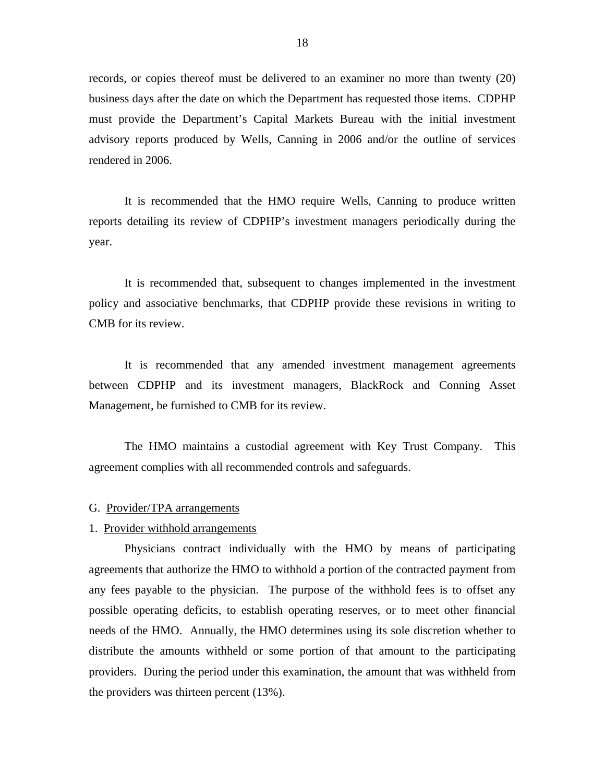<span id="page-19-0"></span>records, or copies thereof must be delivered to an examiner no more than twenty (20) business days after the date on which the Department has requested those items. CDPHP must provide the Department's Capital Markets Bureau with the initial investment advisory reports produced by Wells, Canning in 2006 and/or the outline of services rendered in 2006.

It is recommended that the HMO require Wells, Canning to produce written reports detailing its review of CDPHP's investment managers periodically during the year.

It is recommended that, subsequent to changes implemented in the investment policy and associative benchmarks, that CDPHP provide these revisions in writing to CMB for its review.

It is recommended that any amended investment management agreements between CDPHP and its investment managers, BlackRock and Conning Asset Management, be furnished to CMB for its review.

The HMO maintains a custodial agreement with Key Trust Company. This agreement complies with all recommended controls and safeguards.

#### G. Provider/TPA arrangements

#### 1. Provider withhold arrangements

Physicians contract individually with the HMO by means of participating agreements that authorize the HMO to withhold a portion of the contracted payment from any fees payable to the physician. The purpose of the withhold fees is to offset any possible operating deficits, to establish operating reserves, or to meet other financial needs of the HMO. Annually, the HMO determines using its sole discretion whether to distribute the amounts withheld or some portion of that amount to the participating providers. During the period under this examination, the amount that was withheld from the providers was thirteen percent (13%).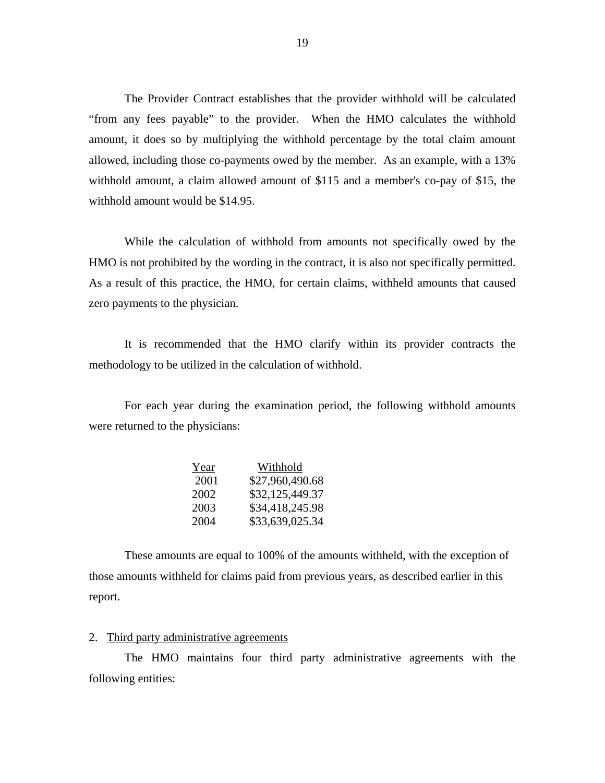The Provider Contract establishes that the provider withhold will be calculated "from any fees payable" to the provider. When the HMO calculates the withhold amount, it does so by multiplying the withhold percentage by the total claim amount allowed, including those co-payments owed by the member. As an example, with a 13% withhold amount, a claim allowed amount of \$115 and a member's co-pay of \$15, the withhold amount would be \$14.95.

HMO is not prohibited by the wording in the contract, it is also not specifically permitted. While the calculation of withhold from amounts not specifically owed by the As a result of this practice, the HMO, for certain claims, withheld amounts that caused zero payments to the physician.

It is recommended that the HMO clarify within its provider contracts the methodology to be utilized in the calculation of withhold.

For each year during the examination period, the following withhold amounts were returned to the physicians:

| Year | Withhold        |
|------|-----------------|
| 2001 | \$27,960,490.68 |
| 2002 | \$32,125,449.37 |
| 2003 | \$34,418,245.98 |
| 2004 | \$33,639,025.34 |

These amounts are equal to 100% of the amounts withheld, with the exception of those amounts withheld for claims paid from previous years, as described earlier in this report.

### 2. Third party administrative agreements

The HMO maintains four third party administrative agreements with the following entities: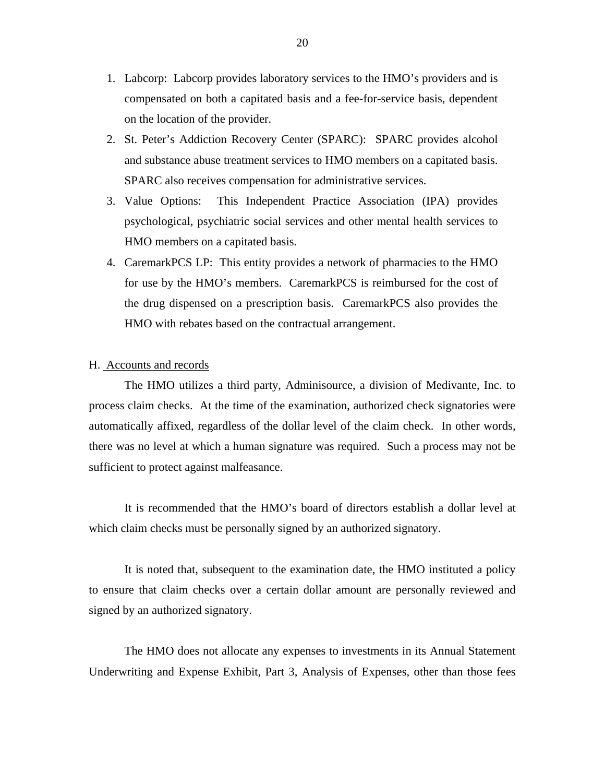- <span id="page-21-0"></span>1. Labcorp: Labcorp provides laboratory services to the HMO's providers and is compensated on both a capitated basis and a fee-for-service basis, dependent on the location of the provider.
- 2. St. Peter's Addiction Recovery Center (SPARC): SPARC provides alcohol and substance abuse treatment services to HMO members on a capitated basis. SPARC also receives compensation for administrative services.
- 3. Value Options: This Independent Practice Association (IPA) provides psychological, psychiatric social services and other mental health services to HMO members on a capitated basis.
- 4. CaremarkPCS LP: This entity provides a network of pharmacies to the HMO for use by the HMO's members. CaremarkPCS is reimbursed for the cost of the drug dispensed on a prescription basis. CaremarkPCS also provides the HMO with rebates based on the contractual arrangement.

### H. Accounts and records

The HMO utilizes a third party, Adminisource, a division of Medivante, Inc. to process claim checks. At the time of the examination, authorized check signatories were automatically affixed, regardless of the dollar level of the claim check. In other words, there was no level at which a human signature was required. Such a process may not be sufficient to protect against malfeasance.

It is recommended that the HMO's board of directors establish a dollar level at which claim checks must be personally signed by an authorized signatory.

It is noted that, subsequent to the examination date, the HMO instituted a policy to ensure that claim checks over a certain dollar amount are personally reviewed and signed by an authorized signatory.

The HMO does not allocate any expenses to investments in its Annual Statement Underwriting and Expense Exhibit, Part 3, Analysis of Expenses, other than those fees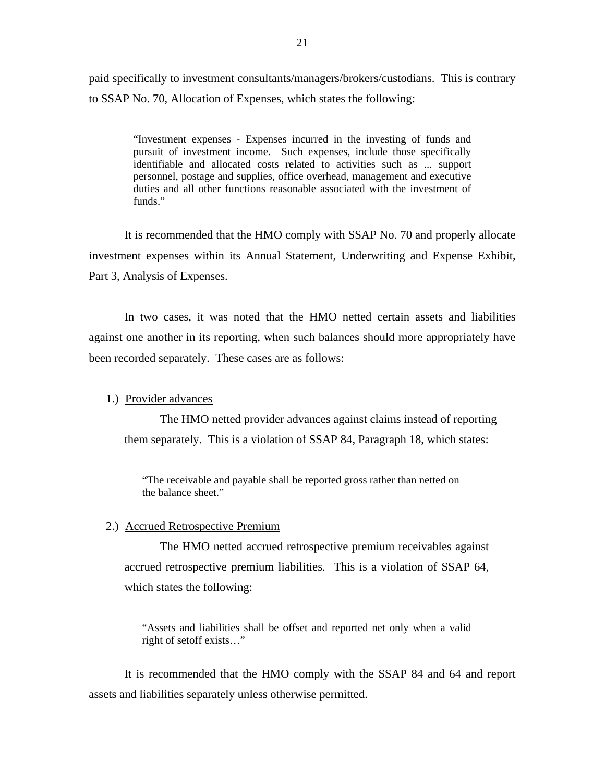paid specifically to investment consultants/managers/brokers/custodians. This is contrary to SSAP No. 70, Allocation of Expenses, which states the following:

> "Investment expenses - Expenses incurred in the investing of funds and pursuit of investment income. Such expenses, include those specifically identifiable and allocated costs related to activities such as ... support personnel, postage and supplies, office overhead, management and executive duties and all other functions reasonable associated with the investment of funds."

It is recommended that the HMO comply with SSAP No. 70 and properly allocate investment expenses within its Annual Statement, Underwriting and Expense Exhibit, Part 3, Analysis of Expenses.

In two cases, it was noted that the HMO netted certain assets and liabilities against one another in its reporting, when such balances should more appropriately have been recorded separately. These cases are as follows:

#### 1.) Provider advances

The HMO netted provider advances against claims instead of reporting them separately. This is a violation of SSAP 84, Paragraph 18, which states:

"The receivable and payable shall be reported gross rather than netted on the balance sheet."

#### 2.) Accrued Retrospective Premium

The HMO netted accrued retrospective premium receivables against accrued retrospective premium liabilities. This is a violation of SSAP 64, which states the following:

"Assets and liabilities shall be offset and reported net only when a valid right of setoff exists…"

It is recommended that the HMO comply with the SSAP 84 and 64 and report assets and liabilities separately unless otherwise permitted.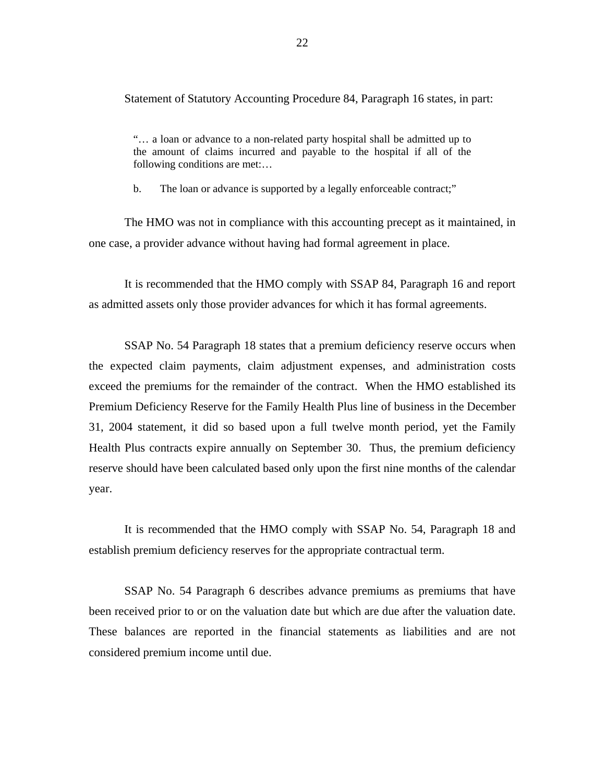Statement of Statutory Accounting Procedure 84, Paragraph 16 states, in part:

"… a loan or advance to a non-related party hospital shall be admitted up to the amount of claims incurred and payable to the hospital if all of the following conditions are met:…

b. The loan or advance is supported by a legally enforceable contract;"

The HMO was not in compliance with this accounting precept as it maintained, in one case, a provider advance without having had formal agreement in place.

It is recommended that the HMO comply with SSAP 84, Paragraph 16 and report as admitted assets only those provider advances for which it has formal agreements.

SSAP No. 54 Paragraph 18 states that a premium deficiency reserve occurs when the expected claim payments, claim adjustment expenses, and administration costs exceed the premiums for the remainder of the contract. When the HMO established its Premium Deficiency Reserve for the Family Health Plus line of business in the December 31, 2004 statement, it did so based upon a full twelve month period, yet the Family Health Plus contracts expire annually on September 30. Thus, the premium deficiency reserve should have been calculated based only upon the first nine months of the calendar year.

It is recommended that the HMO comply with SSAP No. 54, Paragraph 18 and establish premium deficiency reserves for the appropriate contractual term.

been received prior to or on the valuation date but which are due after the valuation date. SSAP No. 54 Paragraph 6 describes advance premiums as premiums that have These balances are reported in the financial statements as liabilities and are not considered premium income until due.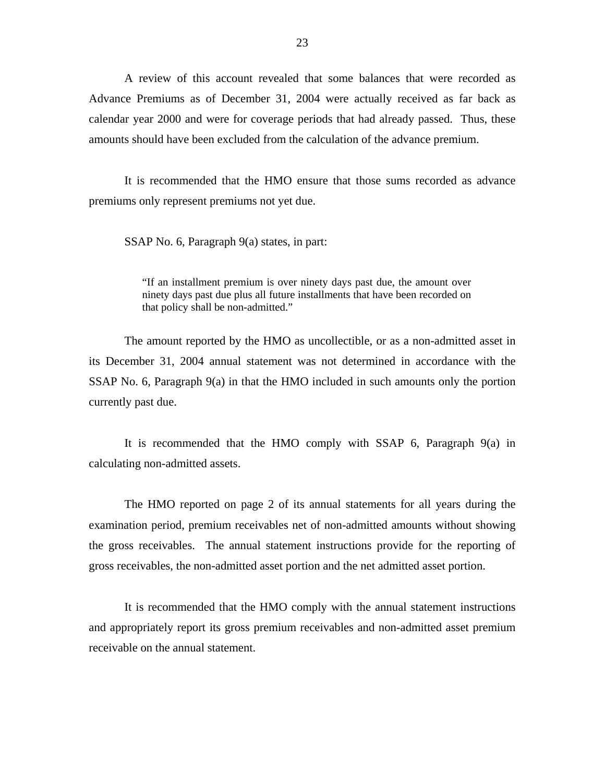amounts should have been excluded from the calculation of the advance premium. A review of this account revealed that some balances that were recorded as Advance Premiums as of December 31, 2004 were actually received as far back as calendar year 2000 and were for coverage periods that had already passed. Thus, these

It is recommended that the HMO ensure that those sums recorded as advance premiums only represent premiums not yet due.

SSAP No. 6, Paragraph 9(a) states, in part:

"If an installment premium is over ninety days past due, the amount over ninety days past due plus all future installments that have been recorded on that policy shall be non-admitted."

The amount reported by the HMO as uncollectible, or as a non-admitted asset in its December 31, 2004 annual statement was not determined in accordance with the SSAP No. 6, Paragraph  $9(a)$  in that the HMO included in such amounts only the portion currently past due.

It is recommended that the HMO comply with SSAP 6, Paragraph 9(a) in calculating non-admitted assets.

The HMO reported on page 2 of its annual statements for all years during the examination period, premium receivables net of non-admitted amounts without showing the gross receivables. The annual statement instructions provide for the reporting of gross receivables, the non-admitted asset portion and the net admitted asset portion.

It is recommended that the HMO comply with the annual statement instructions and appropriately report its gross premium receivables and non-admitted asset premium receivable on the annual statement.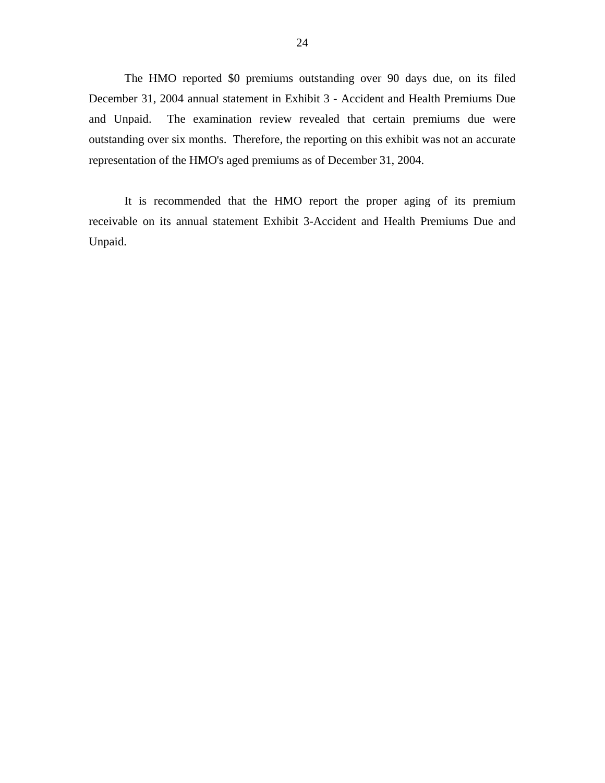The HMO reported \$0 premiums outstanding over 90 days due, on its filed December 31, 2004 annual statement in Exhibit 3 - Accident and Health Premiums Due and Unpaid. The examination review revealed that certain premiums due were outstanding over six months. Therefore, the reporting on this exhibit was not an accurate representation of the HMO's aged premiums as of December 31, 2004.

It is recommended that the HMO report the proper aging of its premium receivable on its annual statement Exhibit 3-Accident and Health Premiums Due and Unpaid.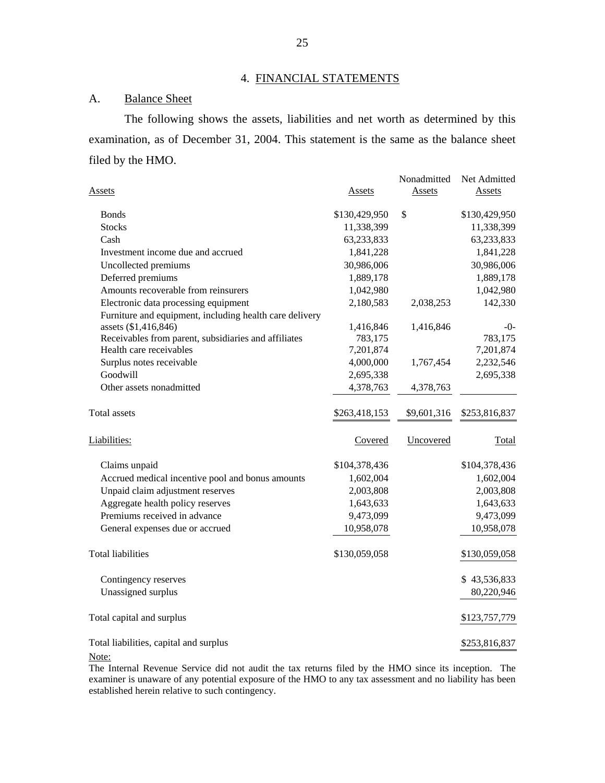## 4. FINANCIAL STATEMENTS

## A. Balance Sheet

The following shows the assets, liabilities and net worth as determined by this examination, as of December 31, 2004. This statement is the same as the balance sheet filed by the HMO.

| <u>Assets</u>                                           | Assets        | Nonadmitted<br><b>Assets</b> | Net Admitted<br>Assets |
|---------------------------------------------------------|---------------|------------------------------|------------------------|
| <b>Bonds</b>                                            | \$130,429,950 | \$                           | \$130,429,950          |
| <b>Stocks</b>                                           | 11,338,399    |                              | 11,338,399             |
| Cash                                                    | 63,233,833    |                              | 63,233,833             |
| Investment income due and accrued                       | 1,841,228     |                              | 1,841,228              |
| Uncollected premiums                                    | 30,986,006    |                              | 30,986,006             |
| Deferred premiums                                       | 1,889,178     |                              | 1,889,178              |
| Amounts recoverable from reinsurers                     | 1,042,980     |                              | 1,042,980              |
| Electronic data processing equipment                    | 2,180,583     | 2,038,253                    | 142,330                |
| Furniture and equipment, including health care delivery |               |                              |                        |
| assets (\$1,416,846)                                    | 1,416,846     | 1,416,846                    | -0-                    |
| Receivables from parent, subsidiaries and affiliates    | 783,175       |                              | 783,175                |
| Health care receivables                                 | 7,201,874     |                              | 7,201,874              |
| Surplus notes receivable                                | 4,000,000     | 1,767,454                    | 2,232,546              |
| Goodwill                                                | 2,695,338     |                              | 2,695,338              |
| Other assets nonadmitted                                | 4,378,763     | 4,378,763                    |                        |
| Total assets                                            | \$263,418,153 | \$9,601,316                  | \$253,816,837          |
| Liabilities:                                            | Covered       | Uncovered                    | Total                  |
| Claims unpaid                                           | \$104,378,436 |                              | \$104,378,436          |
| Accrued medical incentive pool and bonus amounts        | 1,602,004     |                              | 1,602,004              |
| Unpaid claim adjustment reserves                        | 2,003,808     |                              | 2,003,808              |
| Aggregate health policy reserves                        | 1,643,633     |                              | 1,643,633              |
| Premiums received in advance                            | 9,473,099     |                              | 9,473,099              |
| General expenses due or accrued                         | 10,958,078    |                              | 10,958,078             |
| <b>Total liabilities</b>                                | \$130,059,058 |                              | \$130,059,058          |
| Contingency reserves                                    |               |                              | \$43,536,833           |
| Unassigned surplus                                      |               |                              | 80,220,946             |
| Total capital and surplus                               |               |                              | \$123,757,779          |
| Total liabilities, capital and surplus                  |               |                              | \$253,816,837          |

Note:

The Internal Revenue Service did not audit the tax returns filed by the HMO since its inception. The examiner is unaware of any potential exposure of the HMO to any tax assessment and no liability has been established herein relative to such contingency.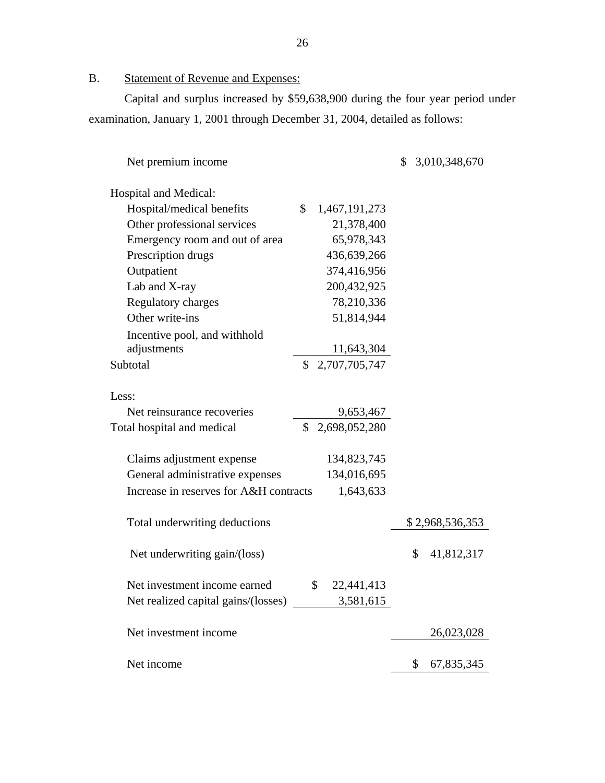B. Statement of Revenue and Expenses:

Capital and surplus increased by \$59,638,900 during the four year period under examination, January 1, 2001 through December 31, 2004, detailed as follows:

| Net premium income                     |                                | 3,010,348,670<br>\$ |
|----------------------------------------|--------------------------------|---------------------|
| Hospital and Medical:                  |                                |                     |
| Hospital/medical benefits              | \$<br>1,467,191,273            |                     |
| Other professional services            | 21,378,400                     |                     |
| Emergency room and out of area         | 65,978,343                     |                     |
| Prescription drugs                     | 436,639,266                    |                     |
| Outpatient                             | 374,416,956                    |                     |
| Lab and X-ray                          | 200,432,925                    |                     |
| <b>Regulatory charges</b>              | 78,210,336                     |                     |
| Other write-ins                        | 51,814,944                     |                     |
| Incentive pool, and withhold           |                                |                     |
| adjustments                            | 11,643,304                     |                     |
| Subtotal                               | \$2,707,705,747                |                     |
|                                        |                                |                     |
| Less:                                  |                                |                     |
| Net reinsurance recoveries             | 9,653,467                      |                     |
| Total hospital and medical             | $\mathcal{S}$<br>2,698,052,280 |                     |
|                                        |                                |                     |
| Claims adjustment expense              | 134,823,745                    |                     |
| General administrative expenses        | 134,016,695                    |                     |
| Increase in reserves for A&H contracts | 1,643,633                      |                     |
| Total underwriting deductions          |                                | \$2,968,536,353     |
|                                        |                                |                     |
| Net underwriting gain/(loss)           |                                | \$<br>41,812,317    |
|                                        |                                |                     |
| Net investment income earned           | \$<br>22,441,413               |                     |
| Net realized capital gains/(losses)    | 3,581,615                      |                     |
| Net investment income                  |                                | 26,023,028          |
|                                        |                                |                     |
| Net income                             |                                | 67,835,345<br>\$    |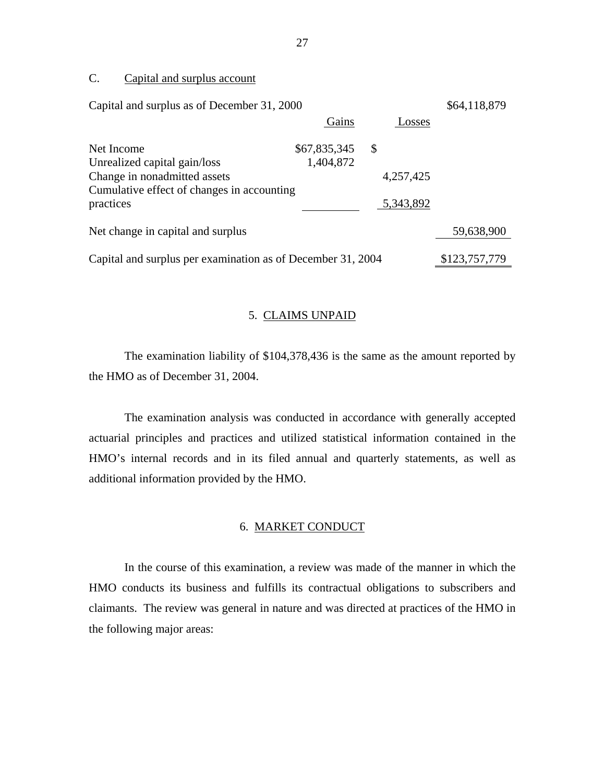# C. Capital and surplus account

| Capital and surplus as of December 31, 2000                 |              |               | \$64,118,879  |
|-------------------------------------------------------------|--------------|---------------|---------------|
|                                                             | Gains        | Losses        |               |
| Net Income                                                  | \$67,835,345 | $\mathcal{S}$ |               |
| Unrealized capital gain/loss                                | 1,404,872    |               |               |
| Change in nonadmitted assets                                |              | 4,257,425     |               |
| Cumulative effect of changes in accounting                  |              |               |               |
| practices                                                   |              | 5,343,892     |               |
| Net change in capital and surplus                           |              |               | 59,638,900    |
|                                                             |              |               |               |
| Capital and surplus per examination as of December 31, 2004 |              |               | \$123,757,779 |

### 5. CLAIMS UNPAID

The examination liability of \$104,378,436 is the same as the amount reported by the HMO as of December 31, 2004.

The examination analysis was conducted in accordance with generally accepted actuarial principles and practices and utilized statistical information contained in the HMO's internal records and in its filed annual and quarterly statements, as well as additional information provided by the HMO.

## 6. MARKET CONDUCT

In the course of this examination, a review was made of the manner in which the HMO conducts its business and fulfills its contractual obligations to subscribers and claimants. The review was general in nature and was directed at practices of the HMO in the following major areas: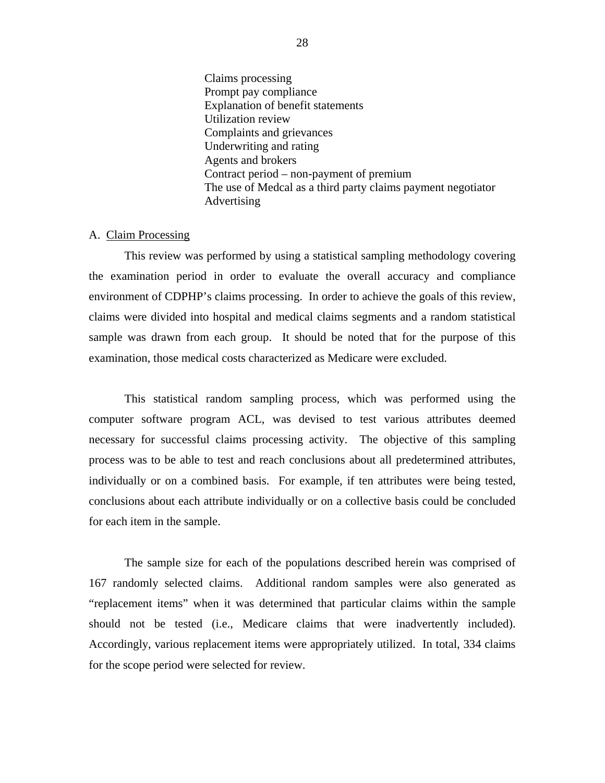Claims processing Prompt pay compliance Explanation of benefit statements Utilization review Complaints and grievances Underwriting and rating Agents and brokers Contract period – non-payment of premium The use of Medcal as a third party claims payment negotiator Advertising

#### A. Claim Processing

This review was performed by using a statistical sampling methodology covering the examination period in order to evaluate the overall accuracy and compliance environment of CDPHP's claims processing. In order to achieve the goals of this review, claims were divided into hospital and medical claims segments and a random statistical sample was drawn from each group. It should be noted that for the purpose of this examination, those medical costs characterized as Medicare were excluded.

This statistical random sampling process, which was performed using the computer software program ACL, was devised to test various attributes deemed necessary for successful claims processing activity. The objective of this sampling process was to be able to test and reach conclusions about all predetermined attributes, individually or on a combined basis. For example, if ten attributes were being tested, conclusions about each attribute individually or on a collective basis could be concluded for each item in the sample.

The sample size for each of the populations described herein was comprised of 167 randomly selected claims. Additional random samples were also generated as "replacement items" when it was determined that particular claims within the sample should not be tested (i.e., Medicare claims that were inadvertently included). Accordingly, various replacement items were appropriately utilized. In total, 334 claims for the scope period were selected for review.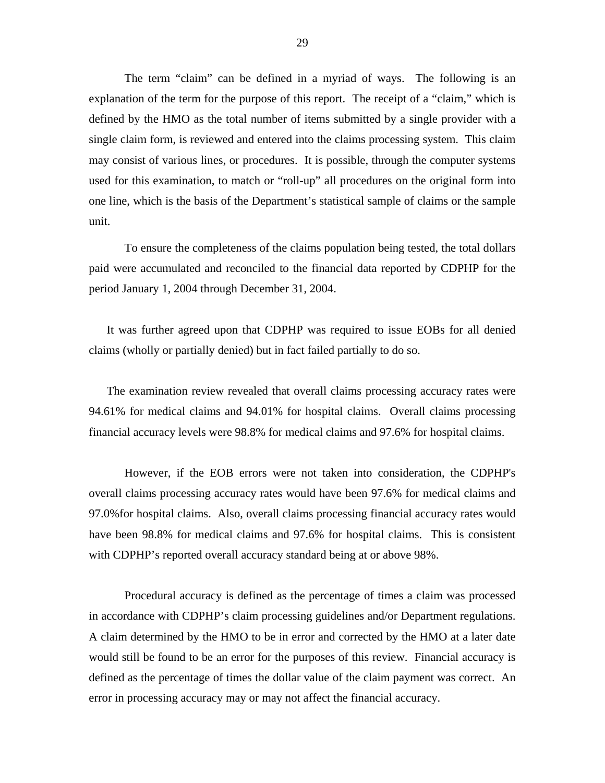The term "claim" can be defined in a myriad of ways. The following is an explanation of the term for the purpose of this report. The receipt of a "claim," which is defined by the HMO as the total number of items submitted by a single provider with a single claim form, is reviewed and entered into the claims processing system. This claim may consist of various lines, or procedures. It is possible, through the computer systems used for this examination, to match or "roll-up" all procedures on the original form into one line, which is the basis of the Department's statistical sample of claims or the sample unit.

To ensure the completeness of the claims population being tested, the total dollars paid were accumulated and reconciled to the financial data reported by CDPHP for the period January 1, 2004 through December 31, 2004.

It was further agreed upon that CDPHP was required to issue EOBs for all denied claims (wholly or partially denied) but in fact failed partially to do so.

The examination review revealed that overall claims processing accuracy rates were 94.61% for medical claims and 94.01% for hospital claims. Overall claims processing financial accuracy levels were 98.8% for medical claims and 97.6% for hospital claims.

However, if the EOB errors were not taken into consideration, the CDPHP's overall claims processing accuracy rates would have been 97.6% for medical claims and 97.0%for hospital claims. Also, overall claims processing financial accuracy rates would have been 98.8% for medical claims and 97.6% for hospital claims. This is consistent with CDPHP's reported overall accuracy standard being at or above 98%.

 error in processing accuracy may or may not affect the financial accuracy. Procedural accuracy is defined as the percentage of times a claim was processed in accordance with CDPHP's claim processing guidelines and/or Department regulations. A claim determined by the HMO to be in error and corrected by the HMO at a later date would still be found to be an error for the purposes of this review. Financial accuracy is defined as the percentage of times the dollar value of the claim payment was correct. An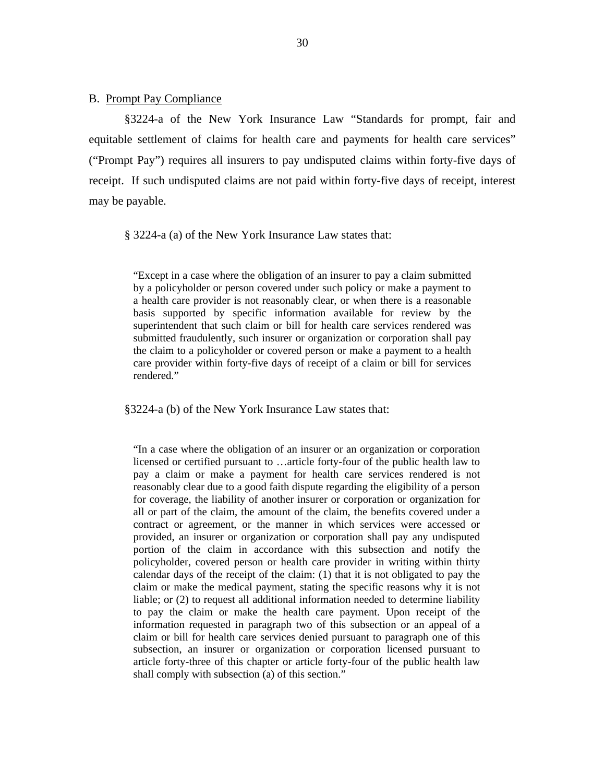B. Prompt Pay Compliance

§3224-a of the New York Insurance Law "Standards for prompt, fair and equitable settlement of claims for health care and payments for health care services" ("Prompt Pay") requires all insurers to pay undisputed claims within forty-five days of receipt. If such undisputed claims are not paid within forty-five days of receipt, interest may be payable.

§ 3224-a (a) of the New York Insurance Law states that:

"Except in a case where the obligation of an insurer to pay a claim submitted by a policyholder or person covered under such policy or make a payment to a health care provider is not reasonably clear, or when there is a reasonable basis supported by specific information available for review by the superintendent that such claim or bill for health care services rendered was submitted fraudulently, such insurer or organization or corporation shall pay the claim to a policyholder or covered person or make a payment to a health care provider within forty-five days of receipt of a claim or bill for services rendered."

§3224-a (b) of the New York Insurance Law states that:

"In a case where the obligation of an insurer or an organization or corporation licensed or certified pursuant to …article forty-four of the public health law to pay a claim or make a payment for health care services rendered is not reasonably clear due to a good faith dispute regarding the eligibility of a person for coverage, the liability of another insurer or corporation or organization for all or part of the claim, the amount of the claim, the benefits covered under a contract or agreement, or the manner in which services were accessed or provided, an insurer or organization or corporation shall pay any undisputed portion of the claim in accordance with this subsection and notify the policyholder, covered person or health care provider in writing within thirty calendar days of the receipt of the claim: (1) that it is not obligated to pay the claim or make the medical payment, stating the specific reasons why it is not liable; or (2) to request all additional information needed to determine liability to pay the claim or make the health care payment. Upon receipt of the information requested in paragraph two of this subsection or an appeal of a claim or bill for health care services denied pursuant to paragraph one of this subsection, an insurer or organization or corporation licensed pursuant to article forty-three of this chapter or article forty-four of the public health law shall comply with subsection (a) of this section."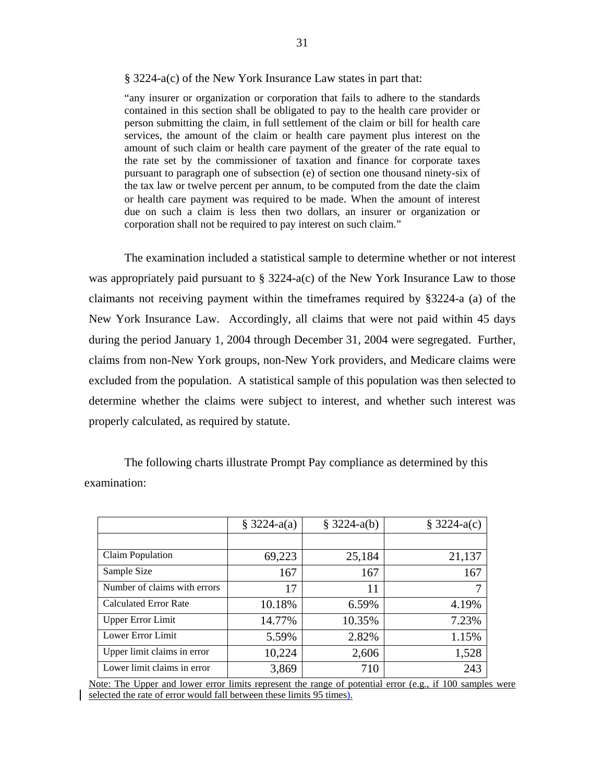#### § 3224-a(c) of the New York Insurance Law states in part that:

"any insurer or organization or corporation that fails to adhere to the standards contained in this section shall be obligated to pay to the health care provider or person submitting the claim, in full settlement of the claim or bill for health care services, the amount of the claim or health care payment plus interest on the amount of such claim or health care payment of the greater of the rate equal to the rate set by the commissioner of taxation and finance for corporate taxes pursuant to paragraph one of subsection (e) of section one thousand ninety-six of the tax law or twelve percent per annum, to be computed from the date the claim or health care payment was required to be made. When the amount of interest due on such a claim is less then two dollars, an insurer or organization or corporation shall not be required to pay interest on such claim."

The examination included a statistical sample to determine whether or not interest was appropriately paid pursuant to § 3224-a(c) of the New York Insurance Law to those claimants not receiving payment within the timeframes required by §3224-a (a) of the New York Insurance Law. Accordingly, all claims that were not paid within 45 days during the period January 1, 2004 through December 31, 2004 were segregated. Further, claims from non-New York groups, non-New York providers, and Medicare claims were excluded from the population. A statistical sample of this population was then selected to determine whether the claims were subject to interest, and whether such interest was properly calculated, as required by statute.

|                              | $$3224-a(a)$ | $$3224-a(b)$ | $$3224-a(c)$ |
|------------------------------|--------------|--------------|--------------|
|                              |              |              |              |
| Claim Population             | 69,223       | 25,184       | 21,137       |
| Sample Size                  | 167          | 167          | 167          |
| Number of claims with errors | 17           | 11           |              |
| <b>Calculated Error Rate</b> | 10.18%       | 6.59%        | 4.19%        |
| <b>Upper Error Limit</b>     | 14.77%       | 10.35%       | 7.23%        |
| Lower Error Limit            | 5.59%        | 2.82%        | 1.15%        |
| Upper limit claims in error  | 10,224       | 2,606        | 1,528        |
| Lower limit claims in error  | 3,869        | 710          | 243          |

The following charts illustrate Prompt Pay compliance as determined by this examination:

selected the rate of error would fall between these limits 95 times). Note: The Upper and lower error limits represent the range of potential error (e.g., if 100 samples were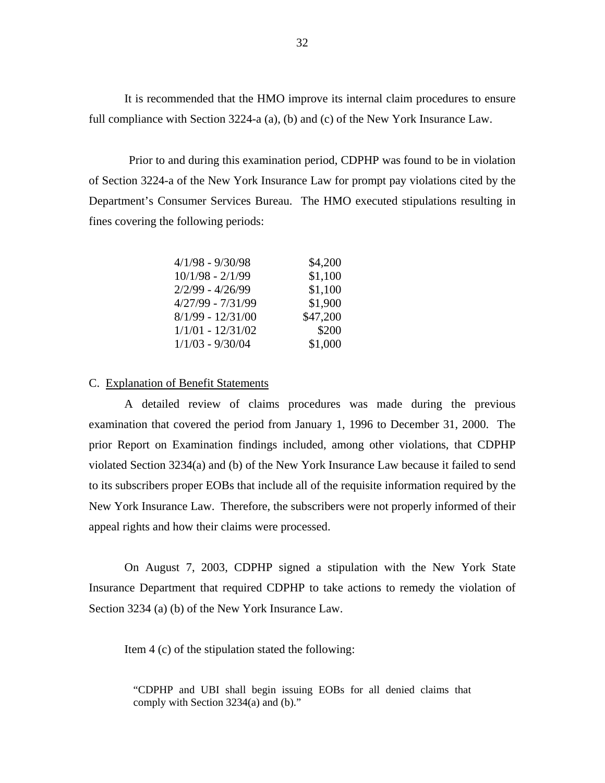It is recommended that the HMO improve its internal claim procedures to ensure full compliance with Section 3224-a (a), (b) and (c) of the New York Insurance Law.

Prior to and during this examination period, CDPHP was found to be in violation of Section 3224-a of the New York Insurance Law for prompt pay violations cited by the Department's Consumer Services Bureau. The HMO executed stipulations resulting in fines covering the following periods:

| $4/1/98 - 9/30/98$  | \$4,200  |
|---------------------|----------|
| $10/1/98 - 2/1/99$  | \$1,100  |
| $2/2/99 - 4/26/99$  | \$1,100  |
| $4/27/99 - 7/31/99$ | \$1,900  |
| $8/1/99 - 12/31/00$ | \$47,200 |
| $1/1/01 - 12/31/02$ | \$200    |
| $1/1/03 - 9/30/04$  | \$1,000  |

#### C. Explanation of Benefit Statements

A detailed review of claims procedures was made during the previous examination that covered the period from January 1, 1996 to December 31, 2000. The prior Report on Examination findings included, among other violations, that CDPHP violated Section 3234(a) and (b) of the New York Insurance Law because it failed to send to its subscribers proper EOBs that include all of the requisite information required by the New York Insurance Law. Therefore, the subscribers were not properly informed of their appeal rights and how their claims were processed.

On August 7, 2003, CDPHP signed a stipulation with the New York State Insurance Department that required CDPHP to take actions to remedy the violation of Section 3234 (a) (b) of the New York Insurance Law.

Item 4 (c) of the stipulation stated the following:

"CDPHP and UBI shall begin issuing EOBs for all denied claims that comply with Section 3234(a) and (b)."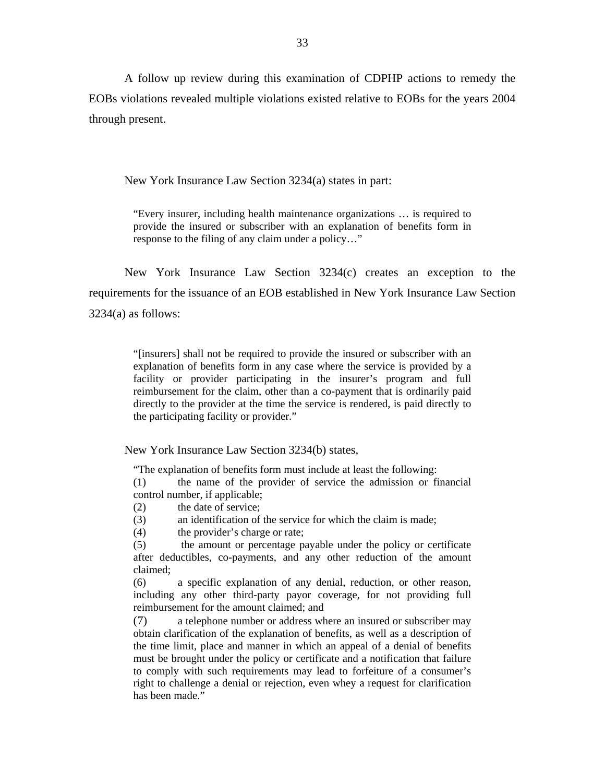A follow up review during this examination of CDPHP actions to remedy the EOBs violations revealed multiple violations existed relative to EOBs for the years 2004 through present.

New York Insurance Law Section 3234(a) states in part:

"Every insurer, including health maintenance organizations … is required to provide the insured or subscriber with an explanation of benefits form in response to the filing of any claim under a policy…"

New York Insurance Law Section 3234(c) creates an exception to the requirements for the issuance of an EOB established in New York Insurance Law Section  $3234(a)$  as follows:

> "[insurers] shall not be required to provide the insured or subscriber with an explanation of benefits form in any case where the service is provided by a facility or provider participating in the insurer's program and full reimbursement for the claim, other than a co-payment that is ordinarily paid directly to the provider at the time the service is rendered, is paid directly to the participating facility or provider."

New York Insurance Law Section 3234(b) states,

"The explanation of benefits form must include at least the following:

(1) the name of the provider of service the admission or financial control number, if applicable;

(2) the date of service;

(3) an identification of the service for which the claim is made;

(4) the provider's charge or rate;

(5) the amount or percentage payable under the policy or certificate after deductibles, co-payments, and any other reduction of the amount claimed;

(6) a specific explanation of any denial, reduction, or other reason, including any other third-party payor coverage, for not providing full reimbursement for the amount claimed; and

(7) a telephone number or address where an insured or subscriber may obtain clarification of the explanation of benefits, as well as a description of the time limit, place and manner in which an appeal of a denial of benefits must be brought under the policy or certificate and a notification that failure to comply with such requirements may lead to forfeiture of a consumer's right to challenge a denial or rejection, even whey a request for clarification has been made."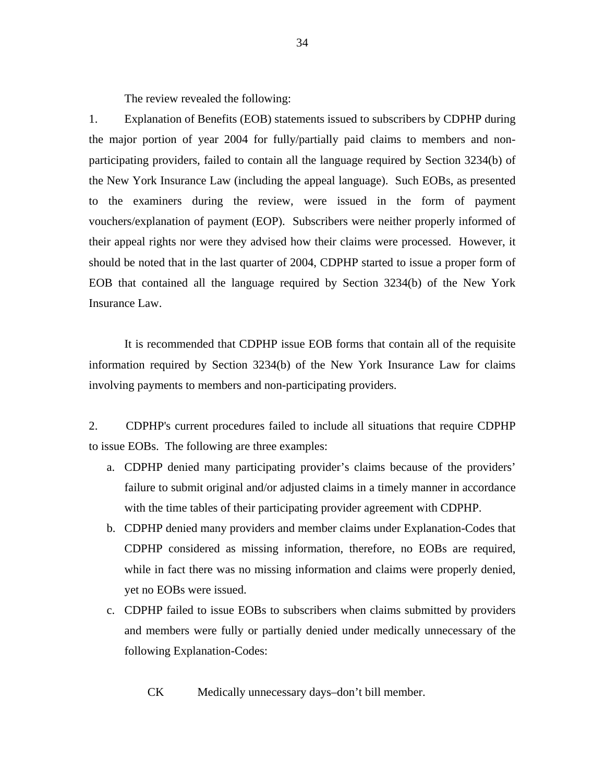The review revealed the following:

1. Explanation of Benefits (EOB) statements issued to subscribers by CDPHP during the major portion of year 2004 for fully/partially paid claims to members and nonparticipating providers, failed to contain all the language required by Section 3234(b) of the New York Insurance Law (including the appeal language). Such EOBs, as presented to the examiners during the review, were issued in the form of payment vouchers/explanation of payment (EOP). Subscribers were neither properly informed of their appeal rights nor were they advised how their claims were processed. However, it should be noted that in the last quarter of 2004, CDPHP started to issue a proper form of EOB that contained all the language required by Section 3234(b) of the New York Insurance Law.

It is recommended that CDPHP issue EOB forms that contain all of the requisite information required by Section 3234(b) of the New York Insurance Law for claims involving payments to members and non-participating providers.

2. CDPHP's current procedures failed to include all situations that require CDPHP to issue EOBs. The following are three examples:

- a. CDPHP denied many participating provider's claims because of the providers' failure to submit original and/or adjusted claims in a timely manner in accordance with the time tables of their participating provider agreement with CDPHP.
- b. CDPHP denied many providers and member claims under Explanation-Codes that CDPHP considered as missing information, therefore, no EOBs are required, while in fact there was no missing information and claims were properly denied, yet no EOBs were issued.
- c. CDPHP failed to issue EOBs to subscribers when claims submitted by providers and members were fully or partially denied under medically unnecessary of the following Explanation-Codes:

CK Medically unnecessary days–don't bill member.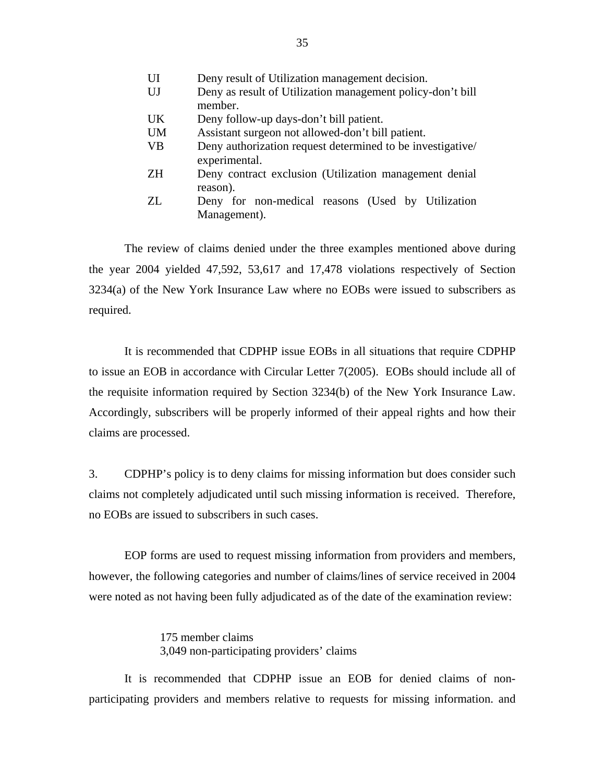| UI        | Deny result of Utilization management decision.                             |
|-----------|-----------------------------------------------------------------------------|
| UJ        | Deny as result of Utilization management policy-don't bill<br>member.       |
| <b>UK</b> | Deny follow-up days-don't bill patient.                                     |
| <b>UM</b> | Assistant surgeon not allowed-don't bill patient.                           |
| <b>VB</b> | Deny authorization request determined to be investigative/<br>experimental. |
| <b>ZH</b> | Deny contract exclusion (Utilization management denial<br>reason).          |
| ZL.       | Deny for non-medical reasons (Used by Utilization<br>Management).           |

The review of claims denied under the three examples mentioned above during the year 2004 yielded 47,592, 53,617 and 17,478 violations respectively of Section 3234(a) of the New York Insurance Law where no EOBs were issued to subscribers as required.

It is recommended that CDPHP issue EOBs in all situations that require CDPHP to issue an EOB in accordance with Circular Letter 7(2005). EOBs should include all of the requisite information required by Section 3234(b) of the New York Insurance Law. Accordingly, subscribers will be properly informed of their appeal rights and how their claims are processed.

3. CDPHP's policy is to deny claims for missing information but does consider such claims not completely adjudicated until such missing information is received. Therefore, no EOBs are issued to subscribers in such cases.

EOP forms are used to request missing information from providers and members, however, the following categories and number of claims/lines of service received in 2004 were noted as not having been fully adjudicated as of the date of the examination review:

> 175 member claims 3,049 non-participating providers' claims

It is recommended that CDPHP issue an EOB for denied claims of nonparticipating providers and members relative to requests for missing information. and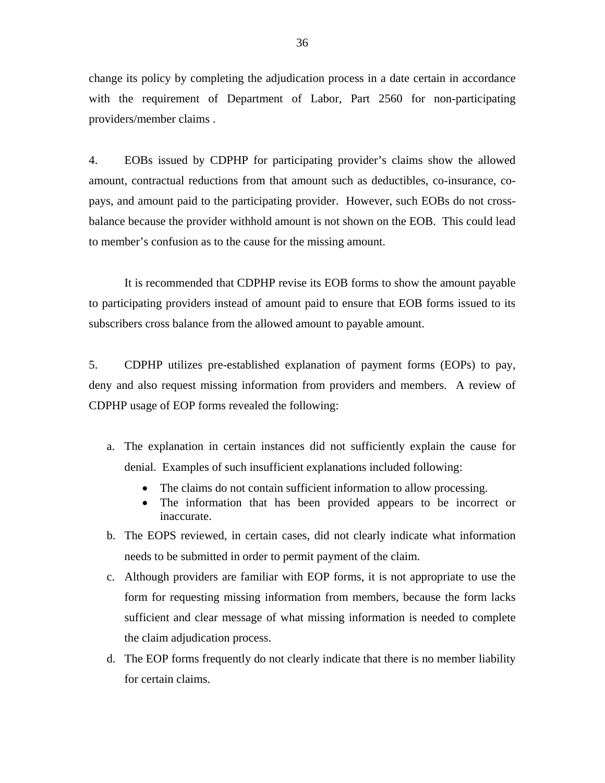change its policy by completing the adjudication process in a date certain in accordance with the requirement of Department of Labor, Part 2560 for non-participating providers/member claims .

4. EOBs issued by CDPHP for participating provider's claims show the allowed amount, contractual reductions from that amount such as deductibles, co-insurance, copays, and amount paid to the participating provider. However, such EOBs do not crossbalance because the provider withhold amount is not shown on the EOB. This could lead to member's confusion as to the cause for the missing amount.

It is recommended that CDPHP revise its EOB forms to show the amount payable to participating providers instead of amount paid to ensure that EOB forms issued to its subscribers cross balance from the allowed amount to payable amount.

5. CDPHP utilizes pre-established explanation of payment forms (EOPs) to pay, deny and also request missing information from providers and members. A review of CDPHP usage of EOP forms revealed the following:

- a. The explanation in certain instances did not sufficiently explain the cause for denial. Examples of such insufficient explanations included following:
	- The claims do not contain sufficient information to allow processing.
	- The information that has been provided appears to be incorrect or inaccurate.
- b. The EOPS reviewed, in certain cases, did not clearly indicate what information needs to be submitted in order to permit payment of the claim.
- c. Although providers are familiar with EOP forms, it is not appropriate to use the form for requesting missing information from members, because the form lacks sufficient and clear message of what missing information is needed to complete the claim adjudication process.
- d. The EOP forms frequently do not clearly indicate that there is no member liability for certain claims.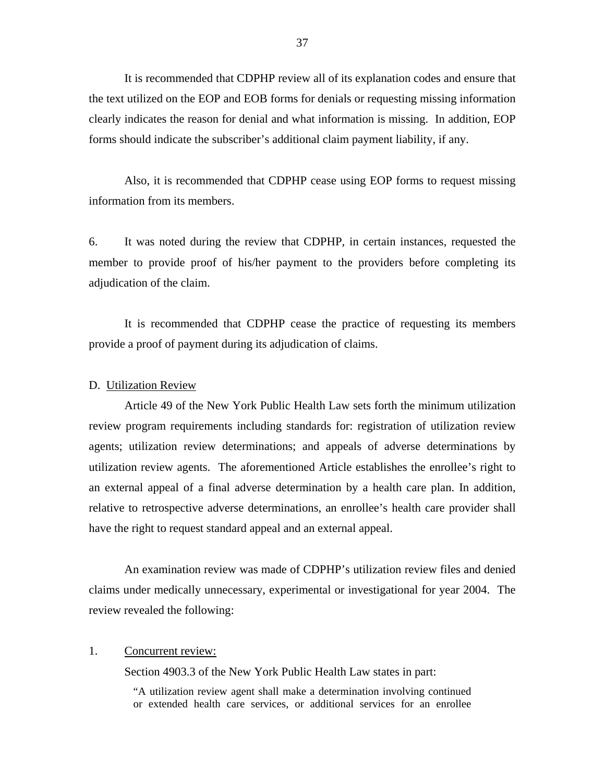It is recommended that CDPHP review all of its explanation codes and ensure that the text utilized on the EOP and EOB forms for denials or requesting missing information clearly indicates the reason for denial and what information is missing. In addition, EOP forms should indicate the subscriber's additional claim payment liability, if any.

Also, it is recommended that CDPHP cease using EOP forms to request missing information from its members.

6. It was noted during the review that CDPHP, in certain instances, requested the member to provide proof of his/her payment to the providers before completing its adjudication of the claim.

It is recommended that CDPHP cease the practice of requesting its members provide a proof of payment during its adjudication of claims.

# D. Utilization Review

Article 49 of the New York Public Health Law sets forth the minimum utilization review program requirements including standards for: registration of utilization review agents; utilization review determinations; and appeals of adverse determinations by utilization review agents. The aforementioned Article establishes the enrollee's right to an external appeal of a final adverse determination by a health care plan. In addition, relative to retrospective adverse determinations, an enrollee's health care provider shall have the right to request standard appeal and an external appeal.

An examination review was made of CDPHP's utilization review files and denied claims under medically unnecessary, experimental or investigational for year 2004. The review revealed the following:

# 1. Concurrent review:

Section 4903.3 of the New York Public Health Law states in part:

"A utilization review agent shall make a determination involving continued or extended health care services, or additional services for an enrollee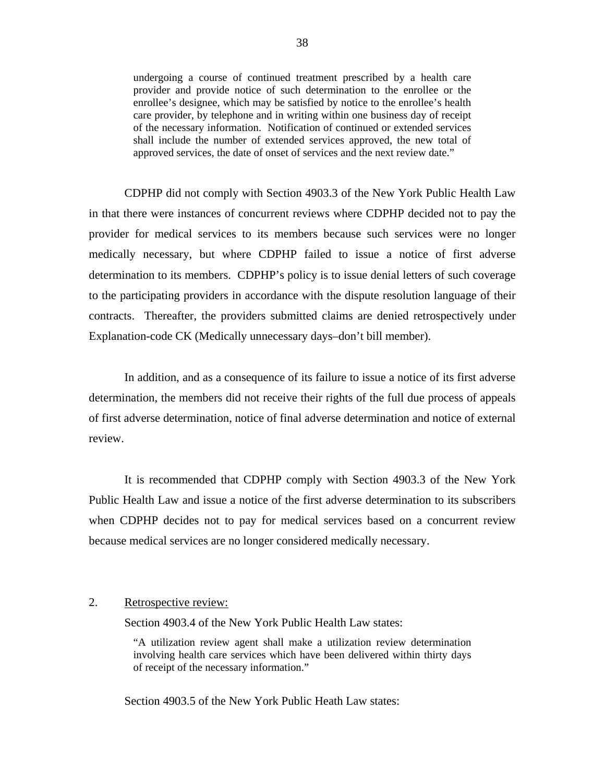undergoing a course of continued treatment prescribed by a health care provider and provide notice of such determination to the enrollee or the enrollee's designee, which may be satisfied by notice to the enrollee's health care provider, by telephone and in writing within one business day of receipt of the necessary information. Notification of continued or extended services shall include the number of extended services approved, the new total of approved services, the date of onset of services and the next review date."

CDPHP did not comply with Section 4903.3 of the New York Public Health Law in that there were instances of concurrent reviews where CDPHP decided not to pay the provider for medical services to its members because such services were no longer medically necessary, but where CDPHP failed to issue a notice of first adverse determination to its members. CDPHP's policy is to issue denial letters of such coverage to the participating providers in accordance with the dispute resolution language of their contracts. Thereafter, the providers submitted claims are denied retrospectively under Explanation-code CK (Medically unnecessary days–don't bill member).

In addition, and as a consequence of its failure to issue a notice of its first adverse determination, the members did not receive their rights of the full due process of appeals of first adverse determination, notice of final adverse determination and notice of external review.

It is recommended that CDPHP comply with Section 4903.3 of the New York Public Health Law and issue a notice of the first adverse determination to its subscribers when CDPHP decides not to pay for medical services based on a concurrent review because medical services are no longer considered medically necessary.

# 2. Retrospective review:

Section 4903.4 of the New York Public Health Law states:

"A utilization review agent shall make a utilization review determination involving health care services which have been delivered within thirty days of receipt of the necessary information."

Section 4903.5 of the New York Public Heath Law states: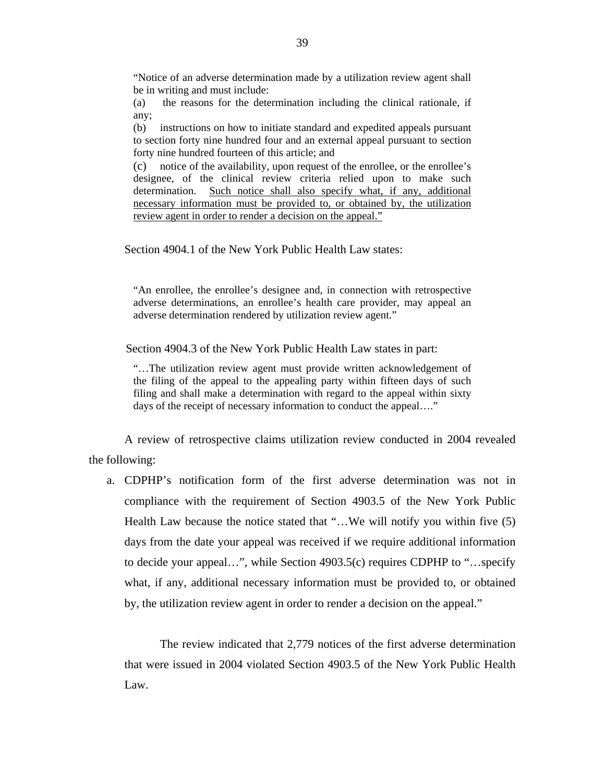"Notice of an adverse determination made by a utilization review agent shall be in writing and must include:

(a) the reasons for the determination including the clinical rationale, if any;

(b) instructions on how to initiate standard and expedited appeals pursuant to section forty nine hundred four and an external appeal pursuant to section forty nine hundred fourteen of this article; and

(c) notice of the availability, upon request of the enrollee, or the enrollee's designee, of the clinical review criteria relied upon to make such determination. Such notice shall also specify what, if any, additional necessary information must be provided to, or obtained by, the utilization review agent in order to render a decision on the appeal."

Section 4904.1 of the New York Public Health Law states:

"An enrollee, the enrollee's designee and, in connection with retrospective adverse determinations, an enrollee's health care provider, may appeal an adverse determination rendered by utilization review agent."

Section 4904.3 of the New York Public Health Law states in part:

"…The utilization review agent must provide written acknowledgement of the filing of the appeal to the appealing party within fifteen days of such filing and shall make a determination with regard to the appeal within sixty days of the receipt of necessary information to conduct the appeal...."

A review of retrospective claims utilization review conducted in 2004 revealed the following:

a. CDPHP's notification form of the first adverse determination was not in compliance with the requirement of Section 4903.5 of the New York Public Health Law because the notice stated that "…We will notify you within five (5) days from the date your appeal was received if we require additional information to decide your appeal…", while Section 4903.5(c) requires CDPHP to "…specify what, if any, additional necessary information must be provided to, or obtained by, the utilization review agent in order to render a decision on the appeal."

The review indicated that 2,779 notices of the first adverse determination that were issued in 2004 violated Section 4903.5 of the New York Public Health Law.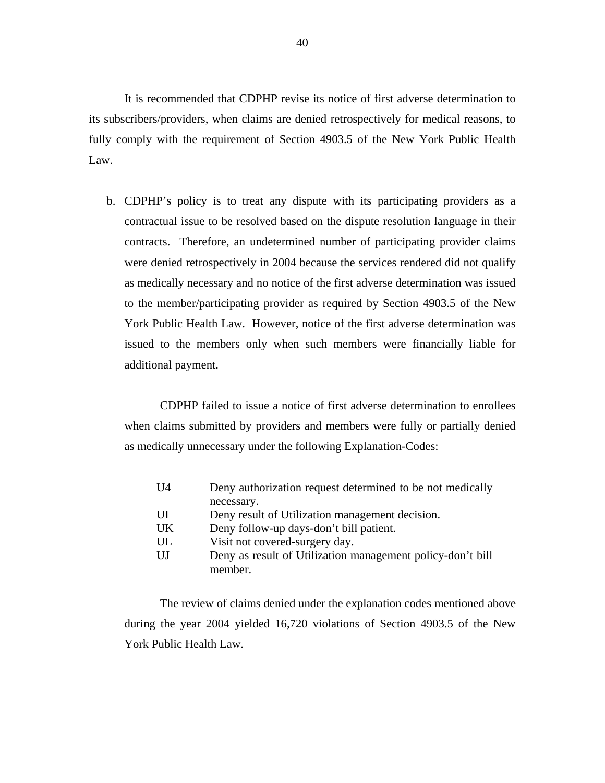It is recommended that CDPHP revise its notice of first adverse determination to its subscribers/providers, when claims are denied retrospectively for medical reasons, to fully comply with the requirement of Section 4903.5 of the New York Public Health Law.

b. CDPHP's policy is to treat any dispute with its participating providers as a contractual issue to be resolved based on the dispute resolution language in their contracts. Therefore, an undetermined number of participating provider claims were denied retrospectively in 2004 because the services rendered did not qualify as medically necessary and no notice of the first adverse determination was issued to the member/participating provider as required by Section 4903.5 of the New York Public Health Law. However, notice of the first adverse determination was issued to the members only when such members were financially liable for additional payment.

CDPHP failed to issue a notice of first adverse determination to enrollees when claims submitted by providers and members were fully or partially denied as medically unnecessary under the following Explanation-Codes:

| U <sub>4</sub> | Deny authorization request determined to be not medically  |
|----------------|------------------------------------------------------------|
|                | necessary.                                                 |
| UI             | Deny result of Utilization management decision.            |
| UK             | Deny follow-up days-don't bill patient.                    |
| UL             | Visit not covered-surgery day.                             |
| UJ             | Deny as result of Utilization management policy-don't bill |
|                | member.                                                    |

The review of claims denied under the explanation codes mentioned above during the year 2004 yielded 16,720 violations of Section 4903.5 of the New York Public Health Law.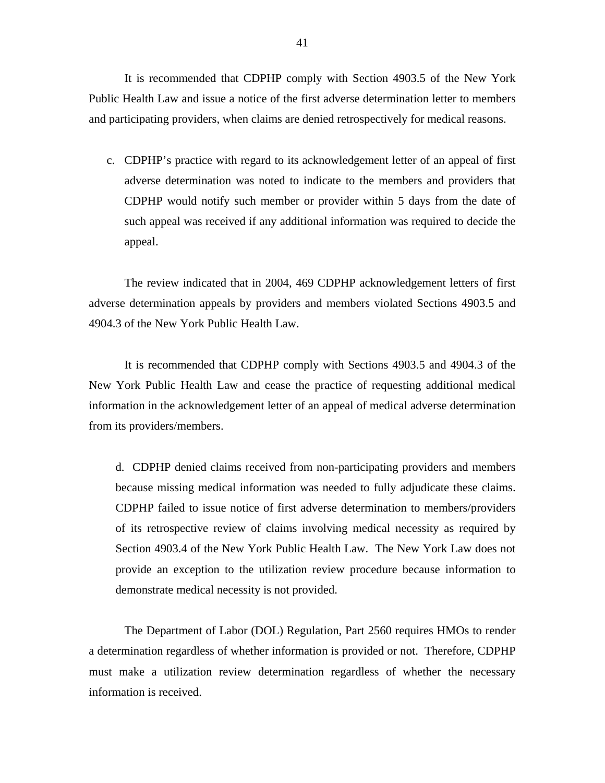It is recommended that CDPHP comply with Section 4903.5 of the New York Public Health Law and issue a notice of the first adverse determination letter to members and participating providers, when claims are denied retrospectively for medical reasons.

c. CDPHP's practice with regard to its acknowledgement letter of an appeal of first adverse determination was noted to indicate to the members and providers that CDPHP would notify such member or provider within 5 days from the date of such appeal was received if any additional information was required to decide the appeal.

The review indicated that in 2004, 469 CDPHP acknowledgement letters of first adverse determination appeals by providers and members violated Sections 4903.5 and 4904.3 of the New York Public Health Law.

It is recommended that CDPHP comply with Sections 4903.5 and 4904.3 of the New York Public Health Law and cease the practice of requesting additional medical information in the acknowledgement letter of an appeal of medical adverse determination from its providers/members.

d. CDPHP denied claims received from non-participating providers and members because missing medical information was needed to fully adjudicate these claims. CDPHP failed to issue notice of first adverse determination to members/providers of its retrospective review of claims involving medical necessity as required by Section 4903.4 of the New York Public Health Law. The New York Law does not provide an exception to the utilization review procedure because information to demonstrate medical necessity is not provided.

The Department of Labor (DOL) Regulation, Part 2560 requires HMOs to render a determination regardless of whether information is provided or not. Therefore, CDPHP must make a utilization review determination regardless of whether the necessary information is received.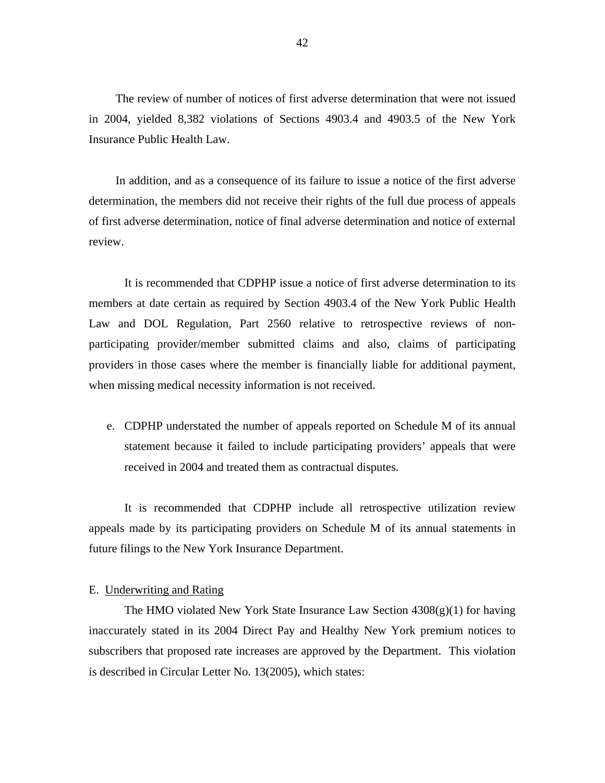The review of number of notices of first adverse determination that were not issued in 2004, yielded 8,382 violations of Sections 4903.4 and 4903.5 of the New York Insurance Public Health Law.

In addition, and as a consequence of its failure to issue a notice of the first adverse determination, the members did not receive their rights of the full due process of appeals of first adverse determination, notice of final adverse determination and notice of external review.

It is recommended that CDPHP issue a notice of first adverse determination to its members at date certain as required by Section 4903.4 of the New York Public Health Law and DOL Regulation, Part 2560 relative to retrospective reviews of nonparticipating provider/member submitted claims and also, claims of participating providers in those cases where the member is financially liable for additional payment, when missing medical necessity information is not received.

e. CDPHP understated the number of appeals reported on Schedule M of its annual statement because it failed to include participating providers' appeals that were received in 2004 and treated them as contractual disputes.

It is recommended that CDPHP include all retrospective utilization review appeals made by its participating providers on Schedule M of its annual statements in future filings to the New York Insurance Department.

# E. Underwriting and Rating

The HMO violated New York State Insurance Law Section  $4308(g)(1)$  for having inaccurately stated in its 2004 Direct Pay and Healthy New York premium notices to subscribers that proposed rate increases are approved by the Department. This violation is described in Circular Letter No. 13(2005), which states: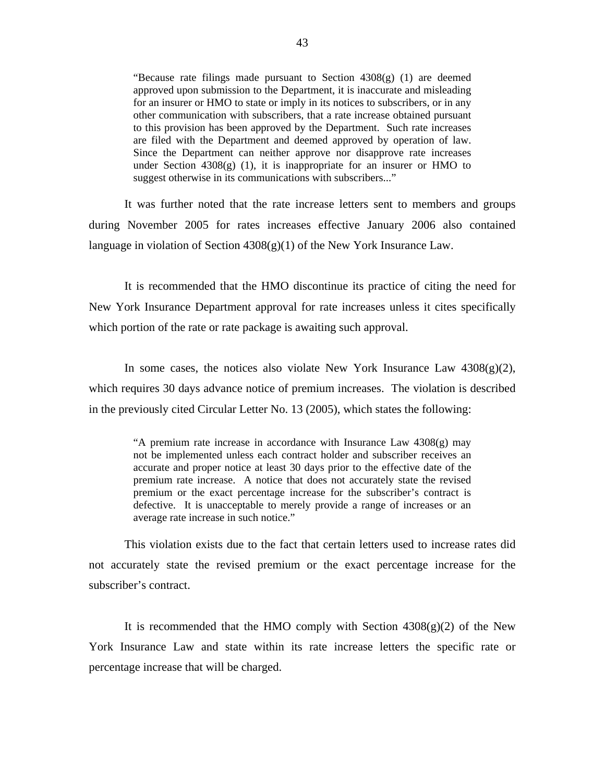"Because rate filings made pursuant to Section 4308(g) (1) are deemed approved upon submission to the Department, it is inaccurate and misleading for an insurer or HMO to state or imply in its notices to subscribers, or in any other communication with subscribers, that a rate increase obtained pursuant to this provision has been approved by the Department. Such rate increases are filed with the Department and deemed approved by operation of law. Since the Department can neither approve nor disapprove rate increases under Section  $4308(g)$  (1), it is inappropriate for an insurer or HMO to suggest otherwise in its communications with subscribers..."

It was further noted that the rate increase letters sent to members and groups during November 2005 for rates increases effective January 2006 also contained language in violation of Section  $4308(g)(1)$  of the New York Insurance Law.

It is recommended that the HMO discontinue its practice of citing the need for New York Insurance Department approval for rate increases unless it cites specifically which portion of the rate or rate package is awaiting such approval.

In some cases, the notices also violate New York Insurance Law  $4308(g)(2)$ , which requires 30 days advance notice of premium increases. The violation is described in the previously cited Circular Letter No. 13 (2005), which states the following:

> "A premium rate increase in accordance with Insurance Law 4308(g) may not be implemented unless each contract holder and subscriber receives an accurate and proper notice at least 30 days prior to the effective date of the premium rate increase. A notice that does not accurately state the revised premium or the exact percentage increase for the subscriber's contract is defective. It is unacceptable to merely provide a range of increases or an average rate increase in such notice."

This violation exists due to the fact that certain letters used to increase rates did not accurately state the revised premium or the exact percentage increase for the subscriber's contract.

It is recommended that the HMO comply with Section  $4308(g)(2)$  of the New York Insurance Law and state within its rate increase letters the specific rate or percentage increase that will be charged.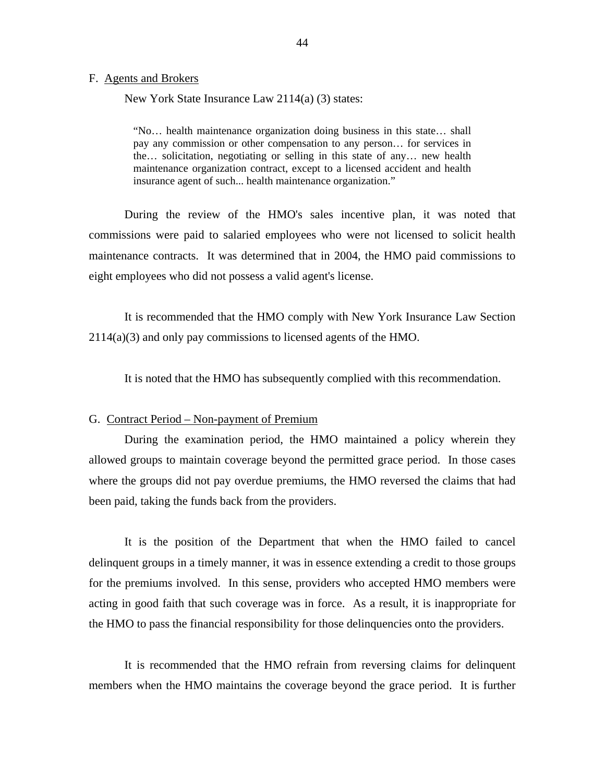#### F. Agents and Brokers

New York State Insurance Law 2114(a) (3) states:

"No… health maintenance organization doing business in this state… shall pay any commission or other compensation to any person… for services in the… solicitation, negotiating or selling in this state of any… new health maintenance organization contract, except to a licensed accident and health insurance agent of such... health maintenance organization."

During the review of the HMO's sales incentive plan, it was noted that commissions were paid to salaried employees who were not licensed to solicit health maintenance contracts. It was determined that in 2004, the HMO paid commissions to eight employees who did not possess a valid agent's license.

It is recommended that the HMO comply with New York Insurance Law Section 2114(a)(3) and only pay commissions to licensed agents of the HMO.

It is noted that the HMO has subsequently complied with this recommendation.

## G. Contract Period – Non-payment of Premium

During the examination period, the HMO maintained a policy wherein they allowed groups to maintain coverage beyond the permitted grace period. In those cases where the groups did not pay overdue premiums, the HMO reversed the claims that had been paid, taking the funds back from the providers.

It is the position of the Department that when the HMO failed to cancel delinquent groups in a timely manner, it was in essence extending a credit to those groups for the premiums involved. In this sense, providers who accepted HMO members were acting in good faith that such coverage was in force. As a result, it is inappropriate for the HMO to pass the financial responsibility for those delinquencies onto the providers.

It is recommended that the HMO refrain from reversing claims for delinquent members when the HMO maintains the coverage beyond the grace period. It is further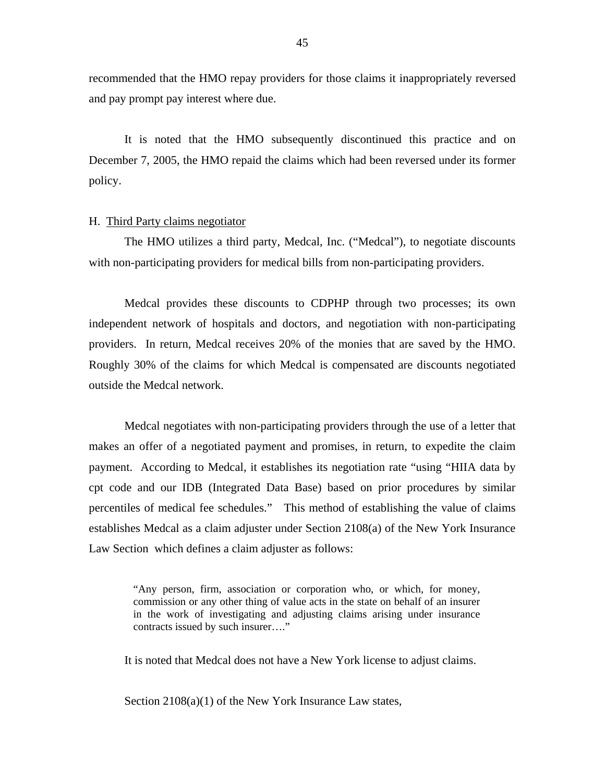recommended that the HMO repay providers for those claims it inappropriately reversed and pay prompt pay interest where due.

It is noted that the HMO subsequently discontinued this practice and on December 7, 2005, the HMO repaid the claims which had been reversed under its former policy.

## H. Third Party claims negotiator

The HMO utilizes a third party, Medcal, Inc. ("Medcal"), to negotiate discounts with non-participating providers for medical bills from non-participating providers.

Medcal provides these discounts to CDPHP through two processes; its own independent network of hospitals and doctors, and negotiation with non-participating providers. In return, Medcal receives 20% of the monies that are saved by the HMO. Roughly 30% of the claims for which Medcal is compensated are discounts negotiated outside the Medcal network.

Medcal negotiates with non-participating providers through the use of a letter that makes an offer of a negotiated payment and promises, in return, to expedite the claim payment. According to Medcal, it establishes its negotiation rate "using "HIIA data by cpt code and our IDB (Integrated Data Base) based on prior procedures by similar percentiles of medical fee schedules." This method of establishing the value of claims establishes Medcal as a claim adjuster under Section 2108(a) of the New York Insurance Law Section which defines a claim adjuster as follows:

> "Any person, firm, association or corporation who, or which, for money, commission or any other thing of value acts in the state on behalf of an insurer in the work of investigating and adjusting claims arising under insurance contracts issued by such insurer…."

It is noted that Medcal does not have a New York license to adjust claims.

Section  $2108(a)(1)$  of the New York Insurance Law states,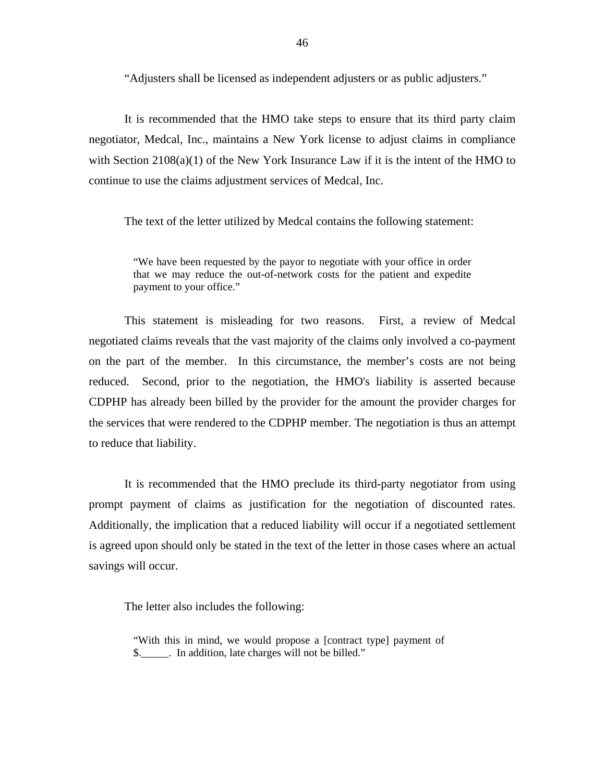"Adjusters shall be licensed as independent adjusters or as public adjusters."

It is recommended that the HMO take steps to ensure that its third party claim negotiator, Medcal, Inc., maintains a New York license to adjust claims in compliance with Section  $2108(a)(1)$  of the New York Insurance Law if it is the intent of the HMO to continue to use the claims adjustment services of Medcal, Inc.

The text of the letter utilized by Medcal contains the following statement:

"We have been requested by the payor to negotiate with your office in order that we may reduce the out-of-network costs for the patient and expedite payment to your office."

This statement is misleading for two reasons. First, a review of Medcal negotiated claims reveals that the vast majority of the claims only involved a co-payment on the part of the member. In this circumstance, the member's costs are not being reduced. Second, prior to the negotiation, the HMO's liability is asserted because CDPHP has already been billed by the provider for the amount the provider charges for the services that were rendered to the CDPHP member. The negotiation is thus an attempt to reduce that liability.

It is recommended that the HMO preclude its third-party negotiator from using prompt payment of claims as justification for the negotiation of discounted rates. Additionally, the implication that a reduced liability will occur if a negotiated settlement is agreed upon should only be stated in the text of the letter in those cases where an actual savings will occur.

The letter also includes the following:

"With this in mind, we would propose a [contract type] payment of \$.\_\_\_\_\_. In addition, late charges will not be billed."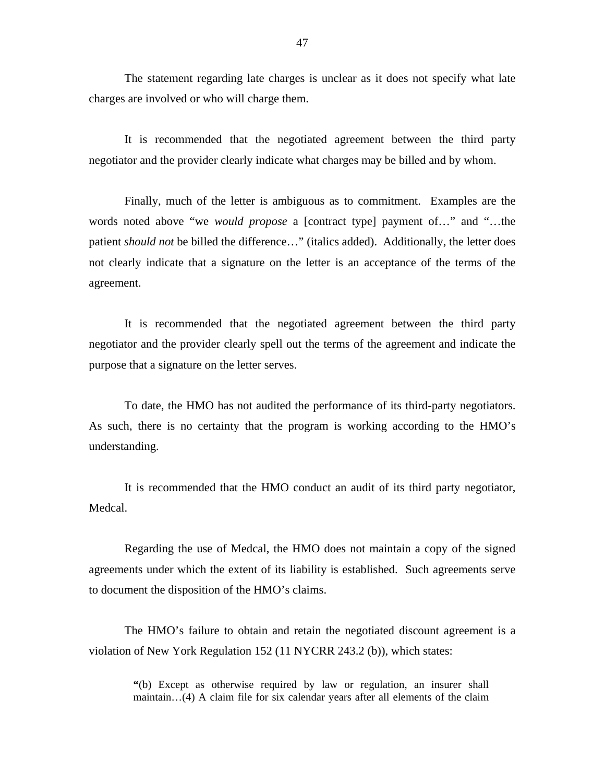The statement regarding late charges is unclear as it does not specify what late charges are involved or who will charge them.

It is recommended that the negotiated agreement between the third party negotiator and the provider clearly indicate what charges may be billed and by whom.

Finally, much of the letter is ambiguous as to commitment. Examples are the words noted above "we *would propose* a [contract type] payment of…" and "…the patient *should not* be billed the difference…" (italics added). Additionally, the letter does not clearly indicate that a signature on the letter is an acceptance of the terms of the agreement.

It is recommended that the negotiated agreement between the third party negotiator and the provider clearly spell out the terms of the agreement and indicate the purpose that a signature on the letter serves.

To date, the HMO has not audited the performance of its third-party negotiators. As such, there is no certainty that the program is working according to the HMO's understanding.

It is recommended that the HMO conduct an audit of its third party negotiator, Medcal.

Regarding the use of Medcal, the HMO does not maintain a copy of the signed agreements under which the extent of its liability is established. Such agreements serve to document the disposition of the HMO's claims.

The HMO's failure to obtain and retain the negotiated discount agreement is a violation of New York Regulation 152 (11 NYCRR 243.2 (b)), which states:

> **"**(b) Except as otherwise required by law or regulation, an insurer shall maintain…(4) A claim file for six calendar years after all elements of the claim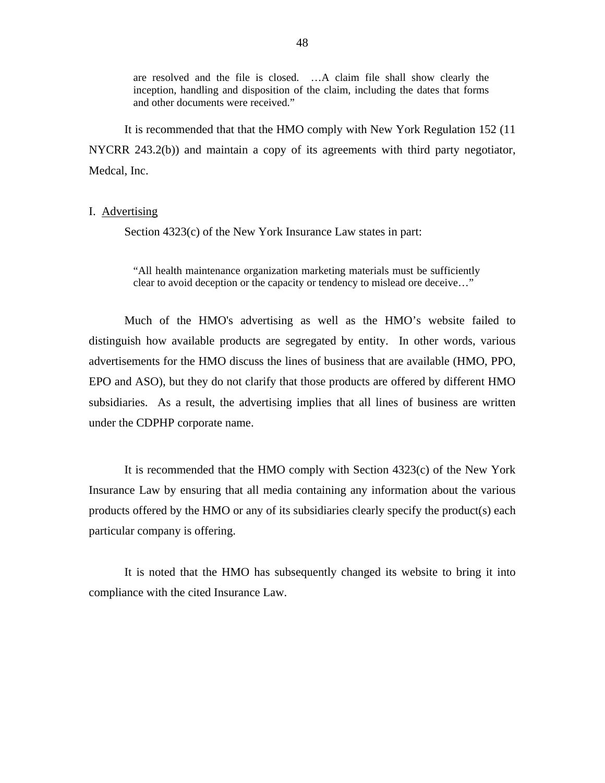are resolved and the file is closed. …A claim file shall show clearly the inception, handling and disposition of the claim, including the dates that forms and other documents were received."

It is recommended that that the HMO comply with New York Regulation 152 (11 NYCRR 243.2(b)) and maintain a copy of its agreements with third party negotiator, Medcal, Inc.

# I. Advertising

Section 4323(c) of the New York Insurance Law states in part:

"All health maintenance organization marketing materials must be sufficiently clear to avoid deception or the capacity or tendency to mislead ore deceive…"

Much of the HMO's advertising as well as the HMO's website failed to distinguish how available products are segregated by entity. In other words, various advertisements for the HMO discuss the lines of business that are available (HMO, PPO, EPO and ASO), but they do not clarify that those products are offered by different HMO subsidiaries. As a result, the advertising implies that all lines of business are written under the CDPHP corporate name.

It is recommended that the HMO comply with Section 4323(c) of the New York Insurance Law by ensuring that all media containing any information about the various products offered by the HMO or any of its subsidiaries clearly specify the product(s) each particular company is offering.

It is noted that the HMO has subsequently changed its website to bring it into compliance with the cited Insurance Law.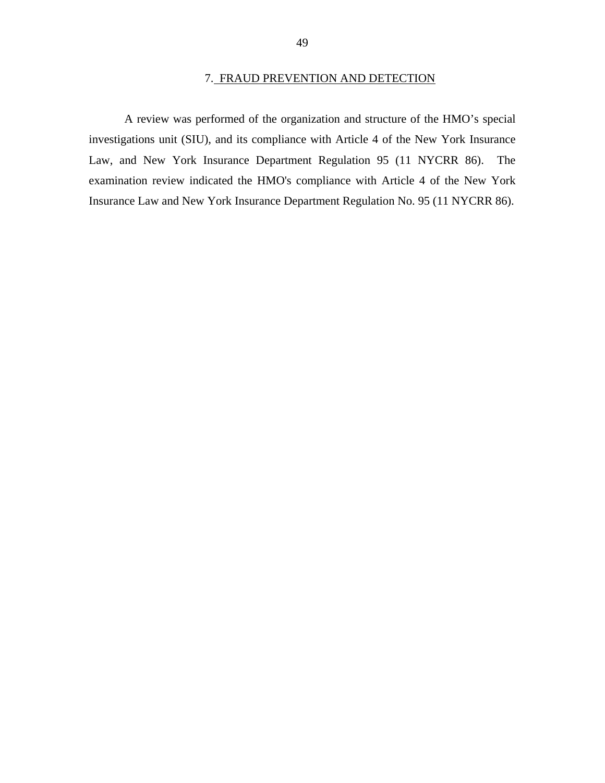A review was performed of the organization and structure of the HMO's special investigations unit (SIU), and its compliance with Article 4 of the New York Insurance Law, and New York Insurance Department Regulation 95 (11 NYCRR 86). The examination review indicated the HMO's compliance with Article 4 of the New York Insurance Law and New York Insurance Department Regulation No. 95 (11 NYCRR 86).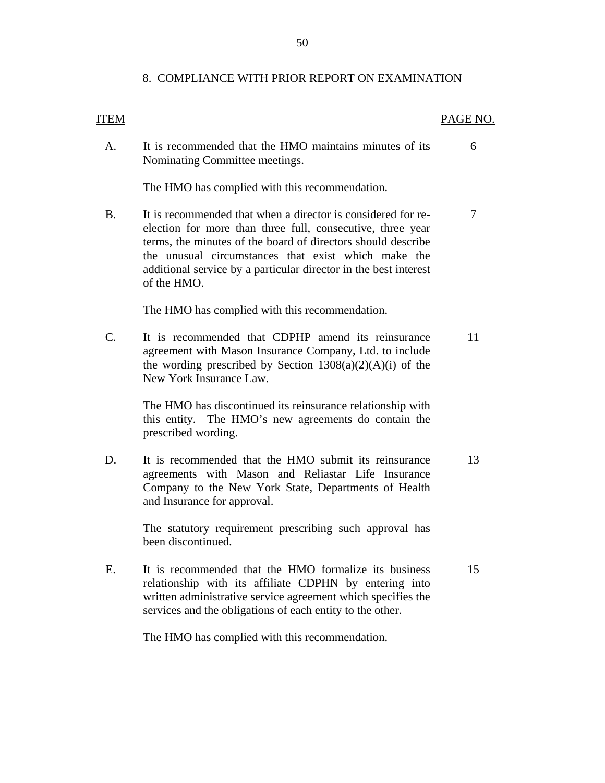# 8. COMPLIANCE WITH PRIOR REPORT ON EXAMINATION

# **ITEM** PAGE NO. A. It is recommended that the HMO maintains minutes of its Nominating Committee meetings. 6 The HMO has complied with this recommendation. B. It is recommended that when a director is considered for reelection for more than three full, consecutive, three year terms, the minutes of the board of directors should describe the unusual circumstances that exist which make the additional service by a particular director in the best interest of the HMO. 7 The HMO has complied with this recommendation. C. It is recommended that CDPHP amend its reinsurance agreement with Mason Insurance Company, Ltd. to include the wording prescribed by Section  $1308(a)(2)(A)(i)$  of the New York Insurance Law. 11 The HMO has discontinued its reinsurance relationship with this entity. The HMO's new agreements do contain the prescribed wording. D. It is recommended that the HMO submit its reinsurance agreements with Mason and Reliastar Life Insurance Company to the New York State, Departments of Health and Insurance for approval. 13 The statutory requirement prescribing such approval has been discontinued. E. It is recommended that the HMO formalize its business relationship with its affiliate CDPHN by entering into written administrative service agreement which specifies the services and the obligations of each entity to the other. 15 The HMO has complied with this recommendation.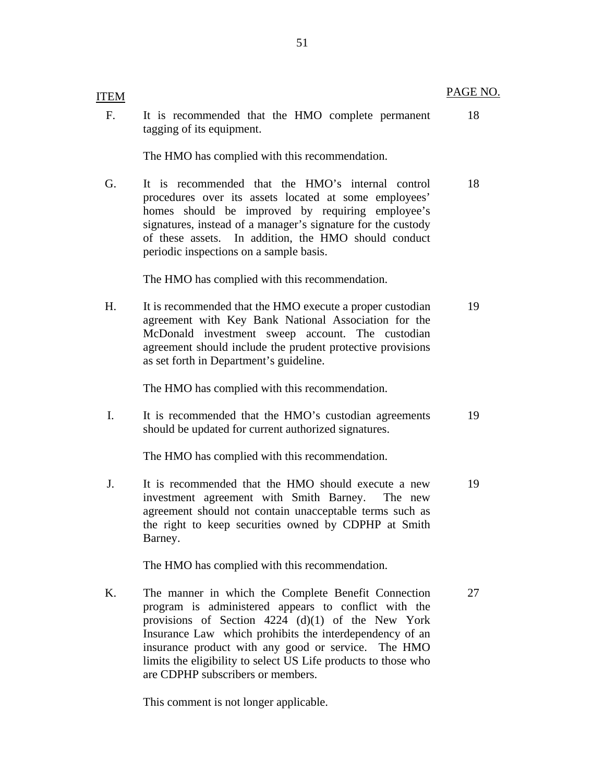18

|    | tagging of its equipment.                                                                                                                                                                                                                                                                                                                                                                 |    |
|----|-------------------------------------------------------------------------------------------------------------------------------------------------------------------------------------------------------------------------------------------------------------------------------------------------------------------------------------------------------------------------------------------|----|
|    | The HMO has complied with this recommendation.                                                                                                                                                                                                                                                                                                                                            |    |
| G. | It is recommended that the HMO's internal control<br>procedures over its assets located at some employees'<br>should be improved by requiring employee's<br>homes<br>signatures, instead of a manager's signature for the custody<br>of these assets. In addition, the HMO should conduct<br>periodic inspections on a sample basis.                                                      | 18 |
|    | The HMO has complied with this recommendation.                                                                                                                                                                                                                                                                                                                                            |    |
| H. | It is recommended that the HMO execute a proper custodian<br>agreement with Key Bank National Association for the<br>McDonald investment sweep account. The custodian<br>agreement should include the prudent protective provisions<br>as set forth in Department's guideline.                                                                                                            | 19 |
|    | The HMO has complied with this recommendation.                                                                                                                                                                                                                                                                                                                                            |    |
| I. | It is recommended that the HMO's custodian agreements<br>should be updated for current authorized signatures.                                                                                                                                                                                                                                                                             | 19 |
|    | The HMO has complied with this recommendation.                                                                                                                                                                                                                                                                                                                                            |    |
| J. | It is recommended that the HMO should execute a new<br>investment agreement with Smith Barney.<br>The new<br>agreement should not contain unacceptable terms such as<br>the right to keep securities owned by CDPHP at Smith<br>Barney.                                                                                                                                                   | 19 |
|    | The HMO has complied with this recommendation.                                                                                                                                                                                                                                                                                                                                            |    |
| K. | The manner in which the Complete Benefit Connection<br>program is administered appears to conflict with the<br>provisions of Section 4224 (d)(1) of the New York<br>Insurance Law which prohibits the interdependency of an<br>insurance product with any good or service. The HMO<br>limits the eligibility to select US Life products to those who<br>are CDPHP subscribers or members. | 27 |

This comment is not longer applicable.

F. It is recommended that the HMO complete permanent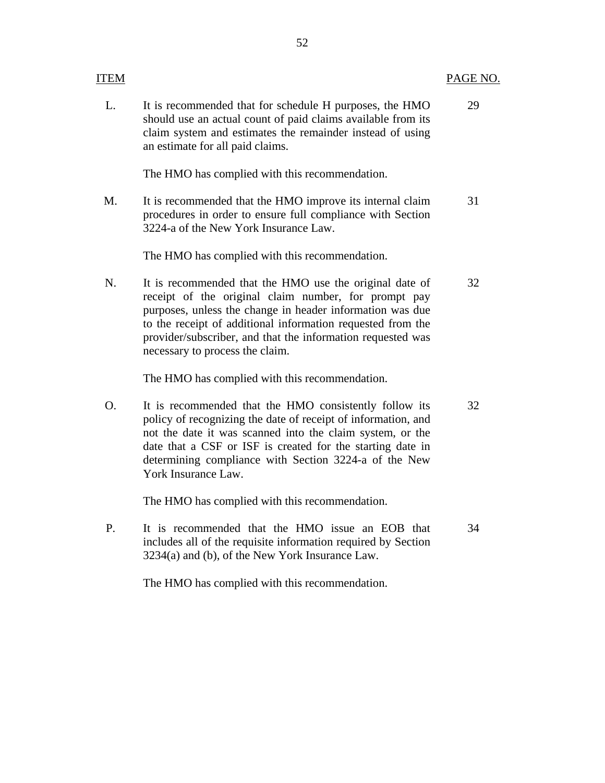| ITEM |                                                                                                                                                                                                                                                                                                                                               | PAGE NO. |
|------|-----------------------------------------------------------------------------------------------------------------------------------------------------------------------------------------------------------------------------------------------------------------------------------------------------------------------------------------------|----------|
| L.   | It is recommended that for schedule H purposes, the HMO<br>should use an actual count of paid claims available from its<br>claim system and estimates the remainder instead of using<br>an estimate for all paid claims.                                                                                                                      | 29       |
|      | The HMO has complied with this recommendation.                                                                                                                                                                                                                                                                                                |          |
| M.   | It is recommended that the HMO improve its internal claim<br>procedures in order to ensure full compliance with Section<br>3224-a of the New York Insurance Law.                                                                                                                                                                              | 31       |
|      | The HMO has complied with this recommendation.                                                                                                                                                                                                                                                                                                |          |
| N.   | It is recommended that the HMO use the original date of<br>receipt of the original claim number, for prompt pay<br>purposes, unless the change in header information was due<br>to the receipt of additional information requested from the<br>provider/subscriber, and that the information requested was<br>necessary to process the claim. | 32       |
|      | The HMO has complied with this recommendation.                                                                                                                                                                                                                                                                                                |          |
| O.   | It is recommended that the HMO consistently follow its<br>policy of recognizing the date of receipt of information, and<br>not the date it was scanned into the claim system, or the<br>date that a CSF or ISF is created for the starting date in<br>determining compliance with Section 3224-a of the New<br>York Insurance Law.            | 32       |
|      | The HMO has complied with this recommendation.                                                                                                                                                                                                                                                                                                |          |
| P.   | It is recommended that the HMO issue an EOB that<br>includes all of the requisite information required by Section<br>3234(a) and (b), of the New York Insurance Law.                                                                                                                                                                          | 34       |
|      | The HMO has complied with this recommendation.                                                                                                                                                                                                                                                                                                |          |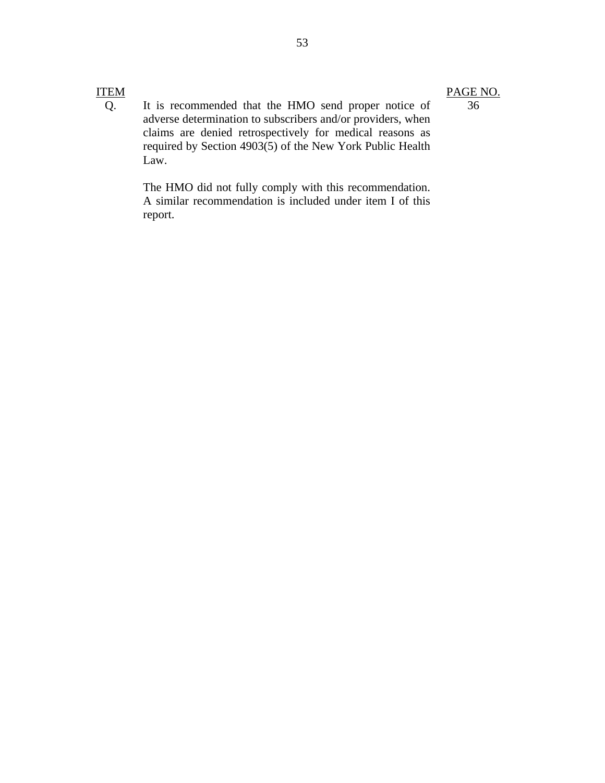Q. It is recommended that the HMO send proper notice of adverse determination to subscribers and/or providers, when claims are denied retrospectively for medical reasons as required by Section 4903(5) of the New York Public Health Law.

> The HMO did not fully comply with this recommendation. A similar recommendation is included under item I of this report.

# PAGE NO.

# 36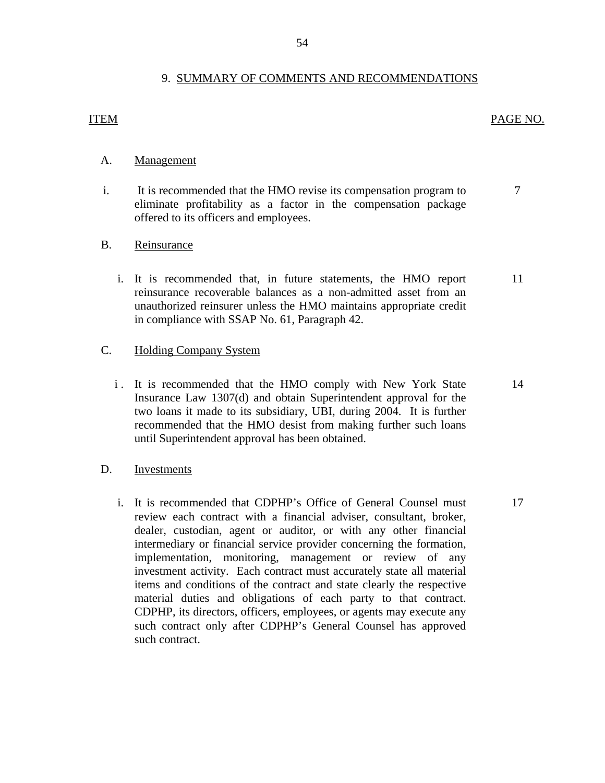# 9. SUMMARY OF COMMENTS AND RECOMMENDATIONS

# **ITEM**

# PAGE NO.

7

# Management

A. Management<br>i. It is recommended that the HMO revise its compensation program to eliminate profitability as a factor in the compensation package offered to its officers and employees.

# Reinsurance

B. <u>Reinsurance</u><br>i. It is recommended that, in future statements, the HMO report reinsurance recoverable balances as a non-admitted asset from an unauthorized reinsurer unless the HMO maintains appropriate credit in compliance with SSAP No. 61, Paragraph 42. 11

# **Holding Company System**

until Superintendent approval has been obtained. C. Holding Company System<br>i. It is recommended that the HMO comply with New York State Insurance Law 1307(d) and obtain Superintendent approval for the two loans it made to its subsidiary, UBI, during 2004. It is further recommended that the HMO desist from making further such loans It is recommended that the HMO comply with New York State 14<br>Insurance Law 1307(d) and obtain Superintendent approval for the<br>two loans it made to its subsidiary, UBI, during 2004. It is further<br>recommended that the HMO de

# Investments

D. Investments<br>i. It is recommended that CDPHP's Office of General Counsel must review each contract with a financial adviser, consultant, broker, dealer, custodian, agent or auditor, or with any other financial intermediary or financial service provider concerning the formation, implementation, monitoring, management or review of any investment activity. Each contract must accurately state all material items and conditions of the contract and state clearly the respective material duties and obligations of each party to that contract. CDPHP, its directors, officers, employees, or agents may execute any such contract only after CDPHP's General Counsel has approved such contract. 17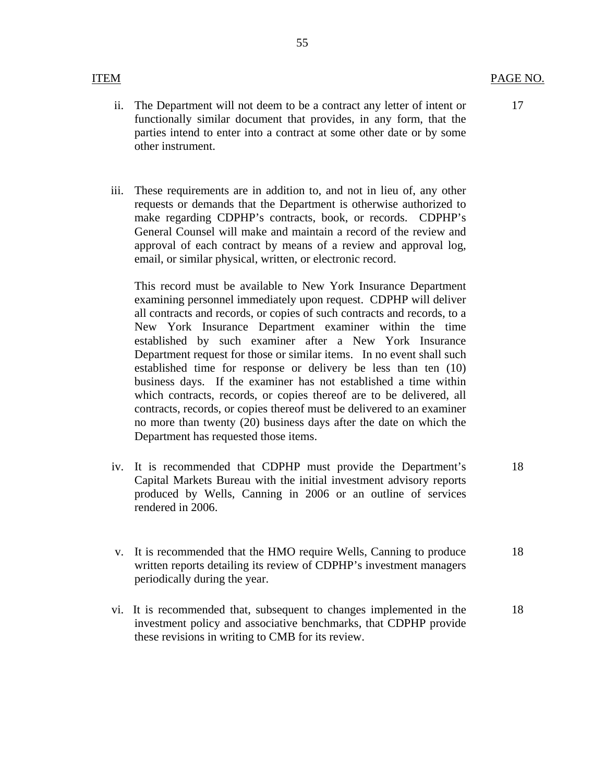- ii. The Department will not deem to be a contract any letter of intent or functionally similar document that provides, in any form, that the parties intend to enter into a contract at some other date or by some other instrument.
- iii. These requirements are in addition to, and not in lieu of, any other requests or demands that the Department is otherwise authorized to make regarding CDPHP's contracts, book, or records. CDPHP's General Counsel will make and maintain a record of the review and approval of each contract by means of a review and approval log, email, or similar physical, written, or electronic record.

This record must be available to New York Insurance Department examining personnel immediately upon request. CDPHP will deliver all contracts and records, or copies of such contracts and records, to a New York Insurance Department examiner within the time established by such examiner after a New York Insurance Department request for those or similar items. In no event shall such established time for response or delivery be less than ten (10) business days. If the examiner has not established a time within which contracts, records, or copies thereof are to be delivered, all contracts, records, or copies thereof must be delivered to an examiner no more than twenty (20) business days after the date on which the Department has requested those items.

- iv. It is recommended that CDPHP must provide the Department's Capital Markets Bureau with the initial investment advisory reports produced by Wells, Canning in 2006 or an outline of services rendered in 2006. 18
- v. It is recommended that the HMO require Wells, Canning to produce written reports detailing its review of CDPHP's investment managers periodically during the year.
- vi. It is recommended that, subsequent to changes implemented in the investment policy and associative benchmarks, that CDPHP provide these revisions in writing to CMB for its review.

17

18

18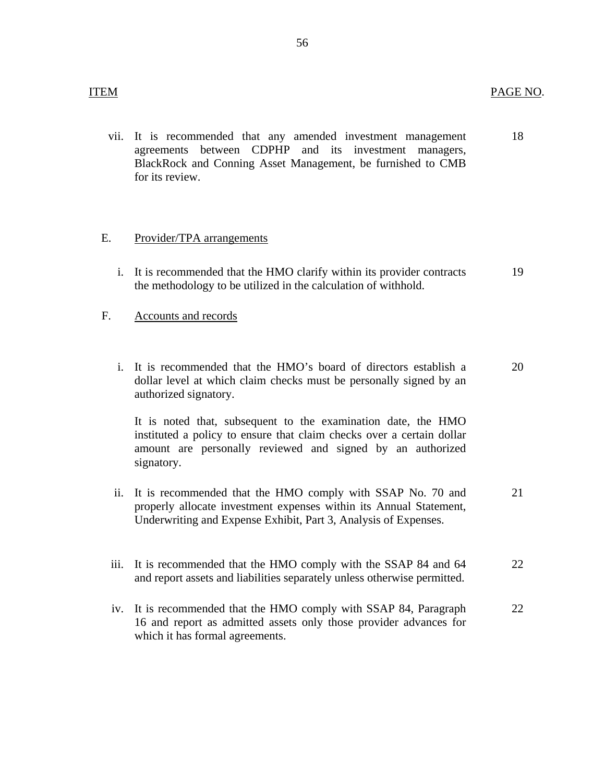vii. It is recommended that any amended investment management agreements between CDPHP and its investment managers, BlackRock and Conning Asset Management, be furnished to CMB for its review. 18

# Provider/TPA arrangements

E. Provider/TPA arrangements<br>i. It is recommended that the HMO clarify within its provider contracts the methodology to be utilized in the calculation of withhold. 19

# Accounts and records

F. Accounts and records<br>i. It is recommended that the HMO's board of directors establish a dollar level at which claim checks must be personally signed by an authorized signatory. 20

It is noted that, subsequent to the examination date, the HMO instituted a policy to ensure that claim checks over a certain dollar amount are personally reviewed and signed by an authorized signatory.

- ii. It is recommended that the HMO comply with SSAP No. 70 and properly allocate investment expenses within its Annual Statement, Underwriting and Expense Exhibit, Part 3, Analysis of Expenses. 21
- iii. It is recommended that the HMO comply with the SSAP 84 and 64 and report assets and liabilities separately unless otherwise permitted. 22
- iv. It is recommended that the HMO comply with SSAP 84, Paragraph 16 and report as admitted assets only those provider advances for which it has formal agreements. 22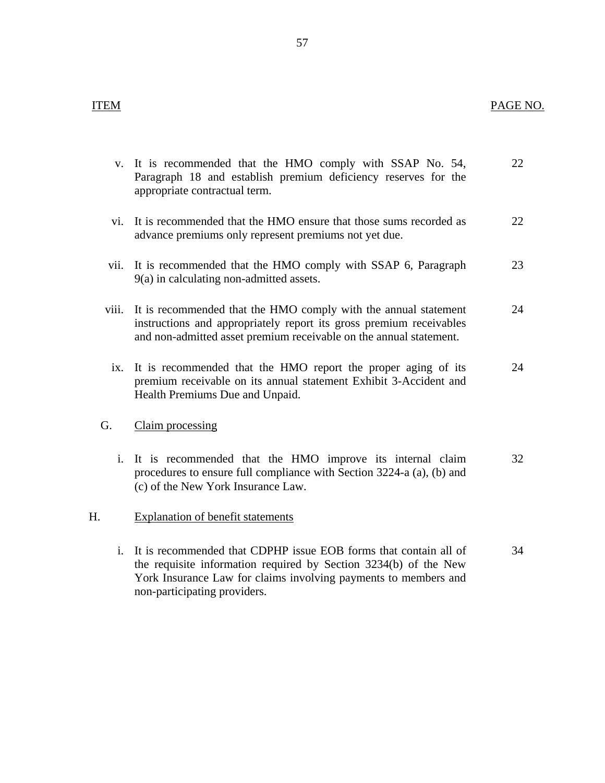|                | v. It is recommended that the HMO comply with SSAP No. 54,<br>Paragraph 18 and establish premium deficiency reserves for the<br>appropriate contractual term.                                                                           | 22 |
|----------------|-----------------------------------------------------------------------------------------------------------------------------------------------------------------------------------------------------------------------------------------|----|
|                | vi. It is recommended that the HMO ensure that those sums recorded as<br>advance premiums only represent premiums not yet due.                                                                                                          | 22 |
| vii.           | It is recommended that the HMO comply with SSAP 6, Paragraph<br>9(a) in calculating non-admitted assets.                                                                                                                                | 23 |
| viii.          | It is recommended that the HMO comply with the annual statement<br>instructions and appropriately report its gross premium receivables<br>and non-admitted asset premium receivable on the annual statement.                            | 24 |
| ix.            | It is recommended that the HMO report the proper aging of its<br>premium receivable on its annual statement Exhibit 3-Accident and<br>Health Premiums Due and Unpaid.                                                                   | 24 |
| G.             | Claim processing                                                                                                                                                                                                                        |    |
| $i$ .          | It is recommended that the HMO improve its internal claim<br>procedures to ensure full compliance with Section 3224-a (a), (b) and<br>(c) of the New York Insurance Law.                                                                | 32 |
| Н.             | <b>Explanation of benefit statements</b>                                                                                                                                                                                                |    |
| $\mathbf{i}$ . | It is recommended that CDPHP issue EOB forms that contain all of<br>the requisite information required by Section 3234(b) of the New<br>York Insurance Law for claims involving payments to members and<br>non-participating providers. | 34 |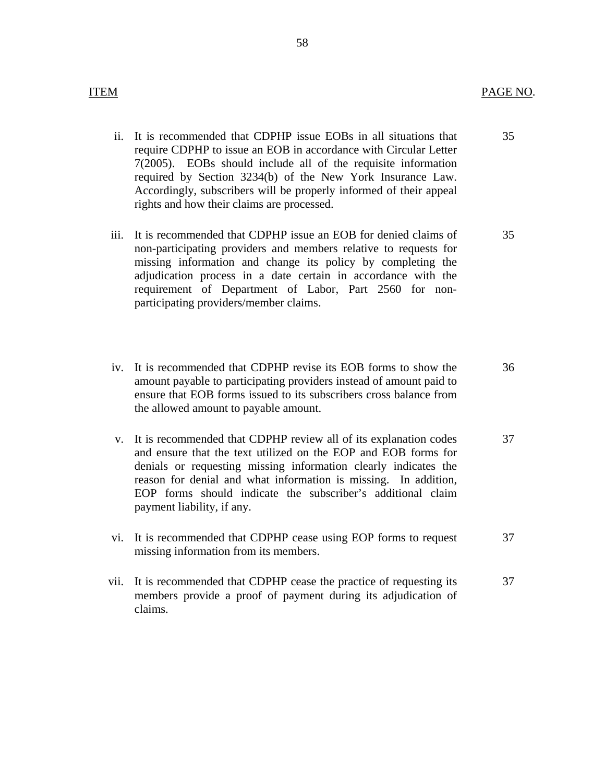- ii. It is recommended that CDPHP issue EOBs in all situations that require CDPHP to issue an EOB in accordance with Circular Letter 7(2005). EOBs should include all of the requisite information required by Section 3234(b) of the New York Insurance Law. Accordingly, subscribers will be properly informed of their appeal rights and how their claims are processed.
- iii. It is recommended that CDPHP issue an EOB for denied claims of non-participating providers and members relative to requests for missing information and change its policy by completing the adjudication process in a date certain in accordance with the requirement of Department of Labor, Part 2560 for nonparticipating providers/member claims. 35
- iv. It is recommended that CDPHP revise its EOB forms to show the amount payable to participating providers instead of amount paid to ensure that EOB forms issued to its subscribers cross balance from the allowed amount to payable amount. 36
- v. It is recommended that CDPHP review all of its explanation codes and ensure that the text utilized on the EOP and EOB forms for denials or requesting missing information clearly indicates the reason for denial and what information is missing. In addition, EOP forms should indicate the subscriber's additional claim payment liability, if any. 37
- vi. It is recommended that CDPHP cease using EOP forms to request missing information from its members. 37
- vii. It is recommended that CDPHP cease the practice of requesting its members provide a proof of payment during its adjudication of claims. 37

35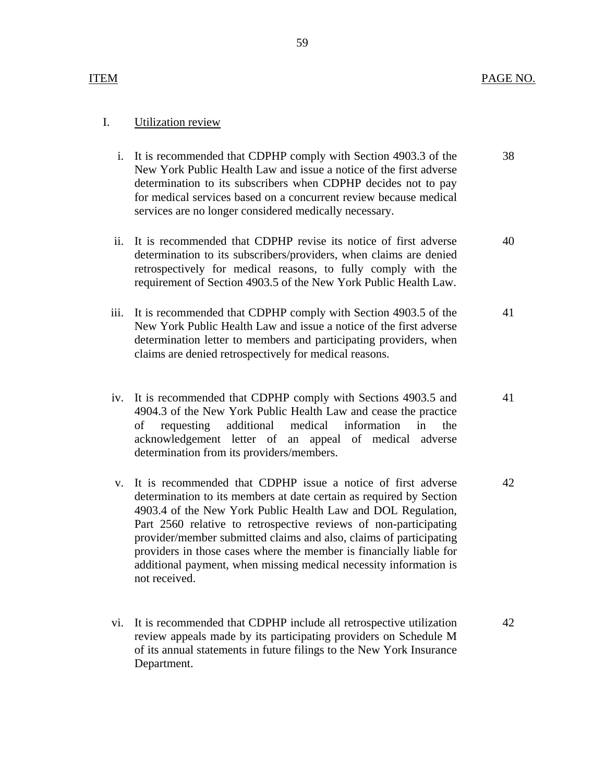# Utilization review

- I. Utilization review<br>i. It is recommended that CDPHP comply with Section 4903.3 of the New York Public Health Law and issue a notice of the first adverse determination to its subscribers when CDPHP decides not to pay for medical services based on a concurrent review because medical services are no longer considered medically necessary. 38
	- ii. It is recommended that CDPHP revise its notice of first adverse determination to its subscribers/providers, when claims are denied retrospectively for medical reasons, to fully comply with the requirement of Section 4903.5 of the New York Public Health Law. 40
	- iii. It is recommended that CDPHP comply with Section 4903.5 of the New York Public Health Law and issue a notice of the first adverse determination letter to members and participating providers, when claims are denied retrospectively for medical reasons. 41
	- iv. It is recommended that CDPHP comply with Sections 4903.5 and 4904.3 of the New York Public Health Law and cease the practice of requesting additional medical information in the acknowledgement letter of an appeal of medical adverse determination from its providers/members. 41
	- v. It is recommended that CDPHP issue a notice of first adverse determination to its members at date certain as required by Section 4903.4 of the New York Public Health Law and DOL Regulation, Part 2560 relative to retrospective reviews of non-participating provider/member submitted claims and also, claims of participating providers in those cases where the member is financially liable for additional payment, when missing medical necessity information is not received. 42
	- vi. It is recommended that CDPHP include all retrospective utilization review appeals made by its participating providers on Schedule M of its annual statements in future filings to the New York Insurance Department. 42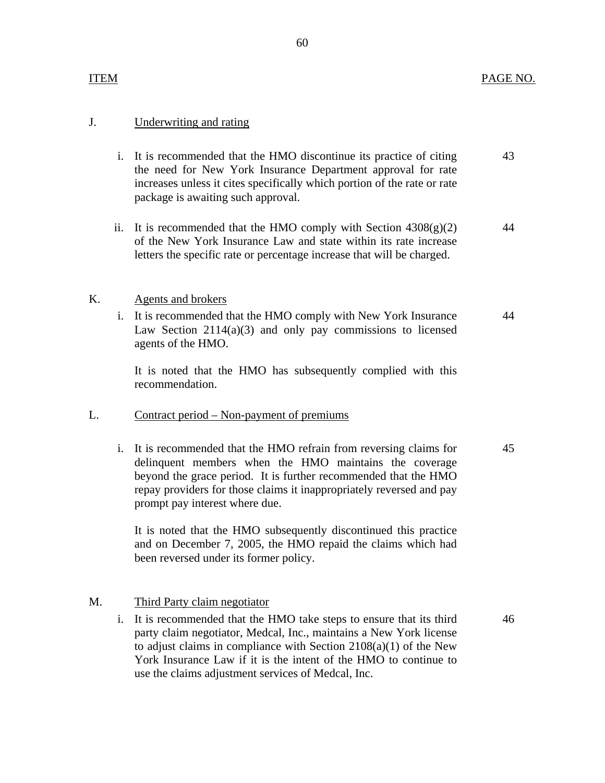# Underwriting and rating

- J. Underwriting and rating<br>i. It is recommended that the HMO discontinue its practice of citing the need for New York Insurance Department approval for rate increases unless it cites specifically which portion of the rate or rate package is awaiting such approval. 43
	- ii. It is recommended that the HMO comply with Section  $4308(g)(2)$ of the New York Insurance Law and state within its rate increase letters the specific rate or percentage increase that will be charged. 44

#### Agents and brokers K.

Agents and brokers<br>i. It is recommended that the HMO comply with New York Insurance Law Section 2114(a)(3) and only pay commissions to licensed agents of the HMO.

It is noted that the HMO has subsequently complied with this recommendation.

# Contract period – Non-payment of premiums

L. Contract period – Non-payment of premiums<br>i. It is recommended that the HMO refrain from reversing claims for delinquent members when the HMO maintains the coverage beyond the grace period. It is further recommended that the HMO repay providers for those claims it inappropriately reversed and pay prompt pay interest where due. 45

> It is noted that the HMO subsequently discontinued this practice and on December 7, 2005, the HMO repaid the claims which had been reversed under its former policy.

#### Third Party claim negotiator M.

Third Party claim negotiator<br>i. It is recommended that the HMO take steps to ensure that its third party claim negotiator, Medcal, Inc., maintains a New York license to adjust claims in compliance with Section 2108(a)(1) of the New York Insurance Law if it is the intent of the HMO to continue to use the claims adjustment services of Medcal, Inc.

46

44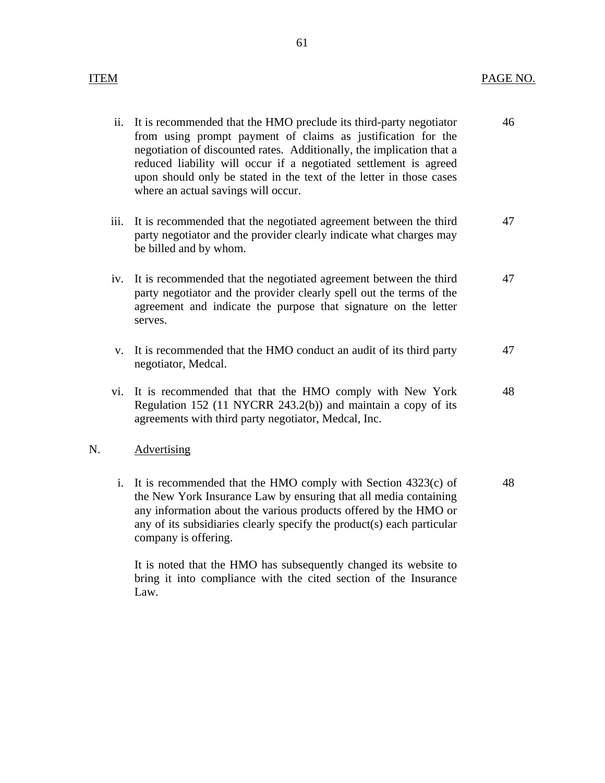| ii. It is recommended that the HMO preclude its third-party negotiator<br>from using prompt payment of claims as justification for the                                                                                                                   | 46 |
|----------------------------------------------------------------------------------------------------------------------------------------------------------------------------------------------------------------------------------------------------------|----|
| negotiation of discounted rates. Additionally, the implication that a<br>reduced liability will occur if a negotiated settlement is agreed<br>upon should only be stated in the text of the letter in those cases<br>where an actual savings will occur. |    |

- iii. It is recommended that the negotiated agreement between the third party negotiator and the provider clearly indicate what charges may be billed and by whom. 47
- iv. It is recommended that the negotiated agreement between the third party negotiator and the provider clearly spell out the terms of the agreement and indicate the purpose that signature on the letter serves. 47
- v. It is recommended that the HMO conduct an audit of its third party negotiator, Medcal. 47
- vi. It is recommended that that the HMO comply with New York Regulation 152 (11 NYCRR 243.2(b)) and maintain a copy of its agreements with third party negotiator, Medcal, Inc. 48

# Advertising

N. Advertising<br>i. It is recommended that the HMO comply with Section 4323(c) of the New York Insurance Law by ensuring that all media containing any information about the various products offered by the HMO or any of its subsidiaries clearly specify the product(s) each particular company is offering. 48

> It is noted that the HMO has subsequently changed its website to bring it into compliance with the cited section of the Insurance Law.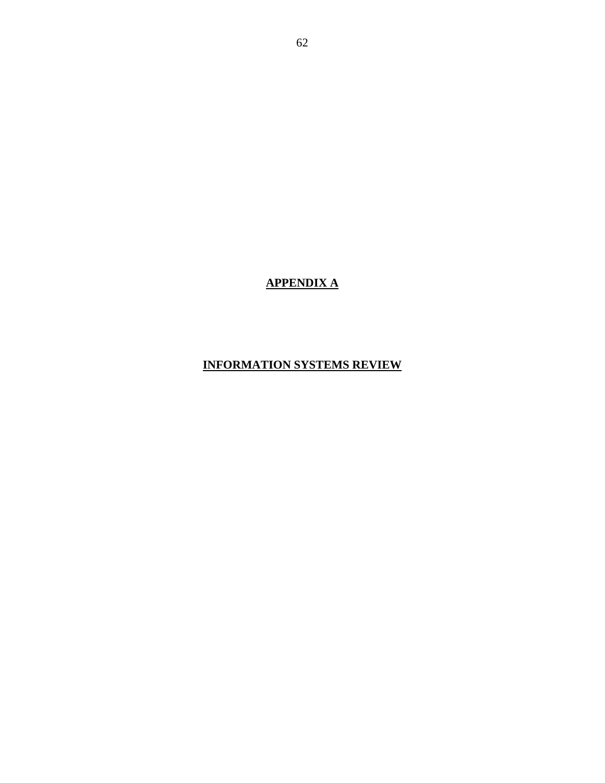# **APPENDIX A**

# **INFORMATION SYSTEMS REVIEW**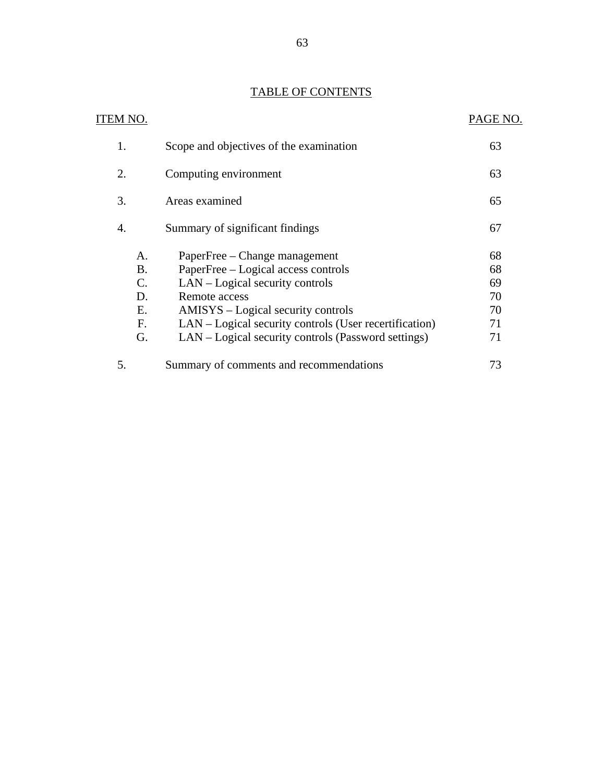# TABLE OF CONTENTS

| <b>TABLE OF CONTENTS</b>                                   |                                                                                                                                                                                                                                                                                 |                                        |  |
|------------------------------------------------------------|---------------------------------------------------------------------------------------------------------------------------------------------------------------------------------------------------------------------------------------------------------------------------------|----------------------------------------|--|
| ITEM NO.                                                   |                                                                                                                                                                                                                                                                                 | PAGE NO.                               |  |
| 1.                                                         | Scope and objectives of the examination                                                                                                                                                                                                                                         | 63                                     |  |
| 2.                                                         | Computing environment                                                                                                                                                                                                                                                           | 63                                     |  |
| 3.                                                         | Areas examined                                                                                                                                                                                                                                                                  | 65                                     |  |
| 4.                                                         | Summary of significant findings                                                                                                                                                                                                                                                 | 67                                     |  |
| A.<br><b>B.</b><br>$\mathcal{C}$ .<br>D.<br>E.<br>F.<br>G. | PaperFree – Change management<br>PaperFree – Logical access controls<br>LAN – Logical security controls<br>Remote access<br>AMISYS – Logical security controls<br>LAN – Logical security controls (User recertification)<br>LAN – Logical security controls (Password settings) | 68<br>68<br>69<br>70<br>70<br>71<br>71 |  |
| 5.                                                         | Summary of comments and recommendations                                                                                                                                                                                                                                         | 73                                     |  |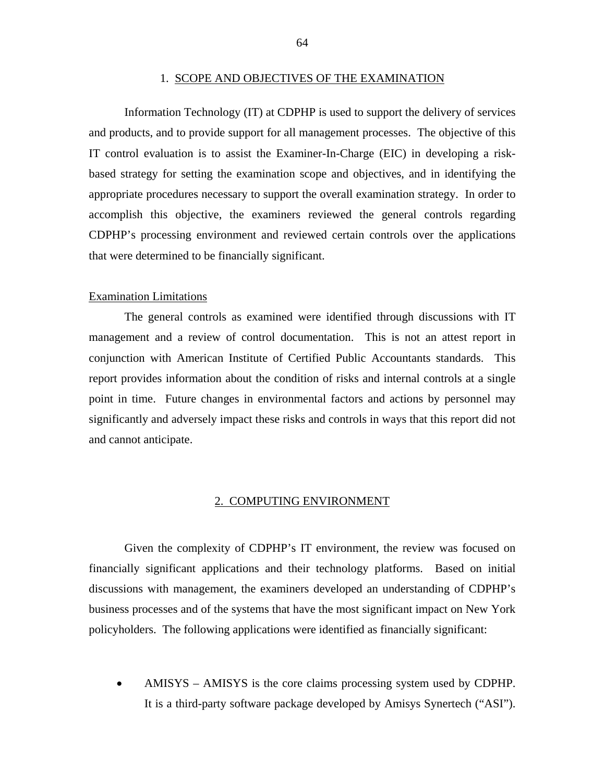#### 1. SCOPE AND OBJECTIVES OF THE EXAMINATION

Information Technology (IT) at CDPHP is used to support the delivery of services and products, and to provide support for all management processes. The objective of this IT control evaluation is to assist the Examiner-In-Charge (EIC) in developing a riskbased strategy for setting the examination scope and objectives, and in identifying the appropriate procedures necessary to support the overall examination strategy. In order to accomplish this objective, the examiners reviewed the general controls regarding CDPHP's processing environment and reviewed certain controls over the applications that were determined to be financially significant.

#### Examination Limitations

The general controls as examined were identified through discussions with IT management and a review of control documentation. This is not an attest report in conjunction with American Institute of Certified Public Accountants standards. This report provides information about the condition of risks and internal controls at a single point in time. Future changes in environmental factors and actions by personnel may significantly and adversely impact these risks and controls in ways that this report did not and cannot anticipate.

### 2. COMPUTING ENVIRONMENT

Given the complexity of CDPHP's IT environment, the review was focused on financially significant applications and their technology platforms. Based on initial discussions with management, the examiners developed an understanding of CDPHP's business processes and of the systems that have the most significant impact on New York policyholders. The following applications were identified as financially significant:

• AMISYS – AMISYS is the core claims processing system used by CDPHP. It is a third-party software package developed by Amisys Synertech ("ASI").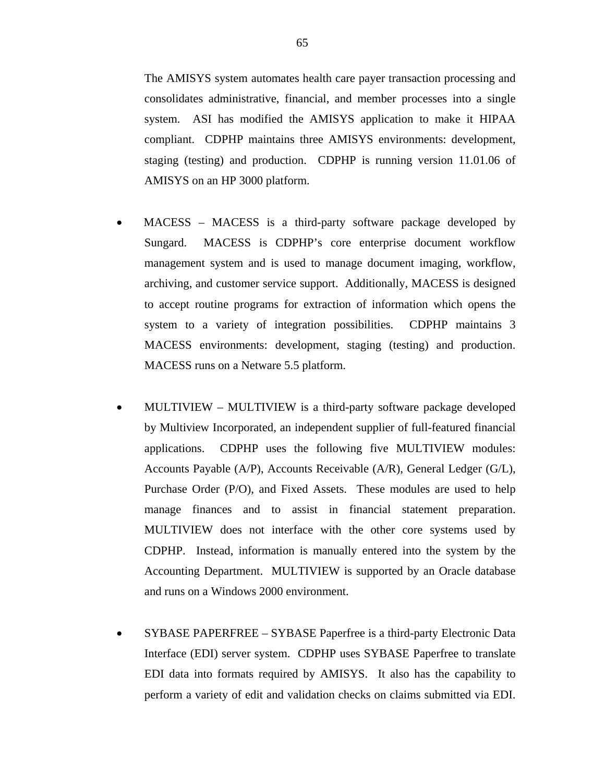<span id="page-66-0"></span>The AMISYS system automates health care payer transaction processing and consolidates administrative, financial, and member processes into a single system. ASI has modified the AMISYS application to make it HIPAA compliant. CDPHP maintains three AMISYS environments: development, staging (testing) and production. CDPHP is running version [11.01.06](https://11.01.06) of AMISYS on an HP 3000 platform.

- MACESS MACESS is a third-party software package developed by Sungard. MACESS is CDPHP's core enterprise document workflow management system and is used to manage document imaging, workflow, archiving, and customer service support. Additionally, MACESS is designed to accept routine programs for extraction of information which opens the system to a variety of integration possibilities. CDPHP maintains 3 MACESS environments: development, staging (testing) and production. MACESS runs on a Netware 5.5 platform.
- MULTIVIEW MULTIVIEW is a third-party software package developed by Multiview Incorporated, an independent supplier of full-featured financial applications. CDPHP uses the following five MULTIVIEW modules: Accounts Payable (A/P), Accounts Receivable (A/R), General Ledger (G/L), Purchase Order (P/O), and Fixed Assets. These modules are used to help manage finances and to assist in financial statement preparation. MULTIVIEW does not interface with the other core systems used by CDPHP. Instead, information is manually entered into the system by the Accounting Department. MULTIVIEW is supported by an Oracle database and runs on a Windows 2000 environment.
- SYBASE PAPERFREE SYBASE Paperfree is a third-party Electronic Data Interface (EDI) server system. CDPHP uses SYBASE Paperfree to translate EDI data into formats required by AMISYS. It also has the capability to perform a variety of edit and validation checks on claims submitted via EDI.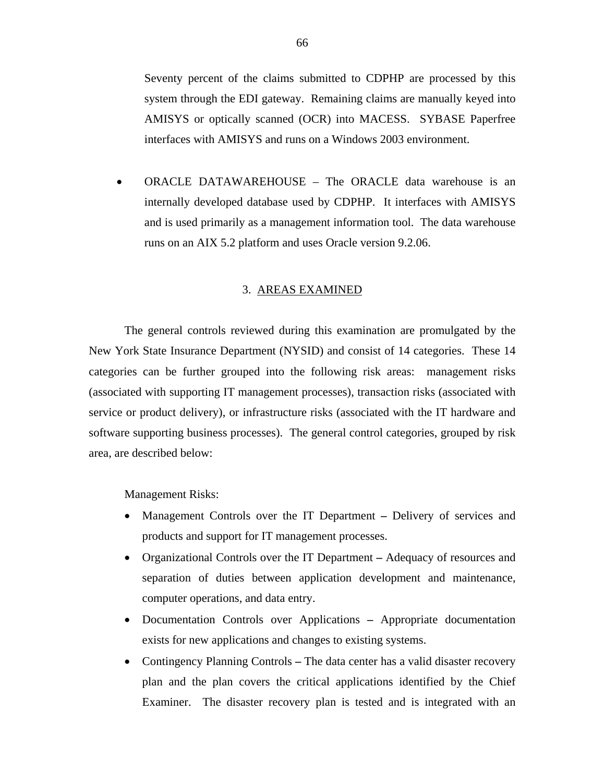Seventy percent of the claims submitted to CDPHP are processed by this system through the EDI gateway. Remaining claims are manually keyed into AMISYS or optically scanned (OCR) into MACESS. SYBASE Paperfree interfaces with AMISYS and runs on a Windows 2003 environment.

• ORACLE DATAWAREHOUSE – The ORACLE data warehouse is an internally developed database used by CDPHP. It interfaces with AMISYS and is used primarily as a management information tool. The data warehouse runs on an AIX 5.2 platform and uses Oracle version 9.2.06.

# 3. AREAS EXAMINED

The general controls reviewed during this examination are promulgated by the New York State Insurance Department (NYSID) and consist of 14 categories. These 14 categories can be further grouped into the following risk areas: management risks (associated with supporting IT management processes), transaction risks (associated with service or product delivery), or infrastructure risks (associated with the IT hardware and software supporting business processes). The general control categories, grouped by risk area, are described below:

Management Risks:

- Management Controls over the IT Department Delivery of services and products and support for IT management processes.
- Organizational Controls over the IT DepartmentAdequacy of resources and separation of duties between application development and maintenance, computer operations, and data entry.
- Documentation Controls over ApplicationsAppropriate documentation exists for new applications and changes to existing systems.
- Contingency Planning Controls The data center has a valid disaster recovery plan and the plan covers the critical applications identified by the Chief Examiner. The disaster recovery plan is tested and is integrated with an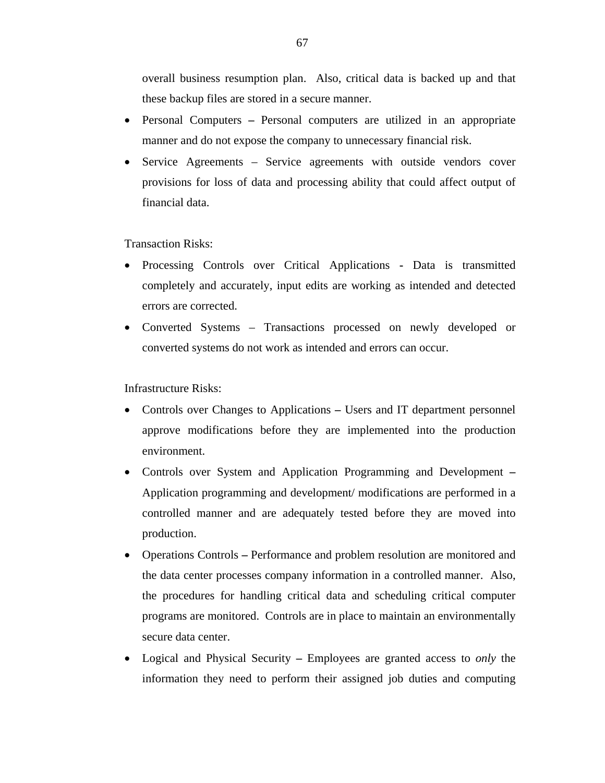<span id="page-68-0"></span>overall business resumption plan. Also, critical data is backed up and that these backup files are stored in a secure manner.

- Personal ComputersPersonal computers are utilized in an appropriate manner and do not expose the company to unnecessary financial risk.
- Service Agreements Service agreements with outside vendors cover provisions for loss of data and processing ability that could affect output of financial data.

Transaction Risks:

- Processing Controls over Critical Applications **-** Data is transmitted completely and accurately, input edits are working as intended and detected errors are corrected.
- Converted Systems Transactions processed on newly developed or converted systems do not work as intended and errors can occur.

Infrastructure Risks:

- Controls over Changes to Applications Users and IT department personnel approve modifications before they are implemented into the production environment.
- Controls over System and Application Programming and Development Application programming and development/ modifications are performed in a controlled manner and are adequately tested before they are moved into production.
- Operations Controls Performance and problem resolution are monitored and the data center processes company information in a controlled manner. Also, the procedures for handling critical data and scheduling critical computer programs are monitored. Controls are in place to maintain an environmentally secure data center.
- Logical and Physical SecurityEmployees are granted access to *only* the information they need to perform their assigned job duties and computing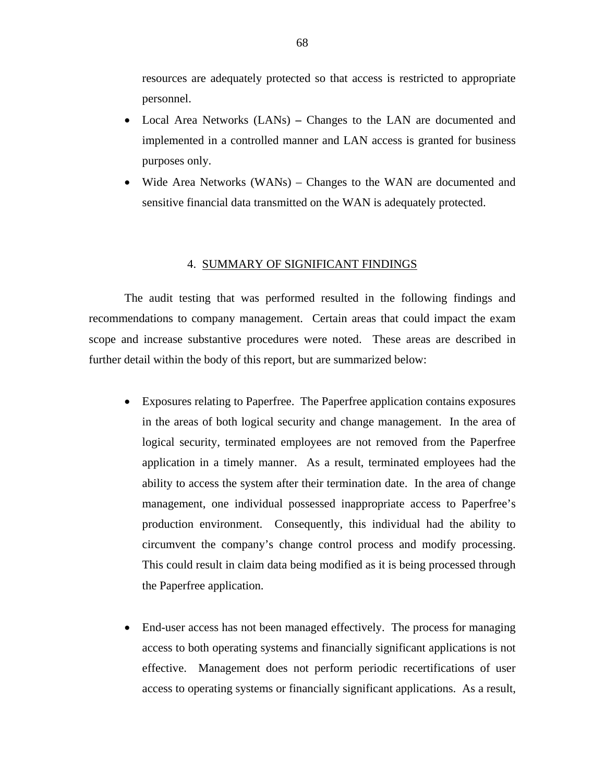<span id="page-69-0"></span>resources are adequately protected so that access is restricted to appropriate personnel.

- Local Area Networks (LANs)Changes to the LAN are documented and implemented in a controlled manner and LAN access is granted for business purposes only.
- Wide Area Networks (WANs) Changes to the WAN are documented and sensitive financial data transmitted on the WAN is adequately protected.

#### 4. SUMMARY OF SIGNIFICANT FINDINGS

The audit testing that was performed resulted in the following findings and recommendations to company management. Certain areas that could impact the exam scope and increase substantive procedures were noted. These areas are described in further detail within the body of this report, but are summarized below:

- Exposures relating to Paperfree. The Paperfree application contains exposures in the areas of both logical security and change management. In the area of logical security, terminated employees are not removed from the Paperfree application in a timely manner. As a result, terminated employees had the ability to access the system after their termination date. In the area of change management, one individual possessed inappropriate access to Paperfree's production environment. Consequently, this individual had the ability to circumvent the company's change control process and modify processing. This could result in claim data being modified as it is being processed through the Paperfree application.
- End-user access has not been managed effectively. The process for managing access to both operating systems and financially significant applications is not effective. Management does not perform periodic recertifications of user access to operating systems or financially significant applications. As a result,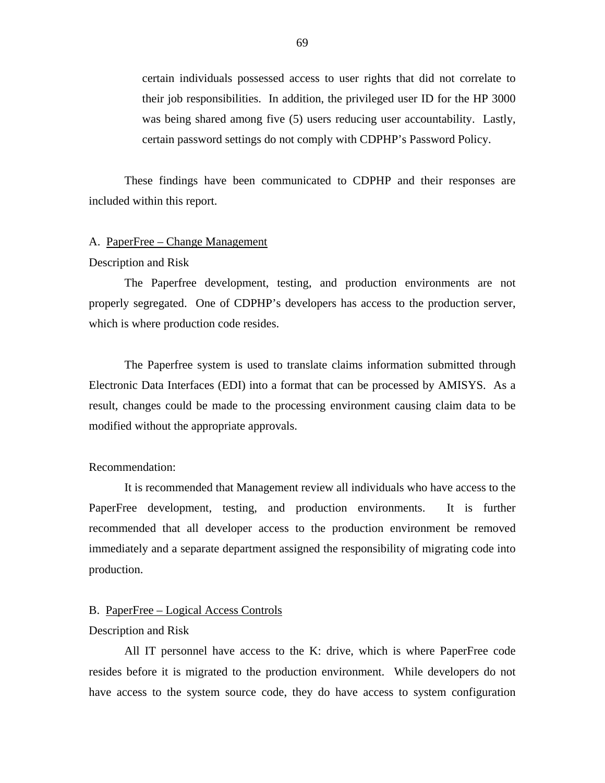<span id="page-70-0"></span>certain individuals possessed access to user rights that did not correlate to their job responsibilities. In addition, the privileged user ID for the HP 3000 was being shared among five (5) users reducing user accountability. Lastly, certain password settings do not comply with CDPHP's Password Policy.

These findings have been communicated to CDPHP and their responses are included within this report.

#### A. PaperFree – Change Management

## Description and Risk

The Paperfree development, testing, and production environments are not properly segregated. One of CDPHP's developers has access to the production server, which is where production code resides.

The Paperfree system is used to translate claims information submitted through Electronic Data Interfaces (EDI) into a format that can be processed by AMISYS. As a result, changes could be made to the processing environment causing claim data to be modified without the appropriate approvals.

# Recommendation:

It is recommended that Management review all individuals who have access to the PaperFree development, testing, and production environments. It is further recommended that all developer access to the production environment be removed immediately and a separate department assigned the responsibility of migrating code into production.

# B. PaperFree – Logical Access Controls

# Description and Risk

All IT personnel have access to the K: drive, which is where PaperFree code resides before it is migrated to the production environment. While developers do not have access to the system source code, they do have access to system configuration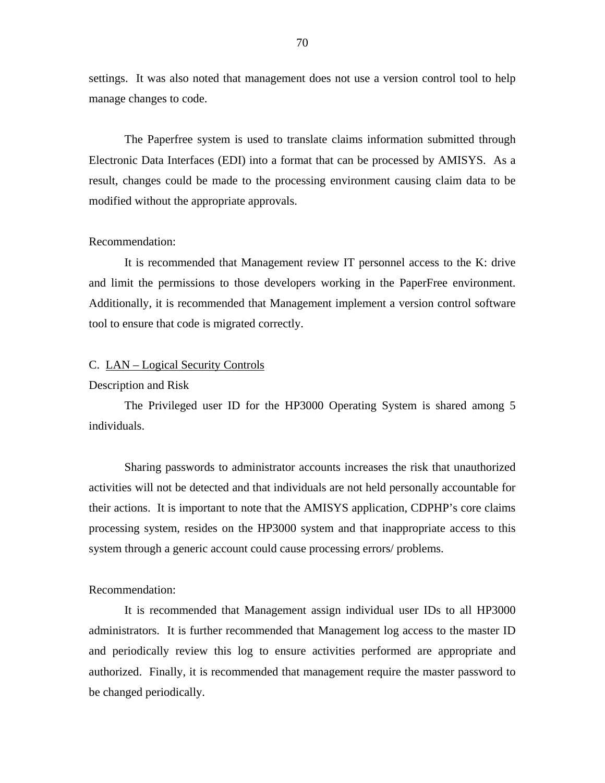<span id="page-71-0"></span>settings. It was also noted that management does not use a version control tool to help manage changes to code.

The Paperfree system is used to translate claims information submitted through Electronic Data Interfaces (EDI) into a format that can be processed by AMISYS. As a result, changes could be made to the processing environment causing claim data to be modified without the appropriate approvals.

# Recommendation:

It is recommended that Management review IT personnel access to the K: drive and limit the permissions to those developers working in the PaperFree environment. Additionally, it is recommended that Management implement a version control software tool to ensure that code is migrated correctly.

# C. LAN – Logical Security Controls

### Description and Risk

The Privileged user ID for the HP3000 Operating System is shared among 5 individuals.

Sharing passwords to administrator accounts increases the risk that unauthorized activities will not be detected and that individuals are not held personally accountable for their actions. It is important to note that the AMISYS application, CDPHP's core claims processing system, resides on the HP3000 system and that inappropriate access to this system through a generic account could cause processing errors/ problems.

# Recommendation:

It is recommended that Management assign individual user IDs to all HP3000 administrators. It is further recommended that Management log access to the master ID and periodically review this log to ensure activities performed are appropriate and authorized. Finally, it is recommended that management require the master password to be changed periodically.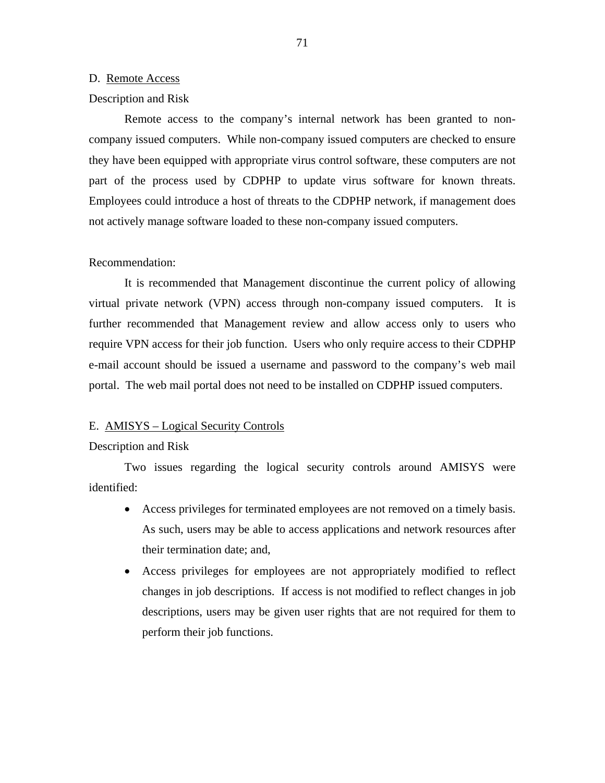#### D. Remote Access

#### Description and Risk

Remote access to the company's internal network has been granted to noncompany issued computers. While non-company issued computers are checked to ensure they have been equipped with appropriate virus control software, these computers are not part of the process used by CDPHP to update virus software for known threats. Employees could introduce a host of threats to the CDPHP network, if management does not actively manage software loaded to these non-company issued computers.

#### Recommendation:

It is recommended that Management discontinue the current policy of allowing virtual private network (VPN) access through non-company issued computers. It is further recommended that Management review and allow access only to users who require VPN access for their job function. Users who only require access to their CDPHP e-mail account should be issued a username and password to the company's web mail portal. The web mail portal does not need to be installed on CDPHP issued computers.

#### E. AMISYS – Logical Security Controls

#### Description and Risk

Two issues regarding the logical security controls around AMISYS were identified:

- Access privileges for terminated employees are not removed on a timely basis. As such, users may be able to access applications and network resources after their termination date; and,
- Access privileges for employees are not appropriately modified to reflect changes in job descriptions. If access is not modified to reflect changes in job descriptions, users may be given user rights that are not required for them to perform their job functions.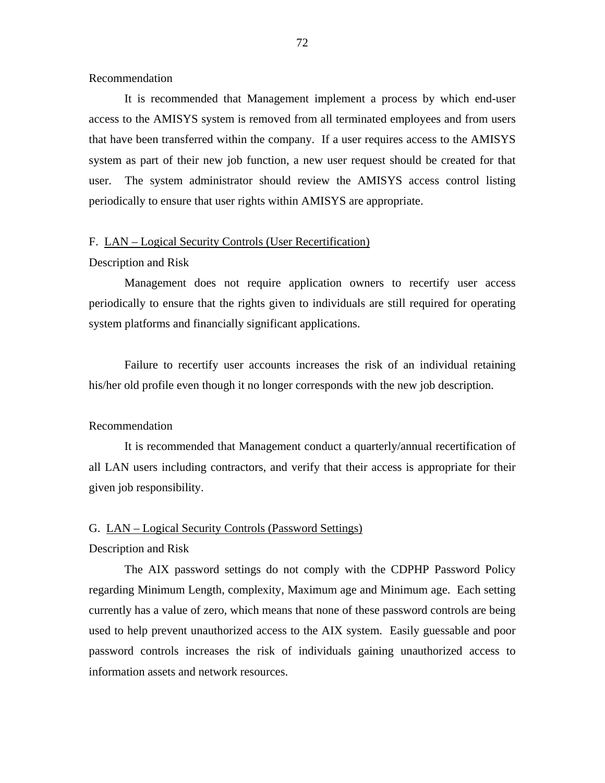Recommendation

It is recommended that Management implement a process by which end-user access to the AMISYS system is removed from all terminated employees and from users that have been transferred within the company. If a user requires access to the AMISYS system as part of their new job function, a new user request should be created for that user. The system administrator should review the AMISYS access control listing periodically to ensure that user rights within AMISYS are appropriate.

#### F. LAN – Logical Security Controls (User Recertification)

#### Description and Risk

Management does not require application owners to recertify user access periodically to ensure that the rights given to individuals are still required for operating system platforms and financially significant applications.

Failure to recertify user accounts increases the risk of an individual retaining his/her old profile even though it no longer corresponds with the new job description.

#### Recommendation

It is recommended that Management conduct a quarterly/annual recertification of all LAN users including contractors, and verify that their access is appropriate for their given job responsibility.

#### G. LAN – Logical Security Controls (Password Settings)

#### Description and Risk

The AIX password settings do not comply with the CDPHP Password Policy regarding Minimum Length, complexity, Maximum age and Minimum age. Each setting currently has a value of zero, which means that none of these password controls are being used to help prevent unauthorized access to the AIX system. Easily guessable and poor password controls increases the risk of individuals gaining unauthorized access to information assets and network resources.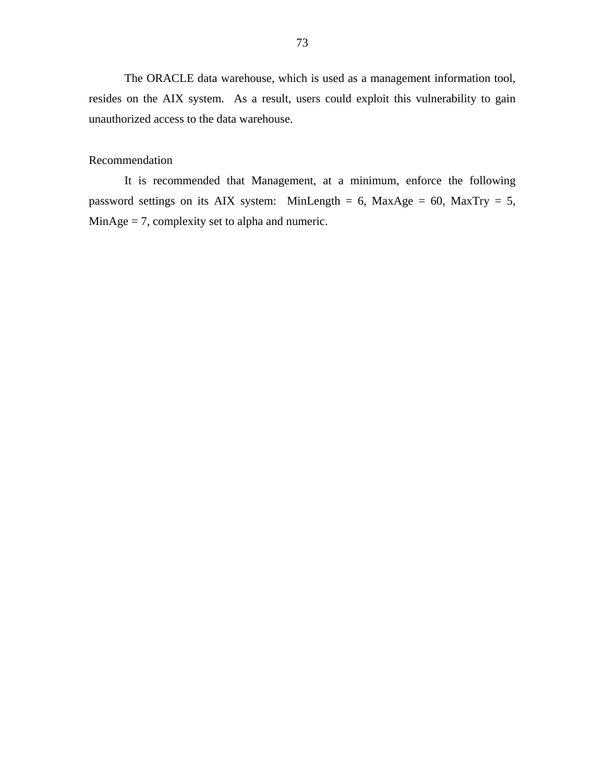The ORACLE data warehouse, which is used as a management information tool, resides on the AIX system. As a result, users could exploit this vulnerability to gain unauthorized access to the data warehouse.

#### Recommendation

It is recommended that Management, at a minimum, enforce the following password settings on its AIX system: MinLength = 6, MaxAge = 60, MaxTry = 5, MinAge = 7, complexity set to alpha and numeric.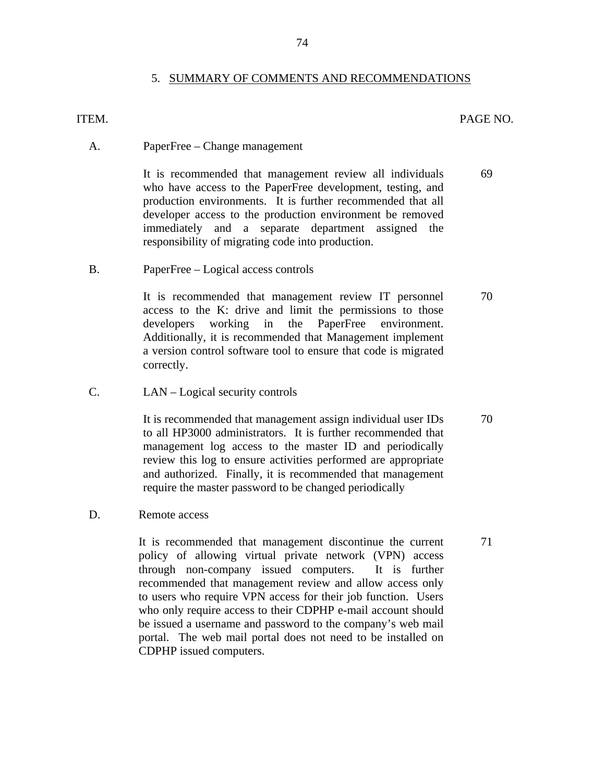#### 5. SUMMARY OF COMMENTS AND RECOMMENDATIONS

### ITEM. PAGE NO.

70

71

A. PaperFree – Change management

It is recommended that management review all individuals who have access to the PaperFree development, testing, and production environments. It is further recommended that all developer access to the production environment be removed immediately and a separate department assigned the responsibility of migrating code into production. 69

B. PaperFree – Logical access controls

It is recommended that management review IT personnel access to the K: drive and limit the permissions to those developers working in the PaperFree environment. Additionally, it is recommended that Management implement a version control software tool to ensure that code is migrated correctly.

C. LAN – Logical security controls

It is recommended that management assign individual user IDs to all HP3000 administrators. It is further recommended that management log access to the master ID and periodically review this log to ensure activities performed are appropriate and authorized. Finally, it is recommended that management require the master password to be changed periodically 70

D. Remote access

It is recommended that management discontinue the current policy of allowing virtual private network (VPN) access through non-company issued computers. It is further recommended that management review and allow access only to users who require VPN access for their job function. Users who only require access to their CDPHP e-mail account should be issued a username and password to the company's web mail portal. The web mail portal does not need to be installed on CDPHP issued computers.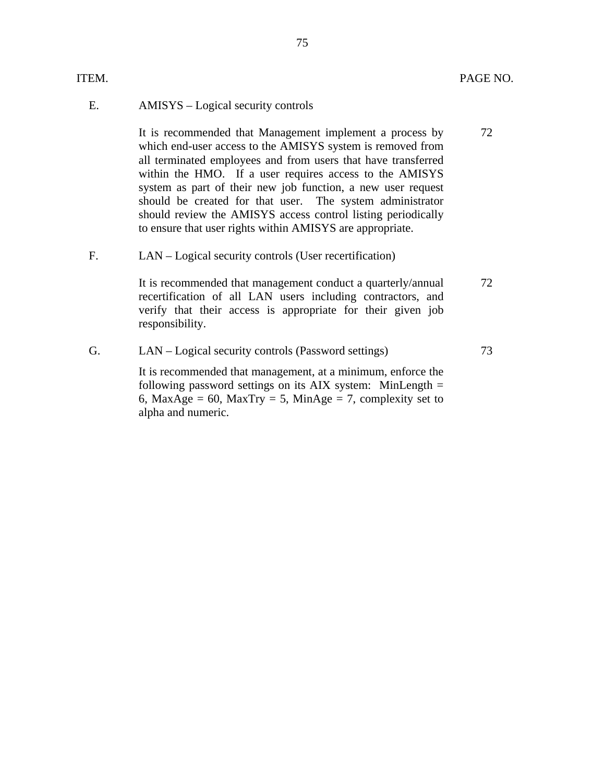| ITEM.       |                                                                                                                                                                                                                                                                                                                                                                                                                                                                                                              | PAGE NO. |
|-------------|--------------------------------------------------------------------------------------------------------------------------------------------------------------------------------------------------------------------------------------------------------------------------------------------------------------------------------------------------------------------------------------------------------------------------------------------------------------------------------------------------------------|----------|
| Ε.          | AMISYS – Logical security controls                                                                                                                                                                                                                                                                                                                                                                                                                                                                           |          |
|             | It is recommended that Management implement a process by<br>which end-user access to the AMISYS system is removed from<br>all terminated employees and from users that have transferred<br>within the HMO. If a user requires access to the AMISYS<br>system as part of their new job function, a new user request<br>should be created for that user. The system administrator<br>should review the AMISYS access control listing periodically<br>to ensure that user rights within AMISYS are appropriate. | 72       |
| $F_{\cdot}$ | LAN – Logical security controls (User recertification)                                                                                                                                                                                                                                                                                                                                                                                                                                                       |          |
|             | It is recommended that management conduct a quarterly/annual<br>recertification of all LAN users including contractors, and<br>verify that their access is appropriate for their given job<br>responsibility.                                                                                                                                                                                                                                                                                                | 72       |
| G.          | LAN – Logical security controls (Password settings)                                                                                                                                                                                                                                                                                                                                                                                                                                                          | 73       |
|             | It is recommended that management, at a minimum, enforce the<br>following password settings on its AIX system: MinLength $=$<br>6, MaxAge = 60, MaxTry = 5, MinAge = 7, complexity set to<br>alpha and numeric.                                                                                                                                                                                                                                                                                              |          |
|             |                                                                                                                                                                                                                                                                                                                                                                                                                                                                                                              |          |